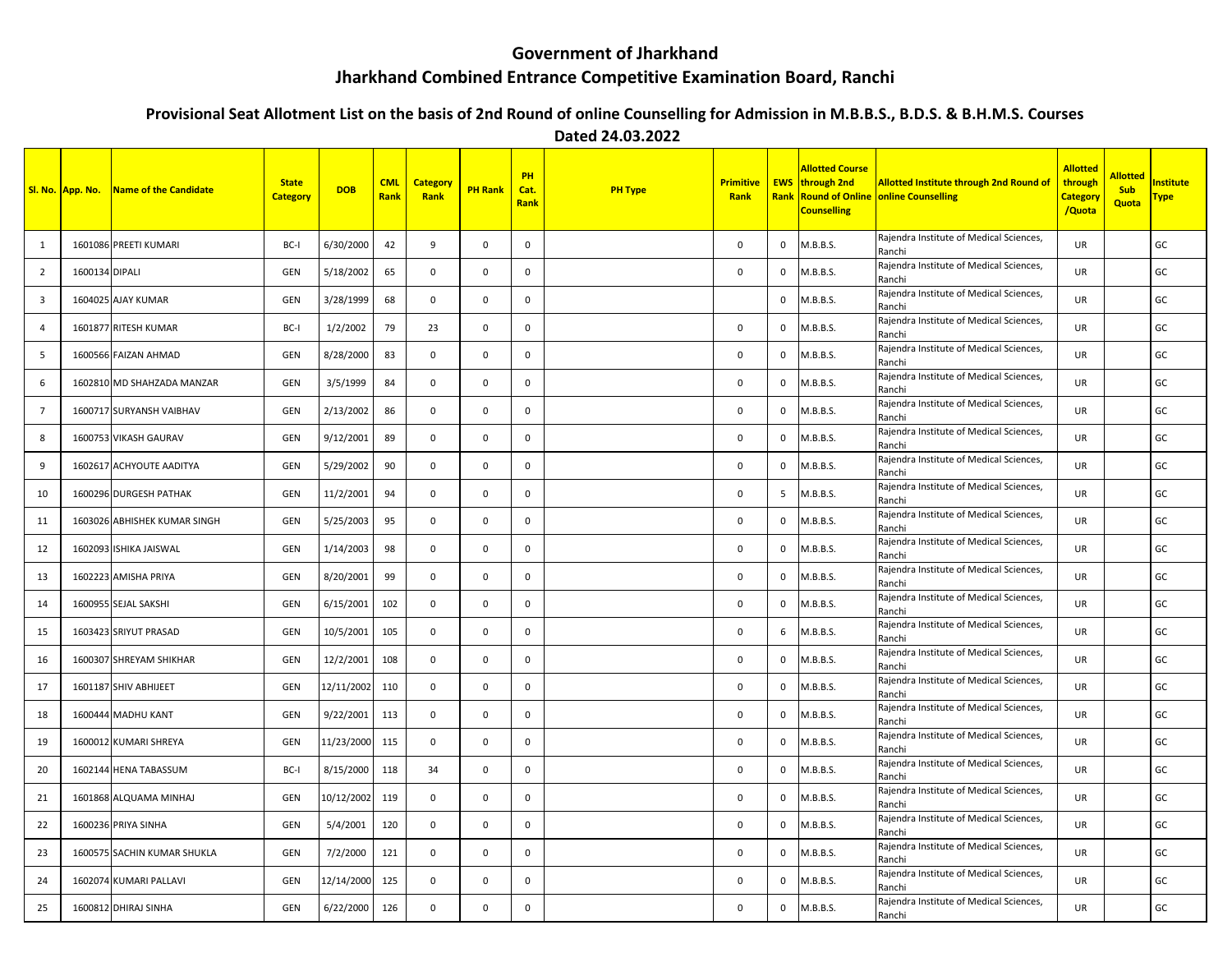## **Government of Jharkhand**

## **Jharkhand Combined Entrance Competitive Examination Board, Ranchi**

## **Provisional Seat Allotment List on the basis of 2nd Round of online Counselling for Admission in M.B.B.S., B.D.S. & B.H.M.S. Courses**

 **Dated 24.03.2022**

|                         | <b>SI. No. App. No.</b> | Name of the Candidate        | <b>State</b><br><b>Category</b> | <b>DOB</b> | <b>CML</b><br>Rank | <b>Category</b><br>Rank | <b>PH Rank</b> | PH<br>Cat.<br>Rank | <b>PH Type</b> | <b>Primitive</b><br><b>Rank</b> | <b>Rank</b>  | <b>Allotted Course</b><br><b>EWS</b> through 2nd<br><b>Counselling</b> | <b>Allotted Institute through 2nd Round of</b><br><b>Round of Online online Counselling</b> | <b>Allotted</b><br>through<br>Category<br>/Quota | <b>Allotted</b><br><b>Sub</b><br>Quota | nstitute<br><u> Type</u> |
|-------------------------|-------------------------|------------------------------|---------------------------------|------------|--------------------|-------------------------|----------------|--------------------|----------------|---------------------------------|--------------|------------------------------------------------------------------------|---------------------------------------------------------------------------------------------|--------------------------------------------------|----------------------------------------|--------------------------|
| 1                       |                         | 1601086 PREETI KUMARI        | BC-I                            | 6/30/2000  | 42                 | 9                       | $\mathbf 0$    | $\mathsf{o}$       |                | $\mathbf{0}$                    | 0            | M.B.B.S.                                                               | Rajendra Institute of Medical Sciences,<br>Ranchi                                           | UR                                               |                                        | GC                       |
| 2                       | 1600134 DIPALI          |                              | <b>GEN</b>                      | 5/18/2002  | 65                 | $\mathbf 0$             | $\mathbf 0$    | $\mathbf 0$        |                | $\mathbf{0}$                    | 0            | M.B.B.S.                                                               | Rajendra Institute of Medical Sciences,<br>Ranchi                                           | <b>UR</b>                                        |                                        | GC                       |
| $\overline{\mathbf{3}}$ |                         | 1604025 AJAY KUMAR           | <b>GEN</b>                      | 3/28/1999  | 68                 | $\mathbf{0}$            | $\mathbf 0$    | $\mathbf 0$        |                |                                 | $\Omega$     | M.B.B.S.                                                               | Rajendra Institute of Medical Sciences,<br>Ranchi                                           | <b>UR</b>                                        |                                        | GC                       |
| 4                       |                         | 1601877 RITESH KUMAR         | BC-I                            | 1/2/2002   | 79                 | 23                      | 0              | $\mathbf 0$        |                | $\mathsf 0$                     | 0            | M.B.B.S.                                                               | Rajendra Institute of Medical Sciences,<br>Ranchi                                           | UR                                               |                                        | GC                       |
| 5                       |                         | 1600566 FAIZAN AHMAD         | <b>GEN</b>                      | 8/28/2000  | 83                 | 0                       | $\mathbf 0$    | $\mathsf 0$        |                | $\mathsf 0$                     | 0            | M.B.B.S.                                                               | Rajendra Institute of Medical Sciences,<br>Ranchi                                           | <b>UR</b>                                        |                                        | GC                       |
| 6                       |                         | 1602810 MD SHAHZADA MANZAR   | GEN                             | 3/5/1999   | 84                 | $\mathbf{0}$            | 0              | $\mathbf{0}$       |                | $\mathbf 0$                     | 0            | M.B.B.S.                                                               | Rajendra Institute of Medical Sciences,<br>Ranchi                                           | <b>UR</b>                                        |                                        | GC                       |
| $7\overline{ }$         |                         | 1600717 SURYANSH VAIBHAV     | <b>GEN</b>                      | 2/13/2002  | 86                 | $\mathbf 0$             | 0              | $\mathbf 0$        |                | 0                               | 0            | M.B.B.S.                                                               | Rajendra Institute of Medical Sciences,<br>Ranchi                                           | UR                                               |                                        | GC                       |
| 8                       |                         | 1600753 VIKASH GAURAV        | GEN                             | 9/12/2001  | 89                 | $\mathbf 0$             | $\Omega$       | $\mathbf{0}$       |                | $\mathbf 0$                     | $\Omega$     | M.B.B.S.                                                               | Rajendra Institute of Medical Sciences,<br>Ranchi                                           | UR                                               |                                        | GC                       |
| 9                       |                         | 1602617 ACHYOUTE AADITYA     | <b>GEN</b>                      | 5/29/2002  | 90                 | $\mathbf 0$             | 0              | $\mathbf 0$        |                | $\mathbf 0$                     | 0            | M.B.B.S.                                                               | Rajendra Institute of Medical Sciences,<br>Ranchi                                           | UR                                               |                                        | GC                       |
| 10                      |                         | 1600296 DURGESH PATHAK       | <b>GEN</b>                      | 11/2/2001  | 94                 | 0                       | 0              | $\mathsf{o}$       |                | $\mathsf 0$                     | 5            | M.B.B.S.                                                               | Rajendra Institute of Medical Sciences,<br>Ranchi                                           | UR                                               |                                        | GC                       |
| 11                      |                         | 1603026 ABHISHEK KUMAR SINGH | GEN                             | 5/25/2003  | 95                 | $\mathbf 0$             | $\Omega$       | $\mathbf{0}$       |                | $\mathbf 0$                     | $\Omega$     | M.B.B.S.                                                               | Rajendra Institute of Medical Sciences,<br>Ranchi                                           | <b>UR</b>                                        |                                        | GC                       |
| 12                      |                         | 1602093 ISHIKA JAISWAL       | <b>GEN</b>                      | 1/14/2003  | 98                 | 0                       | $\Omega$       | $\mathbf 0$        |                | $\mathbf 0$                     | 0            | M.B.B.S.                                                               | Rajendra Institute of Medical Sciences,<br>Ranchi                                           | UR                                               |                                        | GC                       |
| 13                      |                         | 1602223 AMISHA PRIYA         | GEN                             | 8/20/2001  | 99                 | $\mathbf{0}$            | $\mathbf 0$    | $\mathbf{0}$       |                | $\mathbf 0$                     | $\mathbf{0}$ | M.B.B.S.                                                               | Rajendra Institute of Medical Sciences,<br>Ranchi                                           | <b>UR</b>                                        |                                        | GC                       |
| 14                      |                         | 1600955 SEJAL SAKSHI         | <b>GEN</b>                      | 6/15/2001  | 102                | $\mathbf 0$             | $\mathbf 0$    | $\mathbf{0}$       |                | 0                               | 0            | M.B.B.S.                                                               | Rajendra Institute of Medical Sciences,<br>Ranchi                                           | <b>UR</b>                                        |                                        | GC                       |
| 15                      |                         | 1603423 SRIYUT PRASAD        | <b>GEN</b>                      | 10/5/2001  | 105                | $\mathsf{O}$            | $\mathbf 0$    | $\mathbf 0$        |                | $\mathbf 0$                     | 6            | M.B.B.S.                                                               | Rajendra Institute of Medical Sciences,<br>Ranchi                                           | UR                                               |                                        | GC                       |
| 16                      |                         | 1600307 SHREYAM SHIKHAR      | <b>GEN</b>                      | 12/2/2001  | 108                | 0                       | $\mathbf 0$    | $\mathbf 0$        |                | $\mathbf 0$                     | $\mathbf{0}$ | M.B.B.S.                                                               | Rajendra Institute of Medical Sciences,<br>Ranchi                                           | <b>UR</b>                                        |                                        | GC                       |
| 17                      |                         | 1601187 SHIV ABHIJEET        | <b>GEN</b>                      | 12/11/2002 | 110                | $\mathbf 0$             | 0              | $\mathbf 0$        |                | 0                               | $\mathbf 0$  | M.B.B.S.                                                               | Rajendra Institute of Medical Sciences,<br>Ranchi                                           | UR                                               |                                        | GC                       |
| 18                      |                         | 1600444 MADHU KANT           | GEN                             | 9/22/2001  | 113                | $\mathbf 0$             | $\mathbf 0$    | $\mathbf 0$        |                | $\mathsf 0$                     | $\Omega$     | M.B.B.S.                                                               | Rajendra Institute of Medical Sciences,<br>Ranchi                                           | UR                                               |                                        | GC                       |
| 19                      |                         | 1600012 KUMARI SHREYA        | <b>GEN</b>                      | 11/23/2000 | 115                | 0                       | $\mathbf 0$    | $\mathbf 0$        |                | $\mathbf 0$                     | 0            | M.B.B.S.                                                               | Rajendra Institute of Medical Sciences,<br>Ranchi                                           | <b>UR</b>                                        |                                        | GC                       |
| 20                      |                         | 1602144 HENA TABASSUM        | BC-I                            | 8/15/2000  | 118                | 34                      | 0              | $\mathbf 0$        |                | 0                               | 0            | M.B.B.S.                                                               | Rajendra Institute of Medical Sciences,<br>Ranchi                                           | UR                                               |                                        | GC                       |
| 21                      |                         | 1601868 ALQUAMA MINHAJ       | <b>GEN</b>                      | 10/12/2002 | 119                | $\mathbf 0$             | $\mathbf 0$    | $\mathbf 0$        |                | 0                               | 0            | M.B.B.S.                                                               | Rajendra Institute of Medical Sciences,<br>Ranchi                                           | UR                                               |                                        | GC                       |
| 22                      |                         | 1600236 PRIYA SINHA          | GEN                             | 5/4/2001   | 120                | 0                       | $\mathbf 0$    | 0                  |                | $\mathbf 0$                     | 0            | M.B.B.S.                                                               | Rajendra Institute of Medical Sciences,<br>Ranchi                                           | <b>UR</b>                                        |                                        | GC                       |
| 23                      |                         | 1600575 SACHIN KUMAR SHUKLA  | <b>GEN</b>                      | 7/2/2000   | 121                | $\mathbf 0$             | $\mathbf{0}$   | $\mathbf 0$        |                | $\mathbf 0$                     | 0            | M.B.B.S.                                                               | Rajendra Institute of Medical Sciences,<br>Ranchi                                           | <b>UR</b>                                        |                                        | GC                       |
| 24                      |                         | 1602074 KUMARI PALLAVI       | <b>GEN</b>                      | 12/14/2000 | 125                | $\mathbf 0$             | $\mathbf 0$    | $\mathbf 0$        |                | $\mathbf 0$                     | 0            | M.B.B.S.                                                               | Rajendra Institute of Medical Sciences,<br>Ranchi                                           | UR                                               |                                        | GC                       |
| 25                      |                         | 1600812 DHIRAJ SINHA         | <b>GEN</b>                      | 6/22/2000  | 126                | 0                       | $\mathbf 0$    | $\mathsf{o}$       |                | $\Omega$                        | 0            | M.B.B.S.                                                               | Rajendra Institute of Medical Sciences,<br>Ranchi                                           | <b>UR</b>                                        |                                        | GC                       |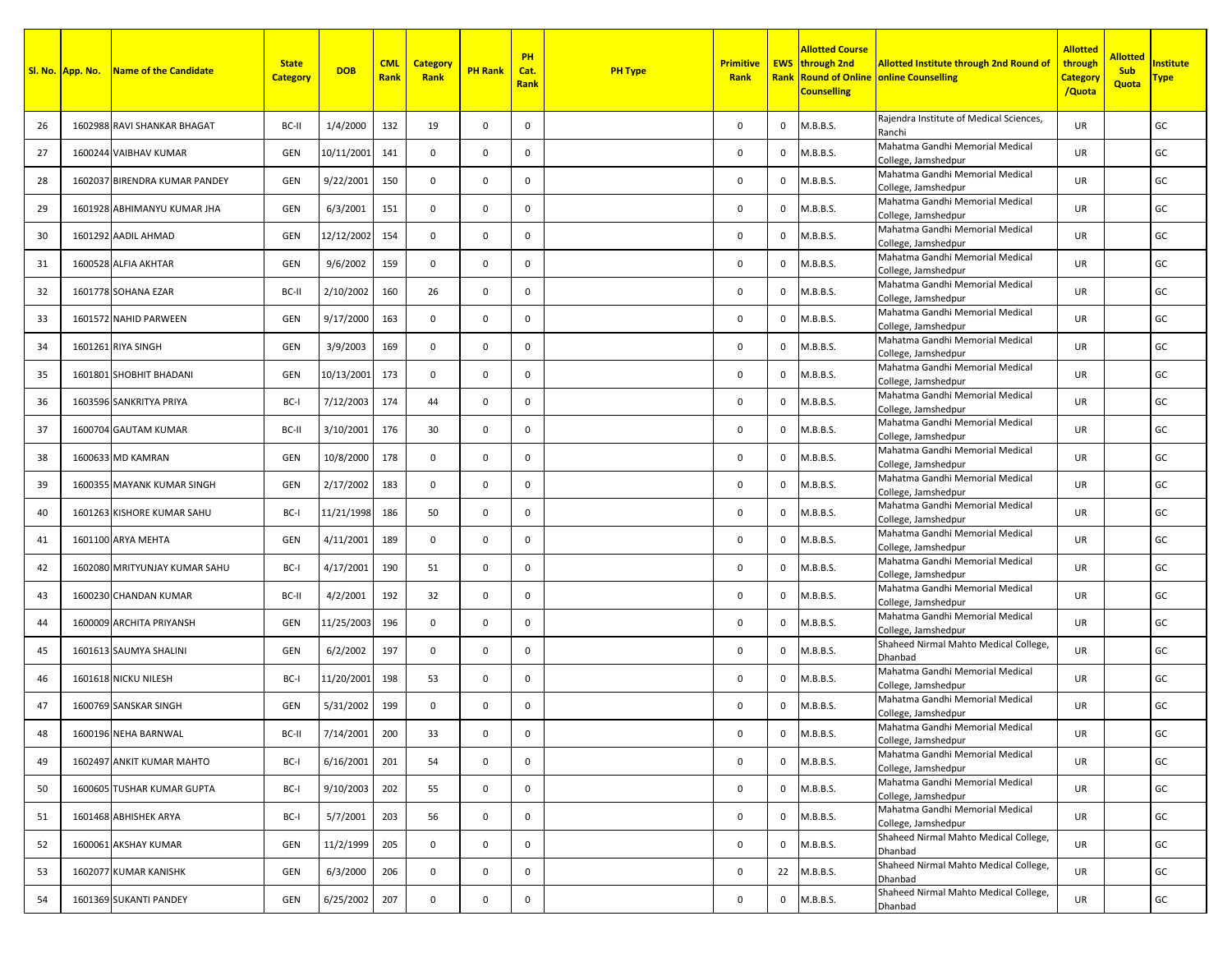|    | Sl. No. App. No. | Name of the Candidate         | <b>State</b><br><b>Category</b> | <b>DOB</b> | <b>CML</b><br>Rank | <b>Category</b><br>Rank | <b>PH Rank</b> | PH<br>Cat.<br>Rank | <b>PH Type</b> | <b>Primitive</b><br>Rank |              | <b>Allotted Course</b><br><b>EWS</b> through 2nd<br><b>Counselling</b> | <b>Allotted Institute through 2nd Round of</b><br><b>Rank Round of Online online Counselling</b> | <b>Allotted</b><br>through<br><b>Category</b><br>/Quota | <b>Allotted</b><br><b>Sub</b><br><b>Quota</b> | <b>nstitute</b><br><u> Fype</u> |
|----|------------------|-------------------------------|---------------------------------|------------|--------------------|-------------------------|----------------|--------------------|----------------|--------------------------|--------------|------------------------------------------------------------------------|--------------------------------------------------------------------------------------------------|---------------------------------------------------------|-----------------------------------------------|---------------------------------|
| 26 |                  | 1602988 RAVI SHANKAR BHAGAT   | BC-II                           | 1/4/2000   | 132                | 19                      | $\mathbf 0$    | $\mathbf 0$        |                | 0                        | $\mathbf{0}$ | M.B.B.S.                                                               | Rajendra Institute of Medical Sciences,<br>Ranchi                                                | <b>UR</b>                                               |                                               | GC                              |
| 27 |                  | 1600244 VAIBHAV KUMAR         | GEN                             | 10/11/2001 | 141                | $\mathbf{0}$            | $\mathbf 0$    | $\mathbf{0}$       |                | $\mathbf 0$              | $\mathbf{0}$ | M.B.B.S.                                                               | Mahatma Gandhi Memorial Medical<br>College, Jamshedpur                                           | <b>UR</b>                                               |                                               | GC                              |
| 28 |                  | 1602037 BIRENDRA KUMAR PANDEY | GEN                             | 9/22/2001  | 150                | $\mathbf 0$             | $\mathbf 0$    | $\mathbf 0$        |                | 0                        | $\mathbf{0}$ | M.B.B.S.                                                               | Mahatma Gandhi Memorial Medical<br>College, Jamshedpur                                           | UR.                                                     |                                               | GC                              |
| 29 |                  | 1601928 ABHIMANYU KUMAR JHA   | GEN                             | 6/3/2001   | 151                | $\mathbf{0}$            | $\mathbf 0$    | $\mathbf{0}$       |                | $\mathbf 0$              | $\mathbf 0$  | M.B.B.S.                                                               | Mahatma Gandhi Memorial Medical<br>College, Jamshedpur                                           | <b>UR</b>                                               |                                               | GC                              |
| 30 |                  | 1601292 AADIL AHMAD           | GEN                             | 12/12/2002 | 154                | $\mathbf{0}$            | $\mathbf 0$    | $\mathbf 0$        |                | 0                        | $\mathbf 0$  | M.B.B.S.                                                               | Mahatma Gandhi Memorial Medical<br>College, Jamshedpur                                           | <b>UR</b>                                               |                                               | GC                              |
| 31 |                  | 1600528 ALFIA AKHTAR          | GEN                             | 9/6/2002   | 159                | $\mathbf 0$             | $\mathbf 0$    | $\mathbf 0$        |                | 0                        | $\mathbf 0$  | M.B.B.S.                                                               | Mahatma Gandhi Memorial Medical<br>College, Jamshedpur                                           | <b>UR</b>                                               |                                               | GC                              |
| 32 |                  | 1601778 SOHANA EZAR           | BC-II                           | 2/10/2002  | 160                | 26                      | $\mathbf 0$    | $\mathbf 0$        |                | 0                        | 0            | M.B.B.S.                                                               | Mahatma Gandhi Memorial Medical<br>College, Jamshedpur                                           | <b>UR</b>                                               |                                               | GC                              |
| 33 |                  | 1601572 NAHID PARWEEN         | GEN                             | 9/17/2000  | 163                | $\mathbf{0}$            | $\mathbf 0$    | $\mathbf 0$        |                | 0                        | $\mathbf{0}$ | M.B.B.S.                                                               | Mahatma Gandhi Memorial Medical<br>College, Jamshedpur                                           | <b>UR</b>                                               |                                               | GC                              |
| 34 |                  | 1601261 RIYA SINGH            | GEN                             | 3/9/2003   | 169                | $\mathbf{0}$            | $\mathbf 0$    | $\mathbf 0$        |                | 0                        | $\mathbf{0}$ | M.B.B.S.                                                               | Mahatma Gandhi Memorial Medical<br>College, Jamshedpur                                           | <b>UR</b>                                               |                                               | GC                              |
| 35 |                  | 1601801 SHOBHIT BHADANI       | GEN                             | 10/13/2001 | 173                | $\mathbf{0}$            | $\mathbf 0$    | $\mathbf 0$        |                | 0                        | 0            | M.B.B.S.                                                               | Mahatma Gandhi Memorial Medical<br>College, Jamshedpur                                           | <b>UR</b>                                               |                                               | GC                              |
| 36 |                  | 1603596 SANKRITYA PRIYA       | BC-I                            | 7/12/2003  | 174                | 44                      | $\mathbf{0}$   | $\mathbf 0$        |                | 0                        | $\mathbf{0}$ | M.B.B.S.                                                               | Mahatma Gandhi Memorial Medical<br>College, Jamshedpur                                           | <b>UR</b>                                               |                                               | GC                              |
| 37 |                  | 1600704 GAUTAM KUMAR          | BC-II                           | 3/10/2001  | 176                | 30                      | $\mathbf{0}$   | $\mathbf 0$        |                | $\mathsf 0$              | $\mathbf{0}$ | M.B.B.S.                                                               | Mahatma Gandhi Memorial Medical<br>College, Jamshedpur                                           | <b>UR</b>                                               |                                               | GC                              |
| 38 |                  | 1600633 MD KAMRAN             | GEN                             | 10/8/2000  | 178                | $\mathbf{0}$            | $\mathbf 0$    | $\mathbf 0$        |                | 0                        | $\mathbf{0}$ | M.B.B.S.                                                               | Mahatma Gandhi Memorial Medical<br>College, Jamshedpur                                           | <b>UR</b>                                               |                                               | GC                              |
| 39 |                  | 1600355 MAYANK KUMAR SINGH    | <b>GEN</b>                      | 2/17/2002  | 183                | $\mathbf{0}$            | $\mathbf 0$    | $\mathbf 0$        |                | 0                        | $\mathbf{0}$ | M.B.B.S.                                                               | Mahatma Gandhi Memorial Medical<br>College, Jamshedpur                                           | <b>UR</b>                                               |                                               | GC                              |
| 40 |                  | 1601263 KISHORE KUMAR SAHU    | BC-I                            | 11/21/1998 | 186                | 50                      | $\mathbf 0$    | 0                  |                | 0                        | $\mathbf 0$  | M.B.B.S.                                                               | Mahatma Gandhi Memorial Medical<br>College, Jamshedpur                                           | <b>UR</b>                                               |                                               | GC                              |
| 41 |                  | 1601100 ARYA MEHTA            | GEN                             | 4/11/2001  | 189                | $\mathbf{0}$            | $\mathbf 0$    | $\mathbf 0$        |                | 0                        | 0            | M.B.B.S.                                                               | Mahatma Gandhi Memorial Medical<br>College, Jamshedpur                                           | <b>UR</b>                                               |                                               | GC                              |
| 42 |                  | 1602080 MRITYUNJAY KUMAR SAHU | BC-I                            | 4/17/2001  | 190                | 51                      | $\mathbf{0}$   | $\mathbf 0$        |                | $\mathsf 0$              | $\mathbf{0}$ | M.B.B.S.                                                               | Mahatma Gandhi Memorial Medical<br>College, Jamshedpur                                           | <b>UR</b>                                               |                                               | GC                              |
| 43 |                  | 1600230 CHANDAN KUMAR         | BC-II                           | 4/2/2001   | 192                | 32                      | $\mathbf 0$    | $\mathbf 0$        |                | $\mathbf 0$              | 0            | M.B.B.S.                                                               | Mahatma Gandhi Memorial Medical<br>College, Jamshedpur                                           | UR                                                      |                                               | GC                              |
| 44 |                  | 1600009 ARCHITA PRIYANSH      | <b>GEN</b>                      | 11/25/2003 | 196                | $\mathbf 0$             | $\mathbf{0}$   | $\mathbf 0$        |                | $\mathsf 0$              | $\mathbf{0}$ | M.B.B.S.                                                               | Mahatma Gandhi Memorial Medical<br>College, Jamshedpur                                           | <b>UR</b>                                               |                                               | GC                              |
| 45 |                  | 1601613 SAUMYA SHALINI        | GEN                             | 6/2/2002   | 197                | $\mathbf{0}$            | $\mathbf{0}$   | $\mathbf 0$        |                | 0                        | $\mathbf{0}$ | M.B.B.S.                                                               | Shaheed Nirmal Mahto Medical College,<br>Dhanbad                                                 | <b>UR</b>                                               |                                               | GC                              |
| 46 |                  | 1601618 NICKU NILESH          | BC-I                            | 11/20/2001 | 198                | 53                      | $\mathbf 0$    | $\mathbf 0$        |                | $\mathbf 0$              | $\mathbf{0}$ | M.B.B.S.                                                               | Mahatma Gandhi Memorial Medical<br>College, Jamshedpur                                           | <b>UR</b>                                               |                                               | GC                              |
| 47 |                  | 1600769 SANSKAR SINGH         | GEN                             | 5/31/2002  | 199                | $\mathbf 0$             | $\mathbf 0$    | $\mathbf 0$        |                | 0                        | $\mathbf{0}$ | M.B.B.S.                                                               | Mahatma Gandhi Memorial Medical<br>College, Jamshedpur                                           | <b>UR</b>                                               |                                               | GC                              |
| 48 |                  | 1600196 NEHA BARNWAL          | BC-II                           | 7/14/2001  | 200                | 33                      | $\mathbf 0$    | 0                  |                | 0                        | $\mathbf 0$  | M.B.B.S.                                                               | Mahatma Gandhi Memorial Medical<br>College, Jamshedpur                                           | UR                                                      |                                               | ${\sf GC}$                      |
| 49 |                  | 1602497 ANKIT KUMAR MAHTO     | BC-I                            | 6/16/2001  | 201                | 54                      | $\mathbf 0$    | $\mathsf{O}$       |                | $\mathbf 0$              |              | 0 M.B.B.S.                                                             | Mahatma Gandhi Memorial Medical<br>College, Jamshedpur                                           | UR                                                      |                                               | GC                              |
| 50 |                  | 1600605 TUSHAR KUMAR GUPTA    | BC-I                            | 9/10/2003  | 202                | 55                      | $\mathbf 0$    | $\mathbf 0$        |                | $\mathbf 0$              | $\mathsf{O}$ | M.B.B.S.                                                               | Mahatma Gandhi Memorial Medical<br>College, Jamshedpur                                           | UR                                                      |                                               | GC                              |
| 51 |                  | 1601468 ABHISHEK ARYA         | BC-I                            | 5/7/2001   | 203                | 56                      | $\mathbf 0$    | $\mathbf 0$        |                | 0                        |              | 0 M.B.B.S.                                                             | Mahatma Gandhi Memorial Medical<br>College, Jamshedpur                                           | UR                                                      |                                               | GC                              |
| 52 |                  | 1600061 AKSHAY KUMAR          | GEN                             | 11/2/1999  | 205                | $\mathbf 0$             | $\mathbf 0$    | $\mathbf 0$        |                | $\mathbf 0$              | $\mathbf{0}$ | M.B.B.S.                                                               | Shaheed Nirmal Mahto Medical College,<br>Dhanbad                                                 | UR                                                      |                                               | GC                              |
| 53 |                  | 1602077 KUMAR KANISHK         | GEN                             | 6/3/2000   | 206                | $\mathbf 0$             | $\mathbf 0$    | $\mathbf 0$        |                | 0                        |              | 22 M.B.B.S.                                                            | Shaheed Nirmal Mahto Medical College,<br>Dhanbad                                                 | UR                                                      |                                               | GC                              |
| 54 |                  | 1601369 SUKANTI PANDEY        | GEN                             | 6/25/2002  | 207                | $\mathbf 0$             | $\mathbf 0$    | $\mathbf 0$        |                | 0                        | $\mathbf 0$  | M.B.B.S.                                                               | Shaheed Nirmal Mahto Medical College,<br>Dhanbad                                                 | UR                                                      |                                               | GC                              |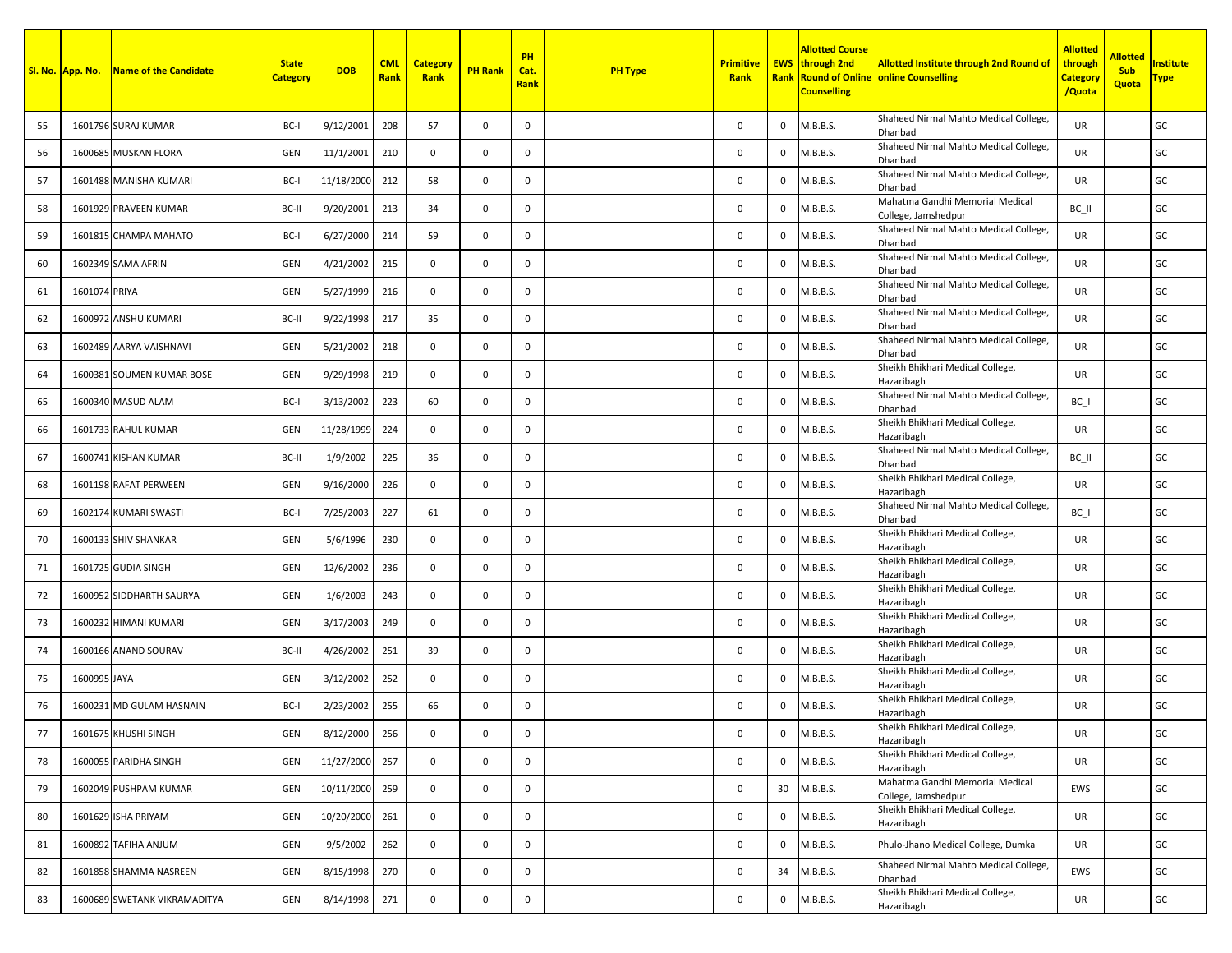|         | Sl. No. App. No. | Name of the Candidate        | <b>State</b><br><b>Category</b> | <b>DOB</b> | <b>CML</b><br>Rank | <b>Category</b><br>Rank | <b>PH Rank</b> | PH<br>Cat.<br><b>Rank</b> | <b>PH Type</b> | <b>Primitive</b><br>Rank |                | <b>Allotted Course</b><br><b>EWS</b> through 2nd<br><b>Counselling</b> | <b>Allotted Institute through 2nd Round of</b><br><b>Rank Round of Online online Counselling</b> | <b>Allotted</b><br>through<br><b>Category</b><br>/Quota | <b>Allotted</b><br><b>Sub</b><br><b>Quota</b> | <b>Institute</b><br><u>Type </u> |
|---------|------------------|------------------------------|---------------------------------|------------|--------------------|-------------------------|----------------|---------------------------|----------------|--------------------------|----------------|------------------------------------------------------------------------|--------------------------------------------------------------------------------------------------|---------------------------------------------------------|-----------------------------------------------|----------------------------------|
| 55      |                  | 1601796 SURAJ KUMAR          | BC-I                            | 9/12/2001  | 208                | 57                      | $\mathbf 0$    | 0                         |                | 0                        | 0              | M.B.B.S.                                                               | Shaheed Nirmal Mahto Medical College,<br>Dhanbad                                                 | <b>UR</b>                                               |                                               | GC                               |
| 56      |                  | 1600685 MUSKAN FLORA         | GEN                             | 11/1/2001  | 210                | $\mathbf{0}$            | $\mathbf 0$    | 0                         |                | 0                        | 0              | M.B.B.S.                                                               | Shaheed Nirmal Mahto Medical College,<br>Dhanbad                                                 | <b>UR</b>                                               |                                               | GC                               |
| 57      |                  | 1601488 MANISHA KUMARI       | BC-I                            | 11/18/2000 | 212                | 58                      | $\mathbf 0$    | $\mathbf 0$               |                | 0                        | 0              | M.B.B.S.                                                               | Shaheed Nirmal Mahto Medical College,<br>Dhanbad                                                 | <b>UR</b>                                               |                                               | GC                               |
| 58      |                  | 1601929 PRAVEEN KUMAR        | BC-II                           | 9/20/2001  | 213                | 34                      | $\mathbf 0$    | $\mathbf 0$               |                | 0                        | 0              | M.B.B.S.                                                               | Mahatma Gandhi Memorial Medical<br>College, Jamshedpur                                           | BC II                                                   |                                               | GC                               |
| 59      |                  | 1601815 CHAMPA MAHATO        | BC-I                            | 6/27/2000  | 214                | 59                      | $\mathbf 0$    | $\mathbf 0$               |                | 0                        | $\mathbf 0$    | M.B.B.S.                                                               | Shaheed Nirmal Mahto Medical College,<br>Dhanbad                                                 | <b>UR</b>                                               |                                               | GC                               |
| 60      |                  | 1602349 SAMA AFRIN           | GEN                             | 4/21/2002  | 215                | $\mathbf 0$             | $\mathbf 0$    | $\mathbf 0$               |                | 0                        | $\mathbf 0$    | M.B.B.S.                                                               | Shaheed Nirmal Mahto Medical College,<br>Dhanbad                                                 | <b>UR</b>                                               |                                               | GC                               |
| 61      | 1601074 PRIYA    |                              | GEN                             | 5/27/1999  | 216                | $\mathbf 0$             | $\mathbf 0$    | $\mathbf 0$               |                | 0                        | 0              | M.B.B.S.                                                               | Shaheed Nirmal Mahto Medical College,<br>Dhanbad                                                 | <b>UR</b>                                               |                                               | GC                               |
| 62      |                  | 1600972 ANSHU KUMARI         | BC-II                           | 9/22/1998  | 217                | 35                      | $\mathbf 0$    | $\mathbf 0$               |                | 0                        | $\mathbf 0$    | M.B.B.S.                                                               | Shaheed Nirmal Mahto Medical College,<br>Dhanbad                                                 | <b>UR</b>                                               |                                               | GC                               |
| 63      |                  | 1602489 AARYA VAISHNAVI      | GEN                             | 5/21/2002  | 218                | $\mathbf{0}$            | $\mathsf 0$    | 0                         |                | 0                        | 0              | M.B.B.S.                                                               | Shaheed Nirmal Mahto Medical College,<br>Dhanbad                                                 | <b>UR</b>                                               |                                               | GC                               |
| 64      |                  | 1600381 SOUMEN KUMAR BOSE    | GEN                             | 9/29/1998  | 219                | $\mathbf{0}$            | $\mathbf 0$    | 0                         |                | 0                        | 0              | M.B.B.S.                                                               | Sheikh Bhikhari Medical College,<br>Hazaribagh                                                   | UR                                                      |                                               | GC                               |
| 65      |                  | 1600340 MASUD ALAM           | BC-I                            | 3/13/2002  | 223                | 60                      | $\mathsf 0$    | $\mathbf 0$               |                | 0                        | $\mathbf 0$    | M.B.B.S.                                                               | Shaheed Nirmal Mahto Medical College,<br>Dhanbad                                                 | BC I                                                    |                                               | GC                               |
| 66      |                  | 1601733 RAHUL KUMAR          | GEN                             | 11/28/1999 | 224                | $\mathbf 0$             | $\mathbf 0$    | 0                         |                | 0                        | $\mathbf 0$    | M.B.B.S.                                                               | Sheikh Bhikhari Medical College,<br>Hazaribagh                                                   | UR                                                      |                                               | GC                               |
| 67      |                  | 1600741 KISHAN KUMAR         | BC-II                           | 1/9/2002   | 225                | 36                      | $\mathbf 0$    | 0                         |                | 0                        | $\mathbf 0$    | M.B.B.S.                                                               | Shaheed Nirmal Mahto Medical College,<br>Dhanbad                                                 | BC II                                                   |                                               | GC                               |
| 68      |                  | 1601198 RAFAT PERWEEN        | GEN                             | 9/16/2000  | 226                | $\mathbf{0}$            | $\mathbf 0$    | 0                         |                | 0                        | $\mathbf 0$    | M.B.B.S.                                                               | Sheikh Bhikhari Medical College,<br>Hazaribagh                                                   | <b>UR</b>                                               |                                               | GC                               |
| 69      |                  | 1602174 KUMARI SWASTI        | BC-I                            | 7/25/2003  | 227                | 61                      | $\mathbf 0$    | 0                         |                | 0                        | 0              | M.B.B.S.                                                               | Shaheed Nirmal Mahto Medical College,<br>Dhanbad                                                 | BC I                                                    |                                               | GC                               |
| 70      |                  | 1600133 SHIV SHANKAR         | GEN                             | 5/6/1996   | 230                | $\mathbf{0}$            | $\mathbf 0$    | $\mathbf 0$               |                | 0                        | 0              | M.B.B.S.                                                               | Sheikh Bhikhari Medical College,<br>Hazaribagh                                                   | UR                                                      |                                               | GC                               |
| 71      |                  | 1601725 GUDIA SINGH          | GEN                             | 12/6/2002  | 236                | $\mathbf{0}$            | $\mathbf 0$    | $\mathbf 0$               |                | 0                        | $\overline{0}$ | M.B.B.S.                                                               | Sheikh Bhikhari Medical College,<br>Hazaribagh                                                   | UR                                                      |                                               | GC                               |
| 72      |                  | 1600952 SIDDHARTH SAURYA     | GEN                             | 1/6/2003   | 243                | $\mathbf{0}$            | $\mathbf 0$    | 0                         |                | 0                        | $\mathbf 0$    | M.B.B.S.                                                               | Sheikh Bhikhari Medical College,<br>Hazaribagh                                                   | UR                                                      |                                               | GC                               |
| 73      |                  | 1600232 HIMANI KUMARI        | GEN                             | 3/17/2003  | 249                | $\mathbf{0}$            | $\mathbf 0$    | $\mathbf 0$               |                | 0                        | $^{\circ}$     | M.B.B.S.                                                               | Sheikh Bhikhari Medical College,<br>Hazaribagh                                                   | UR                                                      |                                               | GC                               |
| 74      |                  | 1600166 ANAND SOURAV         | BC-II                           | 4/26/2002  | 251                | 39                      | $\mathbf 0$    | 0                         |                | 0                        | 0              | M.B.B.S.                                                               | Sheikh Bhikhari Medical College,<br>Hazaribagh                                                   | UR                                                      |                                               | GC                               |
| 75      | 1600995 JAYA     |                              | GEN                             | 3/12/2002  | 252                | $\mathbf 0$             | $\mathbf 0$    | 0                         |                | 0                        | 0              | M.B.B.S.                                                               | Sheikh Bhikhari Medical College,<br>Hazaribagh                                                   | UR                                                      |                                               | GC                               |
| 76      |                  | 1600231 MD GULAM HASNAIN     | BC-I                            | 2/23/2002  | 255                | 66                      | $\mathsf 0$    | 0                         |                | 0                        | 0              | M.B.B.S.                                                               | Sheikh Bhikhari Medical College,<br>Hazaribagh                                                   | UR                                                      |                                               | GC                               |
| $77 \,$ |                  | 1601675 KHUSHI SINGH         | GEN                             | 8/12/2000  | 256                | 0                       | $\mathsf 0$    | $\mathsf 0$               |                | 0                        | $\mathsf 0$    | M.B.B.S.                                                               | Sheikh Bhikhari Medical College,<br>Hazaribagh                                                   | UR                                                      |                                               | GC                               |
| 78      |                  | 1600055 PARIDHA SINGH        | GEN                             | 11/27/2000 | 257                | $\mathbf 0$             | $\mathbf 0$    | 0                         |                | 0                        | $\mathbf 0$    | M.B.B.S.                                                               | Sheikh Bhikhari Medical College,<br>Hazaribagh                                                   | UR                                                      |                                               | GC                               |
| 79      |                  | 1602049 PUSHPAM KUMAR        | GEN                             | 10/11/2000 | 259                | $\mathbf 0$             | $\mathbf 0$    | 0                         |                | 0                        | 30             | M.B.B.S.                                                               | Mahatma Gandhi Memorial Medical<br>College, Jamshedpur                                           | EWS                                                     |                                               | GC                               |
| 80      |                  | 1601629 ISHA PRIYAM          | GEN                             | 10/20/2000 | 261                | $\mathbf 0$             | $\mathbf 0$    | 0                         |                | 0                        | $\mathbf{0}$   | M.B.B.S.                                                               | Sheikh Bhikhari Medical College,<br>Hazaribagh                                                   | <b>UR</b>                                               |                                               | GC                               |
| 81      |                  | 1600892 TAFIHA ANJUM         | GEN                             | 9/5/2002   | 262                | $\mathbf 0$             | $\mathbf 0$    | $\mathbf 0$               |                | 0                        | 0              | M.B.B.S.                                                               | Phulo-Jhano Medical College, Dumka                                                               | UR                                                      |                                               | GC                               |
| 82      |                  | 1601858 SHAMMA NASREEN       | GEN                             | 8/15/1998  | 270                | $\mathbf 0$             | $\mathbf 0$    | 0                         |                | 0                        | 34             | M.B.B.S.                                                               | Shaheed Nirmal Mahto Medical College,<br>Dhanbad                                                 | EWS                                                     |                                               | GC                               |
| 83      |                  | 1600689 SWETANK VIKRAMADITYA | GEN                             | 8/14/1998  | 271                | $\mathbf 0$             | $\mathbf 0$    | 0                         |                | $\mathbf 0$              | $\mathbf{0}$   | M.B.B.S.                                                               | Sheikh Bhikhari Medical College,<br>Hazaribagh                                                   | UR                                                      |                                               | GC                               |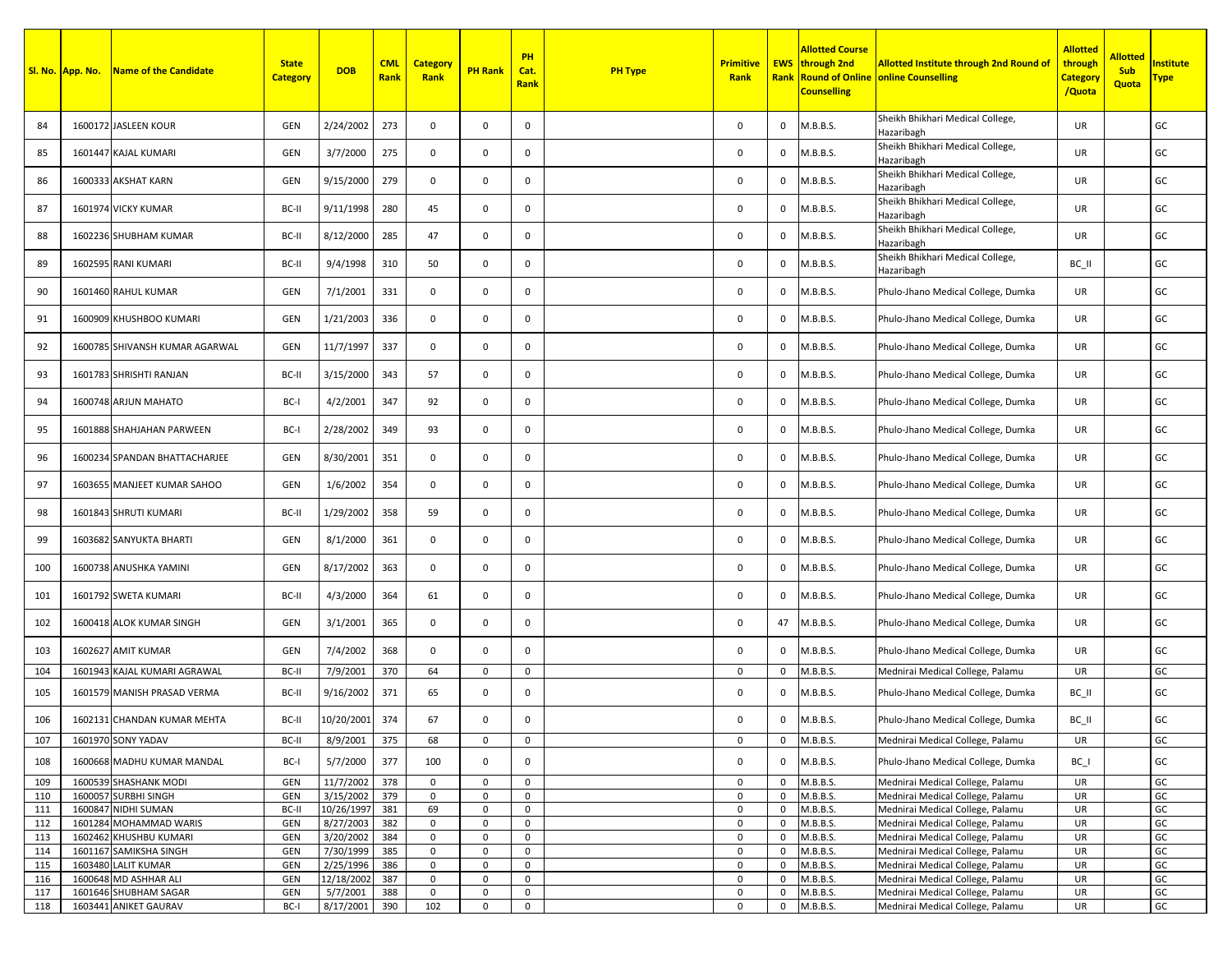|            | Sl. No. App. No. | <b>Name of the Candidate</b>                      | <b>State</b><br><b>Category</b> | <b>DOB</b>             | <b>CML</b><br>Rank | <b>Category</b><br>Rank | <b>PH Rank</b>             | PH<br>Cat.<br><b>Rank</b> | <b>PH Type</b> | <b>Primitive</b><br>Rank   |                            | <b>Allotted Course</b><br><b>EWS</b> through 2nd<br><b>Counselling</b> | <b>Allotted Institute through 2nd Round of</b><br><b>Rank Round of Online online Counselling</b> | <b>Allotted</b><br>through<br><b>Category</b><br>/Quota | <mark>Allotted</mark><br>Sub<br>Quota | <b>Institute</b><br><u>Type </u> |
|------------|------------------|---------------------------------------------------|---------------------------------|------------------------|--------------------|-------------------------|----------------------------|---------------------------|----------------|----------------------------|----------------------------|------------------------------------------------------------------------|--------------------------------------------------------------------------------------------------|---------------------------------------------------------|---------------------------------------|----------------------------------|
| 84         |                  | 1600172 JASLEEN KOUR                              | GEN                             | 2/24/2002              | 273                | $\mathbf 0$             | $\mathbf 0$                | 0                         |                | 0                          | 0                          | M.B.B.S.                                                               | Sheikh Bhikhari Medical College,<br>Hazaribagh                                                   | UR                                                      |                                       | GC                               |
| 85         |                  | 1601447 KAJAL KUMARI                              | GEN                             | 3/7/2000               | 275                | 0                       | $\mathbf 0$                | 0                         |                | 0                          | $\mathbf{0}$               | M.B.B.S.                                                               | Sheikh Bhikhari Medical College,<br>Hazaribagh                                                   | UR                                                      |                                       | GC                               |
| 86         |                  | 1600333 AKSHAT KARN                               | GEN                             | 9/15/2000              | 279                | $\mathbf{0}$            | $\mathsf 0$                | $\mathbf 0$               |                | 0                          | $\mathbf{0}$               | M.B.B.S.                                                               | Sheikh Bhikhari Medical College,<br>Hazaribagh                                                   | UR                                                      |                                       | GC                               |
| 87         |                  | 1601974 VICKY KUMAR                               | BC-II                           | 9/11/1998              | 280                | 45                      | $\mathbf 0$                | 0                         |                | 0                          | $\mathbf{0}$               | M.B.B.S.                                                               | Sheikh Bhikhari Medical College,<br>Hazaribagh                                                   | UR                                                      |                                       | GC                               |
| 88         |                  | 1602236 SHUBHAM KUMAR                             | BC-II                           | 8/12/2000              | 285                | 47                      | $\mathsf 0$                | $\mathbf 0$               |                | 0                          | $\mathbf{0}$               | M.B.B.S.                                                               | Sheikh Bhikhari Medical College,<br>Hazaribagh                                                   | UR                                                      |                                       | GC                               |
| 89         |                  | 1602595 RANI KUMARI                               | BC-II                           | 9/4/1998               | 310                | 50                      | $\mathbf 0$                | 0                         |                | 0                          | 0                          | M.B.B.S.                                                               | Sheikh Bhikhari Medical College,<br>Hazaribagh                                                   | BC_II                                                   |                                       | GC                               |
| 90         |                  | 1601460 RAHUL KUMAR                               | GEN                             | 7/1/2001               | 331                | 0                       | $\mathbf 0$                | 0                         |                | 0                          | 0                          | M.B.B.S.                                                               | Phulo-Jhano Medical College, Dumka                                                               | UR                                                      |                                       | GC                               |
| 91         |                  | 1600909 KHUSHBOO KUMARI                           | GEN                             | 1/21/2003              | 336                | 0                       | $\mathbf 0$                | 0                         |                | 0                          | $\mathbf 0$                | M.B.B.S.                                                               | Phulo-Jhano Medical College, Dumka                                                               | UR                                                      |                                       | GC                               |
| 92         |                  | 1600785 SHIVANSH KUMAR AGARWAL                    | GEN                             | 11/7/1997              | 337                | $\mathbf 0$             | $\mathsf 0$                | 0                         |                | 0                          | 0                          | M.B.B.S.                                                               | Phulo-Jhano Medical College, Dumka                                                               | UR                                                      |                                       | GC                               |
| 93         |                  | 1601783 SHRISHTI RANJAN                           | BC-II                           | 3/15/2000              | 343                | 57                      | $\mathbf 0$                | 0                         |                | 0                          | $\mathbf{0}$               | M.B.B.S.                                                               | Phulo-Jhano Medical College, Dumka                                                               | UR                                                      |                                       | GC                               |
| 94         |                  | 1600748 ARJUN MAHATO                              | BC-I                            | 4/2/2001               | 347                | 92                      | $\mathsf 0$                | 0                         |                | 0                          | $\mathbf 0$                | M.B.B.S.                                                               | Phulo-Jhano Medical College, Dumka                                                               | UR                                                      |                                       | GC                               |
| 95         |                  | 1601888 SHAHJAHAN PARWEEN                         | BC-I                            | 2/28/2002              | 349                | 93                      | $\mathbf 0$                | 0                         |                | 0                          | $\mathbf 0$                | M.B.B.S.                                                               | Phulo-Jhano Medical College, Dumka                                                               | UR                                                      |                                       | GC                               |
| 96         |                  | 1600234 SPANDAN BHATTACHARJEE                     | GEN                             | 8/30/2001              | 351                | 0                       | $\mathbf 0$                | 0                         |                | 0                          | 0                          | M.B.B.S.                                                               | Phulo-Jhano Medical College, Dumka                                                               | UR                                                      |                                       | GC                               |
| 97         |                  | 1603655 MANJEET KUMAR SAHOO                       | GEN                             | 1/6/2002               | 354                | 0                       | $\mathbf 0$                | 0                         |                | 0                          | $\mathbf{0}$               | M.B.B.S.                                                               | Phulo-Jhano Medical College, Dumka                                                               | UR                                                      |                                       | GC                               |
| 98         |                  | 1601843 SHRUTI KUMARI                             | BC-II                           | 1/29/2002              | 358                | 59                      | $\mathsf 0$                | 0                         |                | 0                          | 0                          | M.B.B.S.                                                               | Phulo-Jhano Medical College, Dumka                                                               | UR                                                      |                                       | GC                               |
| 99         |                  | 1603682 SANYUKTA BHARTI                           | GEN                             | 8/1/2000               | 361                | $\mathbf 0$             | $\mathsf 0$                | 0                         |                | 0                          | $\mathbf{0}$               | M.B.B.S.                                                               | Phulo-Jhano Medical College, Dumka                                                               | UR                                                      |                                       | GC                               |
| 100        |                  | 1600738 ANUSHKA YAMINI                            | GEN                             | 8/17/2002              | 363                | $\mathbf 0$             | $\mathbf 0$                | 0                         |                | 0                          | 0                          | M.B.B.S.                                                               | Phulo-Jhano Medical College, Dumka                                                               | UR                                                      |                                       | GC                               |
| 101        |                  | 1601792 SWETA KUMARI                              | BC-II                           | 4/3/2000               | 364                | 61                      | $\mathbf 0$                | 0                         |                | 0                          | $\mathbf{0}$               | M.B.B.S.                                                               | Phulo-Jhano Medical College, Dumka                                                               | UR                                                      |                                       | GC                               |
| 102        |                  | 1600418 ALOK KUMAR SINGH                          | GEN                             | 3/1/2001               | 365                | $\mathbf 0$             | $\mathbf 0$                | 0                         |                | 0                          | 47                         | M.B.B.S.                                                               | Phulo-Jhano Medical College, Dumka                                                               | UR                                                      |                                       | GC                               |
| 103        |                  | 1602627 AMIT KUMAR                                | GEN                             | 7/4/2002               | 368                | 0                       | $\mathbf 0$                | 0                         |                | 0                          | 0                          | M.B.B.S.                                                               | Phulo-Jhano Medical College, Dumka                                                               | UR                                                      |                                       | GC                               |
| 104        |                  | 1601943 KAJAL KUMARI AGRAWAL                      | BC-II                           | 7/9/2001               | 370                | 64                      | $\mathbf 0$                | $\mathbf 0$               |                | $\mathbf 0$                | $\mathbf 0$                | M.B.B.S.                                                               | Mednirai Medical College, Palamu                                                                 | UR                                                      |                                       | GC                               |
| 105        |                  | 1601579 MANISH PRASAD VERMA                       | BC-II                           | 9/16/2002              | 371                | 65                      | $\mathbf 0$                | 0                         |                | 0                          | 0                          | M.B.B.S.                                                               | Phulo-Jhano Medical College, Dumka                                                               | BC_II                                                   |                                       | GC                               |
| 106        |                  | 1602131 CHANDAN KUMAR MEHTA<br>1601970 SONY YADAV | BC-II<br>BC-II                  | 10/20/2001             | 374<br>375         | 67<br>68                | $\mathbf 0$<br>$\mathbf 0$ | 0<br>$\mathsf 0$          |                | 0<br>$\mathbf 0$           | 0<br>$\mathsf 0$           | M.B.B.S.<br>M.B.B.S.                                                   | Phulo-Jhano Medical College, Dumka                                                               | BC_II<br>UR                                             |                                       | GC<br>GC                         |
| 107<br>108 |                  | 1600668 MADHU KUMAR MANDAL                        | BC-I                            | 8/9/2001<br>5/7/2000   | 377                | 100                     | $\mathsf 0$                | 0                         |                | 0                          | $\mathsf 0$                | M.B.B.S.                                                               | Mednirai Medical College, Palamu<br>Phulo-Jhano Medical College, Dumka                           |                                                         |                                       | GC                               |
|            |                  |                                                   |                                 |                        |                    |                         |                            |                           |                |                            |                            |                                                                        |                                                                                                  | $BC_$                                                   |                                       |                                  |
| 109<br>110 |                  | 1600539 SHASHANK MODI<br>1600057 SURBHI SINGH     | GEN<br>GEN                      | 11/7/2002<br>3/15/2002 | 378<br>379         | 0<br>$\mathbf 0$        | $\mathsf 0$<br>$\mathbf 0$ | 0<br>0                    |                | $\mathbf 0$<br>$\mathbf 0$ | $\mathsf 0$<br>$\mathsf 0$ | M.B.B.S.<br>M.B.B.S.                                                   | Mednirai Medical College, Palamu<br>Mednirai Medical College, Palamu                             | UR<br>UR                                                |                                       | GC<br>GC                         |
| 111        |                  | 1600847 NIDHI SUMAN                               | BC-II                           | 10/26/1997             | 381                | 69                      | $\mathbf 0$                | 0                         |                | 0                          | $\mathbf 0$                | M.B.B.S.                                                               | Mednirai Medical College, Palamu                                                                 | UR                                                      |                                       | GC                               |
| 112        |                  | 1601284 MOHAMMAD WARIS                            | GEN                             | 8/27/2003              | 382                | 0                       | $\mathbf 0$                | 0                         |                | 0                          | $\mathbf 0$                | M.B.B.S.                                                               | Mednirai Medical College, Palamu                                                                 | UR                                                      |                                       | GC                               |
| 113        |                  | 1602462 KHUSHBU KUMARI                            | GEN                             | 3/20/2002              | 384                | $\mathbf 0$             | $\mathsf 0$                | 0                         |                | 0                          | $\mathbf 0$                | M.B.B.S.                                                               | Mednirai Medical College, Palamu                                                                 | UR                                                      |                                       | GC                               |
| 114        |                  | 1601167 SAMIKSHA SINGH                            | GEN                             | 7/30/1999              | 385                | $\mathsf 0$             | $\mathbf 0$                | 0                         |                | 0                          | 0                          | M.B.B.S.                                                               | Mednirai Medical College, Palamu                                                                 | UR                                                      |                                       | GC                               |
| 115        |                  | 1603480 LALIT KUMAR                               | GEN                             | 2/25/1996              | 386                | $\mathbf 0$             | $\mathbf 0$                | 0                         |                | $\mathsf 0$                | $\mathsf 0$                | M.B.B.S.                                                               | Mednirai Medical College, Palamu                                                                 | UR                                                      |                                       | GC                               |
| 116        |                  | 1600648 MD ASHHAR ALI                             | GEN                             | 12/18/2002             | 387                | 0                       | $\mathbf 0$                | 0                         |                | 0                          | $\mathbf 0$                | M.B.B.S.                                                               | Mednirai Medical College, Palamu                                                                 | UR                                                      |                                       | GC                               |
| 117        |                  | 1601646 SHUBHAM SAGAR                             | GEN                             | 5/7/2001               | 388                | 0                       | $\mathsf 0$                | 0                         |                | 0                          | $\mathbf 0$                | M.B.B.S.                                                               | Mednirai Medical College, Palamu                                                                 | UR                                                      |                                       | GC                               |
| 118        |                  | 1603441 ANIKET GAURAV                             | BC-I                            | 8/17/2001              | 390                | 102                     | $\mathsf 0$                | $\mathbf 0$               |                | 0                          | $\mathbf 0$                | M.B.B.S.                                                               | Mednirai Medical College, Palamu                                                                 | UR                                                      |                                       | GC                               |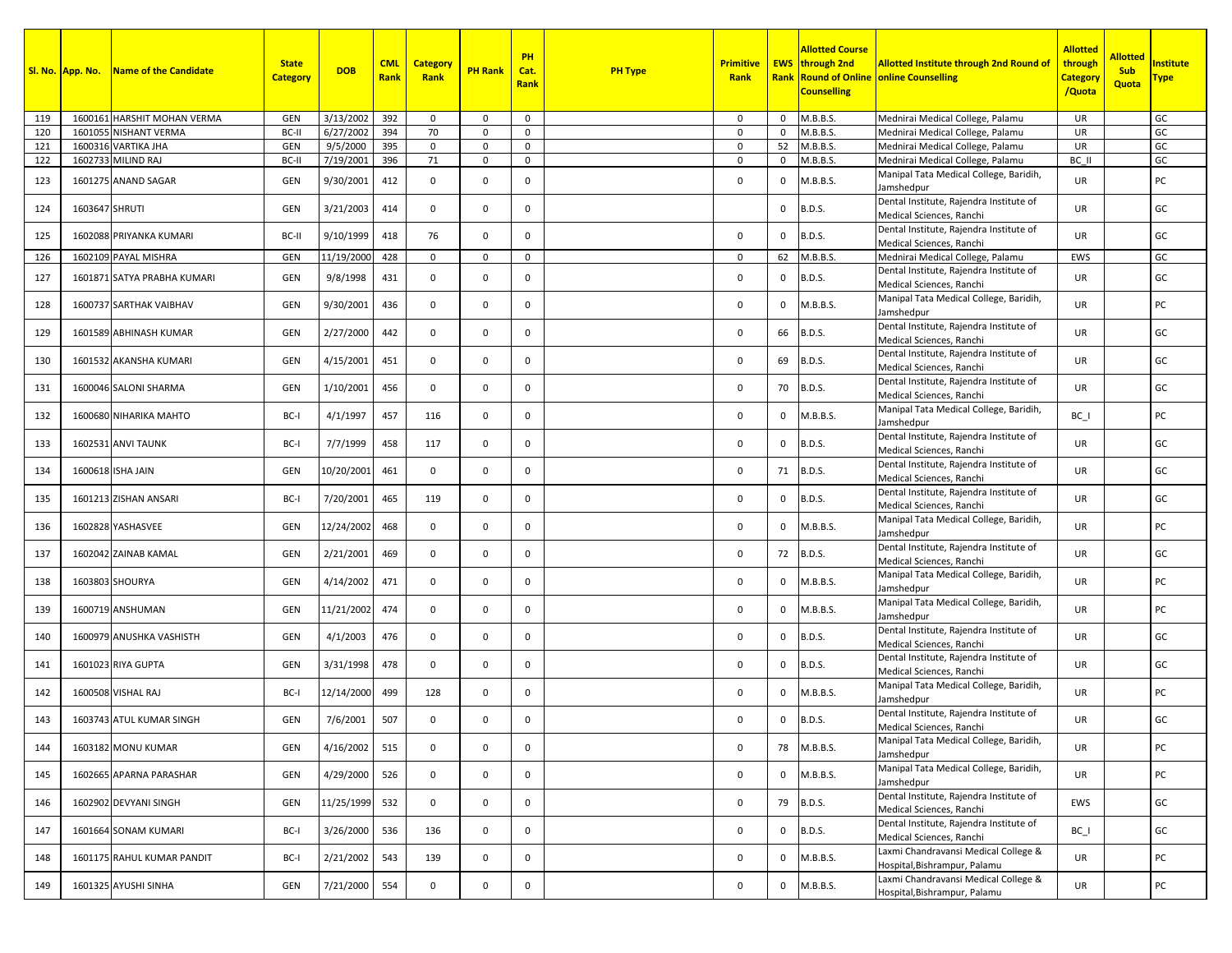|     | Sl. No. App. No. | Name of the Candidate       | <b>State</b><br><b>Category</b> | <b>DOB</b> | <b>CML</b><br>Rank | <b>Category</b><br>Rank | <b>PH Rank</b> | <b>PH</b><br>Cat.<br><b>Rank</b> | <b>PH Type</b> | <b>Primitive</b><br>Rank |              | Allotted Course<br><b>EWS</b> through 2nd<br><b>Counselling</b> | <b>Allotted Institute through 2nd Round of</b><br><b>Rank Round of Online online Counselling</b> | Allotted<br>through<br><b>Category</b><br>/Quota | <b>Allotted</b><br><b>Sub</b><br>Quota | nstitute:<br><u> Гуре</u> |
|-----|------------------|-----------------------------|---------------------------------|------------|--------------------|-------------------------|----------------|----------------------------------|----------------|--------------------------|--------------|-----------------------------------------------------------------|--------------------------------------------------------------------------------------------------|--------------------------------------------------|----------------------------------------|---------------------------|
| 119 |                  | 1600161 HARSHIT MOHAN VERMA | GEN                             | 3/13/2002  | 392                | 0                       | $\mathbf 0$    | $\mathbf 0$                      |                | 0                        | 0            | M.B.B.S.                                                        | Mednirai Medical College, Palamu                                                                 | UR                                               |                                        | GC                        |
| 120 |                  | 1601055 NISHANT VERMA       | BC-II                           | 6/27/2002  | 394                | 70                      | $\mathbf{0}$   | 0                                |                | $\Omega$                 | 0            | M.B.B.S.                                                        | Mednirai Medical College, Palamu                                                                 | UR                                               |                                        | GC                        |
| 121 |                  | 1600316 VARTIKA JHA         | <b>GEN</b>                      | 9/5/2000   | 395                | $\mathbf 0$             | 0              | $\mathbf 0$                      |                | $\Omega$                 | 52           | M.B.B.S.                                                        | Mednirai Medical College, Palamu                                                                 | <b>UR</b>                                        |                                        | GC                        |
| 122 |                  | 1602733 MILIND RAJ          | BC-II                           | 7/19/2001  | 396                | 71                      | $\mathbf 0$    | 0                                |                | $\Omega$                 | 0            | M.B.B.S.                                                        | Mednirai Medical College, Palamu<br>Manipal Tata Medical College, Baridih,                       | BC II                                            |                                        | GC                        |
| 123 |                  | 1601275 ANAND SAGAR         | GEN                             | 9/30/2001  | 412                | 0                       | $\mathbf{0}$   | 0                                |                | 0                        | 0            | M.B.B.S.                                                        | Jamshedpur                                                                                       | UR.                                              |                                        | PC                        |
| 124 | 1603647 SHRUTI   |                             | GEN                             | 3/21/2003  | 414                | 0                       | $\mathbf{0}$   | $\mathbf 0$                      |                |                          | $\mathbf{0}$ | <b>B.D.S.</b>                                                   | Dental Institute, Rajendra Institute of<br>Medical Sciences, Ranchi                              | <b>UR</b>                                        |                                        | GC                        |
| 125 |                  | 1602088 PRIYANKA KUMARI     | BC-II                           | 9/10/1999  | 418                | 76                      | $\mathbf 0$    | 0                                |                | 0                        | $\mathbf{0}$ | <b>B.D.S.</b>                                                   | Dental Institute, Rajendra Institute of<br>Medical Sciences, Ranchi                              | <b>UR</b>                                        |                                        | GC                        |
| 126 |                  | 1602109 PAYAL MISHRA        | <b>GEN</b>                      | 11/19/2000 | 428                | $\mathbf 0$             | $\mathbf 0$    | 0                                |                | 0                        | 62           | M.B.B.S.                                                        | Mednirai Medical College, Palamu                                                                 | EWS                                              |                                        | GC                        |
| 127 |                  | 1601871 SATYA PRABHA KUMARI | GEN                             | 9/8/1998   | 431                | $\mathbf 0$             | $\mathbf 0$    | 0                                |                | $\mathbf 0$              | 0            | <b>B.D.S.</b>                                                   | Dental Institute, Rajendra Institute of<br>Medical Sciences, Ranchi                              | UR                                               |                                        | GC                        |
| 128 |                  | 1600737 SARTHAK VAIBHAV     | GEN                             | 9/30/2001  | 436                | 0                       | 0              | $\mathbf 0$                      |                | $\Omega$                 | 0            | M.B.B.S.                                                        | Manipal Tata Medical College, Baridih,<br>Jamshedpur                                             | <b>UR</b>                                        |                                        | PC                        |
| 129 |                  | 1601589 ABHINASH KUMAR      | GEN                             | 2/27/2000  | 442                | 0                       | 0              | 0                                |                | $\mathbf 0$              | 66           | <b>B.D.S.</b>                                                   | Dental Institute, Rajendra Institute of<br>Medical Sciences, Ranchi                              | <b>UR</b>                                        |                                        | GC                        |
| 130 |                  | 1601532 AKANSHA KUMARI      | GEN                             | 4/15/2001  | 451                | 0                       | 0              | $\mathbf 0$                      |                | $\Omega$                 | 69           | <b>B.D.S.</b>                                                   | Dental Institute, Rajendra Institute of<br>Medical Sciences, Ranchi                              | <b>UR</b>                                        |                                        | GC                        |
| 131 |                  | 1600046 SALONI SHARMA       | GEN                             | 1/10/2001  | 456                | 0                       | 0              | 0                                |                | 0                        | 70           | <b>B.D.S.</b>                                                   | Dental Institute, Rajendra Institute of<br>Medical Sciences, Ranchi                              | <b>UR</b>                                        |                                        | GC                        |
| 132 |                  | 1600680 NIHARIKA MAHTO      | BC-I                            | 4/1/1997   | 457                | 116                     | 0              | $\mathbf 0$                      |                | $\mathbf 0$              | 0            | M.B.B.S.                                                        | Manipal Tata Medical College, Baridih,<br>Jamshedpur                                             | BC I                                             |                                        | PC                        |
| 133 |                  | 1602531 ANVI TAUNK          | BC-I                            | 7/7/1999   | 458                | 117                     | 0              | 0                                |                | $\mathbf 0$              | 0            | <b>B.D.S.</b>                                                   | Dental Institute, Rajendra Institute of<br>Medical Sciences, Ranchi                              | <b>UR</b>                                        |                                        | GC                        |
| 134 |                  | 1600618 ISHA JAIN           | GEN                             | 10/20/2001 | 461                | $\mathbf 0$             | $\mathbf 0$    | $\mathbf{0}$                     |                | $\Omega$                 |              | 71 B.D.S.                                                       | Dental Institute, Rajendra Institute of<br>Medical Sciences, Ranchi                              | <b>UR</b>                                        |                                        | GC                        |
| 135 |                  | 1601213 ZISHAN ANSARI       | BC-I                            | 7/20/2001  | 465                | 119                     | $\mathbf 0$    | $\mathbf 0$                      |                | $\mathbf 0$              | 0            | <b>B.D.S.</b>                                                   | Dental Institute, Rajendra Institute of<br>Medical Sciences, Ranchi                              | <b>UR</b>                                        |                                        | GC                        |
| 136 |                  | 1602828 YASHASVEE           | GEN                             | 12/24/2002 | 468                | 0                       | $\mathbf 0$    | 0                                |                | $\Omega$                 | 0            | M.B.B.S.                                                        | Manipal Tata Medical College, Baridih,<br>Jamshedpur                                             | UR.                                              |                                        | PC                        |
| 137 |                  | 1602042 ZAINAB KAMAL        | GEN                             | 2/21/2001  | 469                | 0                       | $\mathbf{0}$   | 0                                |                | 0                        | 72           | <b>B.D.S.</b>                                                   | Dental Institute, Rajendra Institute of<br>Medical Sciences, Ranchi                              | UR.                                              |                                        | GC                        |
| 138 |                  | 1603803 SHOURYA             | GEN                             | 4/14/2002  | 471                | 0                       | $\mathbf 0$    | 0                                |                | $\mathbf 0$              | $\mathbf{0}$ | M.B.B.S.                                                        | Manipal Tata Medical College, Baridih,<br>Jamshedpur                                             | UR                                               |                                        | PC                        |
| 139 |                  | 1600719 ANSHUMAN            | <b>GEN</b>                      | 11/21/2002 | 474                | 0                       | 0              | $\mathbf 0$                      |                | $\Omega$                 | $\mathbf{0}$ | M.B.B.S.                                                        | Manipal Tata Medical College, Baridih,<br>Jamshedpur                                             | <b>UR</b>                                        |                                        | PC                        |
| 140 |                  | 1600979 ANUSHKA VASHISTH    | <b>GEN</b>                      | 4/1/2003   | 476                | 0                       | 0              | $^{\circ}$                       |                | $\mathbf 0$              | $\mathbf{0}$ | <b>B.D.S.</b>                                                   | Dental Institute, Rajendra Institute of<br>Medical Sciences, Ranchi                              | <b>UR</b>                                        |                                        | GC                        |
| 141 |                  | 1601023 RIYA GUPTA          | <b>GEN</b>                      | 3/31/1998  | 478                | $\Omega$                | 0              | $^{\circ}$                       |                | $\mathbf 0$              | 0            | <b>B.D.S.</b>                                                   | Dental Institute, Rajendra Institute of<br>Medical Sciences, Ranchi                              | <b>UR</b>                                        |                                        | GC                        |
| 142 |                  | 1600508 VISHAL RAJ          | BC-I                            | 12/14/2000 | 499                | 128                     | 0              | $^{\circ}$                       |                | $\Omega$                 | $\mathbf{0}$ | M.B.B.S.                                                        | Manipal Tata Medical College, Baridih,<br>Jamshedpur                                             | UR.                                              |                                        | PC                        |
| 143 |                  | 1603743 ATUL KUMAR SINGH    | <b>GEN</b>                      | 7/6/2001   | 507                | 0                       | $\Omega$       | $^{\circ}$                       |                | $\Omega$                 | 0            | <b>B.D.S.</b>                                                   | Dental Institute, Rajendra Institute of<br>Medical Sciences, Ranchi                              | UR.                                              |                                        | GC                        |
| 144 |                  | 1603182 MONU KUMAR          | <b>GEN</b>                      | 4/16/2002  | 515                | $\mathbf 0$             | $\mathbf 0$    | 0                                |                | 0                        | 78           | M.B.B.S.                                                        | Manipal Tata Medical College, Baridih,<br>Jamshedpur                                             | UR                                               |                                        | PC                        |
| 145 |                  | 1602665 APARNA PARASHAR     | GEN                             | 4/29/2000  | 526                | $\mathsf{O}$            | $\mathbf 0$    | $\mathsf{o}$                     |                | $\mathsf 0$              | 0            | M.B.B.S.                                                        | Manipal Tata Medical College, Baridih,<br>Jamshedpur                                             | UR                                               |                                        | PC                        |
| 146 |                  | 1602902 DEVYANI SINGH       | GEN                             | 11/25/1999 | 532                | $\mathsf{O}$            | $\mathbf 0$    | $\mathsf{o}$                     |                | 0                        | 79           | <b>B.D.S.</b>                                                   | Dental Institute, Rajendra Institute of<br>Medical Sciences, Ranchi                              | EWS                                              |                                        | GC                        |
| 147 |                  | 1601664 SONAM KUMARI        | BC-I                            | 3/26/2000  | 536                | 136                     | $\mathbf 0$    | $\mathbf 0$                      |                | 0                        | 0            | <b>B.D.S.</b>                                                   | Dental Institute, Rajendra Institute of<br>Medical Sciences, Ranchi                              | $BC_$                                            |                                        | GC                        |
| 148 |                  | 1601175 RAHUL KUMAR PANDIT  | BC-I                            | 2/21/2002  | 543                | 139                     | $\mathbf 0$    | 0                                |                | 0                        | 0            | M.B.B.S.                                                        | Laxmi Chandravansi Medical College &<br>Hospital, Bishrampur, Palamu                             | UR                                               |                                        | PC                        |
| 149 |                  | 1601325 AYUSHI SINHA        | GEN                             | 7/21/2000  | 554                | $\mathbf 0$             | $\mathbf 0$    | $\mathbf{0}$                     |                | 0                        | 0            | M.B.B.S.                                                        | Laxmi Chandravansi Medical College &<br>Hospital, Bishrampur, Palamu                             | UR                                               |                                        | PC                        |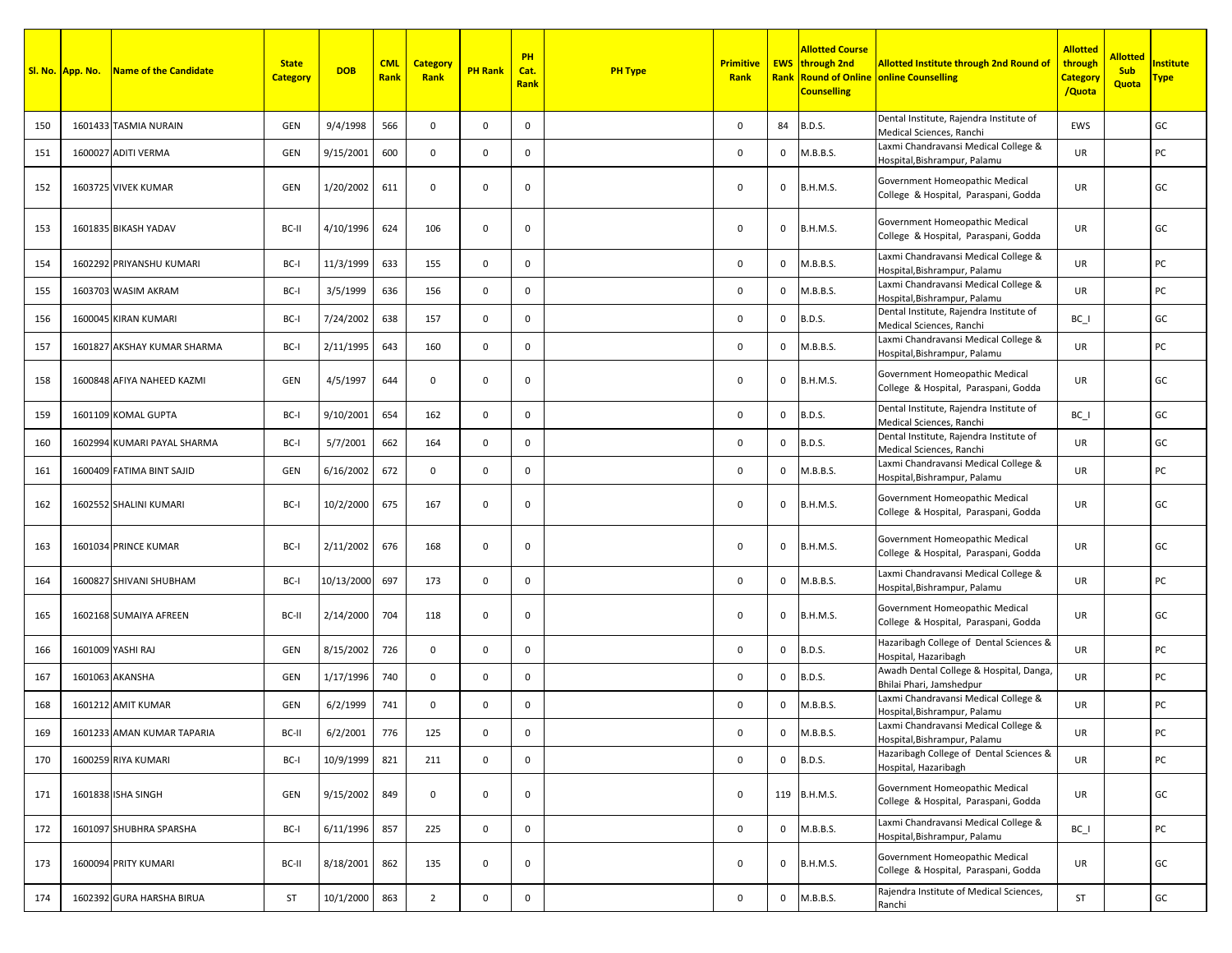|     | Sl. No. App. No. | Name of the Candidate       | <b>State</b><br><b>Category</b> | <b>DOB</b>   | <b>CML</b><br>Rank | <b>Category</b><br>Rank | <b>PH Rank</b> | PH<br>Cat.<br><b>Rank</b> | <b>PH Type</b> | <b>Primitive</b><br>Rank |              | <b>Allotted Course</b><br><b>EWS</b> through 2nd<br><b>Counselling</b> | <b>Allotted Institute through 2nd Round of</b><br><b>Rank Round of Online online Counselling</b> | <b>Allotted</b><br>through<br><b>Category</b><br>/Quota | <b>Allotted</b><br><b>Sub</b><br><b>Quota</b> | <b>nstitute</b><br><u> Fype</u> |
|-----|------------------|-----------------------------|---------------------------------|--------------|--------------------|-------------------------|----------------|---------------------------|----------------|--------------------------|--------------|------------------------------------------------------------------------|--------------------------------------------------------------------------------------------------|---------------------------------------------------------|-----------------------------------------------|---------------------------------|
| 150 |                  | 1601433 TASMIA NURAIN       | GEN                             | 9/4/1998     | 566                | $\mathbf 0$             | $\mathbf 0$    | 0                         |                | 0                        | 84           | <b>B.D.S.</b>                                                          | Dental Institute, Rajendra Institute of<br>Medical Sciences, Ranchi                              | EWS                                                     |                                               | GC                              |
| 151 |                  | 1600027 ADITI VERMA         | GEN                             | 9/15/2001    | 600                | 0                       | $\mathbf 0$    | 0                         |                | 0                        | $\mathbf 0$  | M.B.B.S.                                                               | Laxmi Chandravansi Medical College &<br>Hospital, Bishrampur, Palamu                             | UR.                                                     |                                               | PC                              |
| 152 |                  | 1603725 VIVEK KUMAR         | GEN                             | 1/20/2002    | 611                | $\mathbf 0$             | $\mathbf 0$    | $\mathbf 0$               |                | 0                        | 0            | <b>B.H.M.S.</b>                                                        | Government Homeopathic Medical<br>College & Hospital, Paraspani, Godda                           | UR                                                      |                                               | GC                              |
| 153 |                  | 1601835 BIKASH YADAV        | BC-II                           | 4/10/1996    | 624                | 106                     | $\mathbf 0$    | 0                         |                | 0                        | $\mathbf 0$  | <b>B.H.M.S.</b>                                                        | Government Homeopathic Medical<br>College & Hospital, Paraspani, Godda                           | UR                                                      |                                               | GC                              |
| 154 |                  | 1602292 PRIYANSHU KUMARI    | BC-I                            | 11/3/1999    | 633                | 155                     | $\mathbf 0$    | $\mathbf{0}$              |                | 0                        | 0            | M.B.B.S.                                                               | Laxmi Chandravansi Medical College &<br>Hospital, Bishrampur, Palamu                             | UR                                                      |                                               | PC                              |
| 155 |                  | 1603703 WASIM AKRAM         | BC-I                            | 3/5/1999     | 636                | 156                     | $\mathbf 0$    | 0                         |                | 0                        | 0            | M.B.B.S.                                                               | Laxmi Chandravansi Medical College &<br>Hospital,Bishrampur, Palamu                              | UR                                                      |                                               | PC                              |
| 156 |                  | 1600045 KIRAN KUMARI        | BC-I                            | 7/24/2002    | 638                | 157                     | $\mathbf{0}$   | $\mathbf 0$               |                | 0                        | 0            | <b>B.D.S.</b>                                                          | Dental Institute, Rajendra Institute of<br>Medical Sciences, Ranchi                              | BC I                                                    |                                               | GC                              |
| 157 |                  | 1601827 AKSHAY KUMAR SHARMA | BC-I                            | 2/11/1995    | 643                | 160                     | $\mathbf 0$    | $\mathbf 0$               |                | 0                        | 0            | M.B.B.S.                                                               | Laxmi Chandravansi Medical College &<br>Hospital,Bishrampur, Palamu                              | UR                                                      |                                               | PC                              |
| 158 |                  | 1600848 AFIYA NAHEED KAZMI  | GEN                             | 4/5/1997     | 644                | $\mathbf 0$             | $\mathbf 0$    | $\mathbf 0$               |                | 0                        | 0            | <b>B.H.M.S.</b>                                                        | Government Homeopathic Medical<br>College & Hospital, Paraspani, Godda                           | UR                                                      |                                               | GC                              |
| 159 |                  | 1601109 KOMAL GUPTA         | BC-I                            | 9/10/2001    | 654                | 162                     | $\mathbf 0$    | $\mathbf 0$               |                | 0                        | $\mathbf{0}$ | <b>B.D.S.</b>                                                          | Dental Institute, Rajendra Institute of<br>Medical Sciences, Ranchi                              | BC I                                                    |                                               | GC                              |
| 160 |                  | 1602994 KUMARI PAYAL SHARMA | BC-I                            | 5/7/2001     | 662                | 164                     | $\mathbf 0$    | 0                         |                | 0                        | 0            | <b>B.D.S.</b>                                                          | Dental Institute, Rajendra Institute of<br>Medical Sciences, Ranchi                              | UR.                                                     |                                               | GC                              |
| 161 |                  | 1600409 FATIMA BINT SAJID   | GEN                             | 6/16/2002    | 672                | $\mathbf 0$             | $\mathbf 0$    | 0                         |                | $\mathbf 0$              | 0            | M.B.B.S.                                                               | Laxmi Chandravansi Medical College &<br>Hospital, Bishrampur, Palamu                             | <b>UR</b>                                               |                                               | PC                              |
| 162 |                  | 1602552 SHALINI KUMARI      | BC-I                            | 10/2/2000    | 675                | 167                     | $\mathbf 0$    | $\mathbf 0$               |                | 0                        | 0            | <b>B.H.M.S.</b>                                                        | Government Homeopathic Medical<br>College & Hospital, Paraspani, Godda                           | UR                                                      |                                               | GC                              |
| 163 |                  | 1601034 PRINCE KUMAR        | BC-I                            | 2/11/2002    | 676                | 168                     | $\mathbf 0$    | 0                         |                | 0                        | $\mathbf{0}$ | <b>B.H.M.S.</b>                                                        | Government Homeopathic Medical<br>College & Hospital, Paraspani, Godda                           | <b>UR</b>                                               |                                               | GC                              |
| 164 |                  | 1600827 SHIVANI SHUBHAM     | BC-I                            | 10/13/2000   | 697                | 173                     | $\mathbf 0$    | $\mathbf 0$               |                | 0                        | 0            | M.B.B.S.                                                               | Laxmi Chandravansi Medical College &<br>Hospital, Bishrampur, Palamu                             | UR                                                      |                                               | PC                              |
| 165 |                  | 1602168 SUMAIYA AFREEN      | BC-II                           | 2/14/2000    | 704                | 118                     | $\mathbf 0$    | $\mathbf 0$               |                | 0                        | 0            | <b>B.H.M.S.</b>                                                        | Government Homeopathic Medical<br>College & Hospital, Paraspani, Godda                           | UR                                                      |                                               | GC                              |
| 166 |                  | 1601009 YASHI RAJ           | GEN                             | 8/15/2002    | 726                | $\mathbf 0$             | $\mathbf 0$    | 0                         |                | 0                        | $\mathbf 0$  | <b>B.D.S.</b>                                                          | Hazaribagh College of Dental Sciences &<br>Hospital, Hazaribagh                                  | UR                                                      |                                               | PC                              |
| 167 |                  | 1601063 AKANSHA             | GEN                             | 1/17/1996    | 740                | $\mathbf 0$             | $\mathbf 0$    | $\mathbf 0$               |                | 0                        | $\mathbf 0$  | <b>B.D.S.</b>                                                          | Awadh Dental College & Hospital, Danga,<br>Bhilai Phari, Jamshedpur                              | UR                                                      |                                               | PC                              |
| 168 |                  | 1601212 AMIT KUMAR          | GEN                             | 6/2/1999     | 741                | $\mathbf 0$             | $\mathbf 0$    | 0                         |                | 0                        | $\mathbf 0$  | M.B.B.S.                                                               | Laxmi Chandravansi Medical College &<br>Hospital,Bishrampur, Palamu                              | <b>UR</b>                                               |                                               | PC                              |
| 169 |                  | 1601233 AMAN KUMAR TAPARIA  | BC-II                           | 6/2/2001 776 |                    | 125                     | 0              | 0                         |                | 0                        | 0            | M.B.B.S.                                                               | Laxmi Chandravansi Medical College &<br>Hospital, Bishrampur, Palamu                             | UR                                                      |                                               | PC                              |
| 170 |                  | 1600259 RIYA KUMARI         | BC-I                            | 10/9/1999    | 821                | 211                     | $\mathbf 0$    | $\mathsf{O}$              |                | $\mathsf 0$              |              | $0$ B.D.S.                                                             | Hazaribagh College of Dental Sciences &<br>Hospital, Hazaribagh                                  | UR                                                      |                                               | PC                              |
| 171 |                  | 1601838 ISHA SINGH          | GEN                             | 9/15/2002    | 849                | $\mathbf 0$             | $\mathbf 0$    | 0                         |                | 0                        |              | 119 B.H.M.S.                                                           | Government Homeopathic Medical<br>College & Hospital, Paraspani, Godda                           | UR                                                      |                                               | GC                              |
| 172 |                  | 1601097 SHUBHRA SPARSHA     | BC-I                            | 6/11/1996    | 857                | 225                     | $\mathbf 0$    | $\mathbf 0$               |                | $\mathbf 0$              | $\mathsf{O}$ | M.B.B.S.                                                               | Laxmi Chandravansi Medical College &<br>Hospital, Bishrampur, Palamu                             | $BC_$                                                   |                                               | PC                              |
| 173 |                  | 1600094 PRITY KUMARI        | BC-II                           | 8/18/2001    | 862                | 135                     | $\mathbf 0$    | 0                         |                | 0                        | $\mathbf 0$  | B.H.M.S.                                                               | Government Homeopathic Medical<br>College & Hospital, Paraspani, Godda                           | UR                                                      |                                               | GC                              |
| 174 |                  | 1602392 GURA HARSHA BIRUA   | ST                              | 10/1/2000    | 863                | $\overline{2}$          | $\mathbf 0$    | $\mathsf{O}$              |                | $\mathsf 0$              |              | 0 M.B.B.S.                                                             | Rajendra Institute of Medical Sciences,<br>Ranchi                                                | ST                                                      |                                               | ${\sf GC}$                      |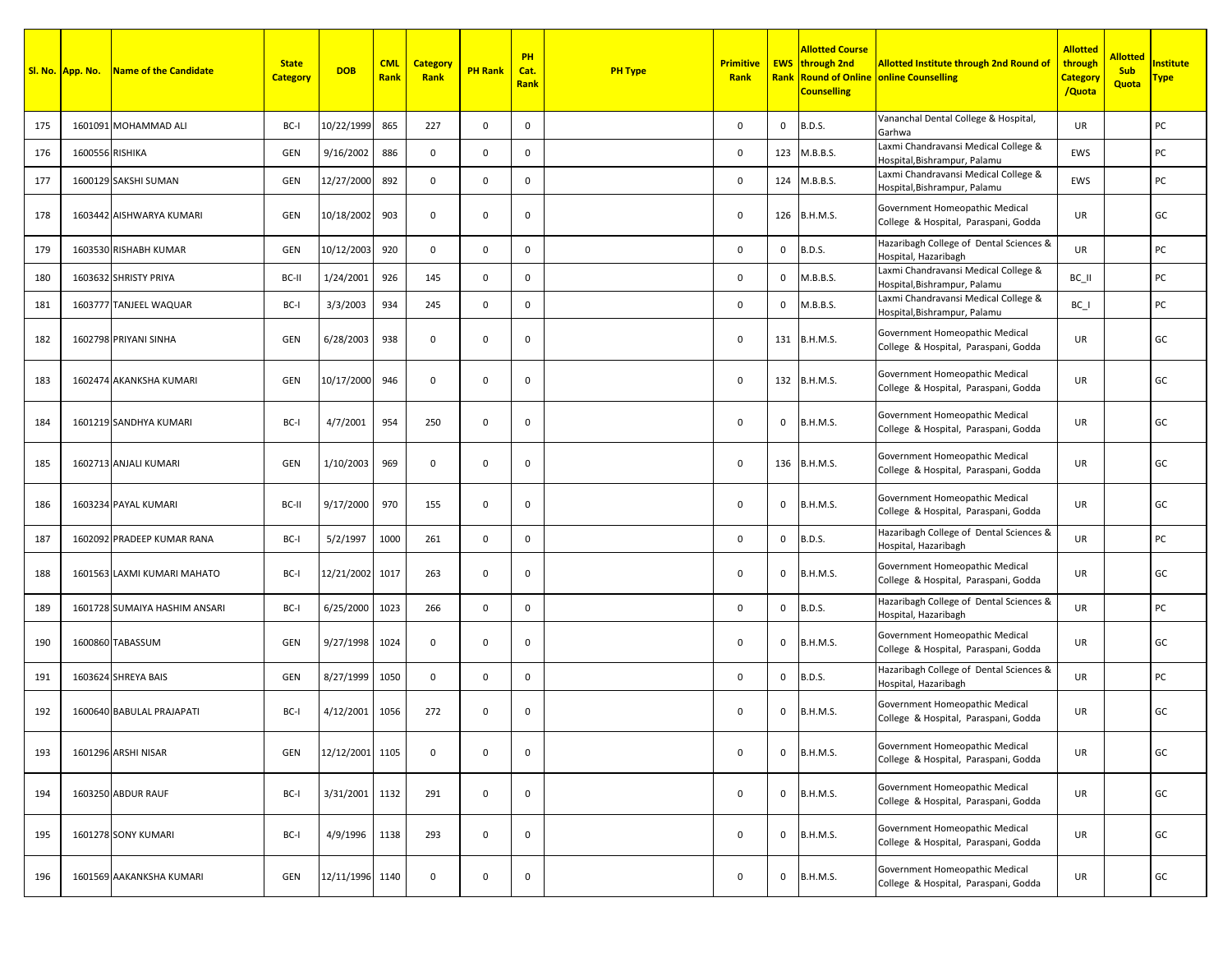|     | Sl. No. App. No. | <b>Name of the Candidate</b>  | <b>State</b><br><b>Category</b> | <b>DOB</b>      | <b>CML</b><br>Rank | <b>Category</b><br>Rank | <b>PH Rank</b> | PH<br>Cat.<br><b>Rank</b> | <b>PH Type</b> | <b>Primitive</b><br>Rank |          | <b>Allotted Course</b><br><b>EWS</b> through 2nd<br><b>Counselling</b> | <b>Allotted Institute through 2nd Round of</b><br><b>Rank Round of Online online Counselling</b> | <b>Allotted</b><br>through<br><b>Category</b><br>/Quota | <b>Allotted</b><br><b>Sub</b><br>Quota | nstitute<br><u> Гуре</u> |
|-----|------------------|-------------------------------|---------------------------------|-----------------|--------------------|-------------------------|----------------|---------------------------|----------------|--------------------------|----------|------------------------------------------------------------------------|--------------------------------------------------------------------------------------------------|---------------------------------------------------------|----------------------------------------|--------------------------|
| 175 |                  | 1601091 MOHAMMAD ALI          | BC-I                            | 10/22/1999      | 865                | 227                     | $\mathbf 0$    | 0                         |                | $\Omega$                 | 0        | <b>B.D.S.</b>                                                          | Vananchal Dental College & Hospital,<br>Garhwa                                                   | <b>UR</b>                                               |                                        | PC                       |
| 176 | 1600556 RISHIKA  |                               | GEN                             | 9/16/2002       | 886                | $\mathbf{0}$            | $\mathbf 0$    | $\mathbf 0$               |                | $\mathbf 0$              | 123      | M.B.B.S.                                                               | Laxmi Chandravansi Medical College &<br>Hospital, Bishrampur, Palamu                             | EWS                                                     |                                        | PC                       |
| 177 |                  | 1600129 SAKSHI SUMAN          | GEN                             | 12/27/2000      | 892                | $\mathbf 0$             | $\mathbf 0$    | 0                         |                | 0                        | 124      | M.B.B.S.                                                               | Laxmi Chandravansi Medical College &<br>Hospital, Bishrampur, Palamu                             | EWS                                                     |                                        | PC                       |
| 178 |                  | 1603442 AISHWARYA KUMARI      | GEN                             | 10/18/2002      | 903                | $\mathbf 0$             | 0              | 0                         |                | 0                        |          | 126 B.H.M.S.                                                           | Government Homeopathic Medical<br>College & Hospital, Paraspani, Godda                           | UR                                                      |                                        | GC                       |
| 179 |                  | 1603530 RISHABH KUMAR         | <b>GEN</b>                      | 10/12/2003      | 920                | 0                       | $\mathbf 0$    | 0                         |                | $\mathbf 0$              | $\Omega$ | <b>B.D.S.</b>                                                          | Hazaribagh College of Dental Sciences &<br>Hospital, Hazaribagh                                  | <b>UR</b>                                               |                                        | PC                       |
| 180 |                  | 1603632 SHRISTY PRIYA         | BC-II                           | 1/24/2001       | 926                | 145                     | $\mathbf 0$    | 0                         |                | 0                        | 0        | M.B.B.S.                                                               | Laxmi Chandravansi Medical College &<br>Hospital, Bishrampur, Palamu                             | BC_II                                                   |                                        | PC                       |
| 181 |                  | 1603777 TANJEEL WAQUAR        | BC-I                            | 3/3/2003        | 934                | 245                     | $\mathbf 0$    | $\mathbf 0$               |                | 0                        | 0        | M.B.B.S.                                                               | Laxmi Chandravansi Medical College &<br>Hospital, Bishrampur, Palamu                             | $BC_$                                                   |                                        | PC                       |
| 182 |                  | 1602798 PRIYANI SINHA         | GEN                             | 6/28/2003       | 938                | 0                       | $\mathbf 0$    | $\mathbf 0$               |                | $\mathbf 0$              |          | 131 B.H.M.S.                                                           | Government Homeopathic Medical<br>College & Hospital, Paraspani, Godda                           | UR                                                      |                                        | GC                       |
| 183 |                  | 1602474 AKANKSHA KUMARI       | GEN                             | 10/17/2000      | 946                | $\mathbf 0$             | 0              | $\mathbf 0$               |                | 0                        |          | 132 B.H.M.S.                                                           | Government Homeopathic Medical<br>College & Hospital, Paraspani, Godda                           | UR                                                      |                                        | GC                       |
| 184 |                  | 1601219 SANDHYA KUMARI        | BC-I                            | 4/7/2001        | 954                | 250                     | 0              | 0                         |                | $\mathbf 0$              | 0        | <b>B.H.M.S.</b>                                                        | Government Homeopathic Medical<br>College & Hospital, Paraspani, Godda                           | <b>UR</b>                                               |                                        | GC                       |
| 185 |                  | 1602713 ANJALI KUMARI         | GEN                             | 1/10/2003       | 969                | 0                       | $\mathbf 0$    | 0                         |                | $\mathbf 0$              | 136      | <b>B.H.M.S.</b>                                                        | Government Homeopathic Medical<br>College & Hospital, Paraspani, Godda                           | UR                                                      |                                        | GC                       |
| 186 |                  | 1603234 PAYAL KUMARI          | BC-II                           | 9/17/2000       | 970                | 155                     | 0              | 0                         |                | 0                        | 0        | <b>B.H.M.S.</b>                                                        | Government Homeopathic Medical<br>College & Hospital, Paraspani, Godda                           | UR                                                      |                                        | GC                       |
| 187 |                  | 1602092 PRADEEP KUMAR RANA    | BC-I                            | 5/2/1997        | 1000               | 261                     | $\mathbf 0$    | 0                         |                | $\mathbf 0$              | 0        | <b>B.D.S.</b>                                                          | Hazaribagh College of Dental Sciences &<br>Hospital, Hazaribagh                                  | <b>UR</b>                                               |                                        | PC                       |
| 188 |                  | 1601563 LAXMI KUMARI MAHATO   | BC-I                            | 12/21/2002 1017 |                    | 263                     | $\mathbf 0$    | 0                         |                | $\mathbf 0$              | 0        | <b>B.H.M.S.</b>                                                        | Government Homeopathic Medical<br>College & Hospital, Paraspani, Godda                           | UR.                                                     |                                        | GC                       |
| 189 |                  | 1601728 SUMAIYA HASHIM ANSARI | BC-I                            | 6/25/2000       | 1023               | 266                     | $\mathbf 0$    | 0                         |                | $\mathsf 0$              | 0        | <b>B.D.S.</b>                                                          | Hazaribagh College of Dental Sciences &<br>Hospital, Hazaribagh                                  | UR                                                      |                                        | PC                       |
| 190 |                  | 1600860 TABASSUM              | GEN                             | 9/27/1998       | 1024               | $\mathbf 0$             | 0              | 0                         |                | 0                        | 0        | B.H.M.S.                                                               | Government Homeopathic Medical<br>College & Hospital, Paraspani, Godda                           | UR                                                      |                                        | GC                       |
| 191 |                  | 1603624 SHREYA BAIS           | GEN                             | 8/27/1999       | 1050               | 0                       | $\mathbf 0$    | $\mathbf{0}$              |                | $\Omega$                 | 0        | <b>B.D.S.</b>                                                          | Hazaribagh College of Dental Sciences &<br>Hospital, Hazaribagh                                  | <b>UR</b>                                               |                                        | PC                       |
| 192 |                  | 1600640 BABULAL PRAJAPATI     | BC-I                            | 4/12/2001       | 1056               | 272                     | $\mathbf 0$    | 0                         |                | $\mathbf 0$              | 0        | <b>B.H.M.S.</b>                                                        | Government Homeopathic Medical<br>College & Hospital, Paraspani, Godda                           | UR.                                                     |                                        | GC                       |
| 193 |                  | 1601296 ARSHI NISAR           | GEN                             | 12/12/2001 1105 |                    | 0                       | $\mathbf 0$    | $\mathbf 0$               |                | $\mathbf 0$              | 0        | <b>B.H.M.S.</b>                                                        | Government Homeopathic Medical<br>College & Hospital, Paraspani, Godda                           | UR                                                      |                                        | GC                       |
| 194 |                  | 1603250 ABDUR RAUF            | BC-I                            | 3/31/2001 1132  |                    | 291                     | 0              | 0                         |                | 0                        | 0        | <b>B.H.M.S.</b>                                                        | Government Homeopathic Medical<br>College & Hospital, Paraspani, Godda                           | UR                                                      |                                        | GC                       |
| 195 |                  | 1601278 SONY KUMARI           | BC-I                            | 4/9/1996        | 1138               | 293                     | $\mathbf 0$    | 0                         |                | $\mathbf 0$              | 0        | <b>B.H.M.S.</b>                                                        | Government Homeopathic Medical<br>College & Hospital, Paraspani, Godda                           | UR                                                      |                                        | GC                       |
| 196 |                  | 1601569 AAKANKSHA KUMARI      | <b>GEN</b>                      | 12/11/1996 1140 |                    | 0                       | $\mathbf 0$    | $\mathsf{O}$              |                | $\mathsf 0$              | 0        | B.H.M.S.                                                               | Government Homeopathic Medical<br>College & Hospital, Paraspani, Godda                           | UR                                                      |                                        | GC                       |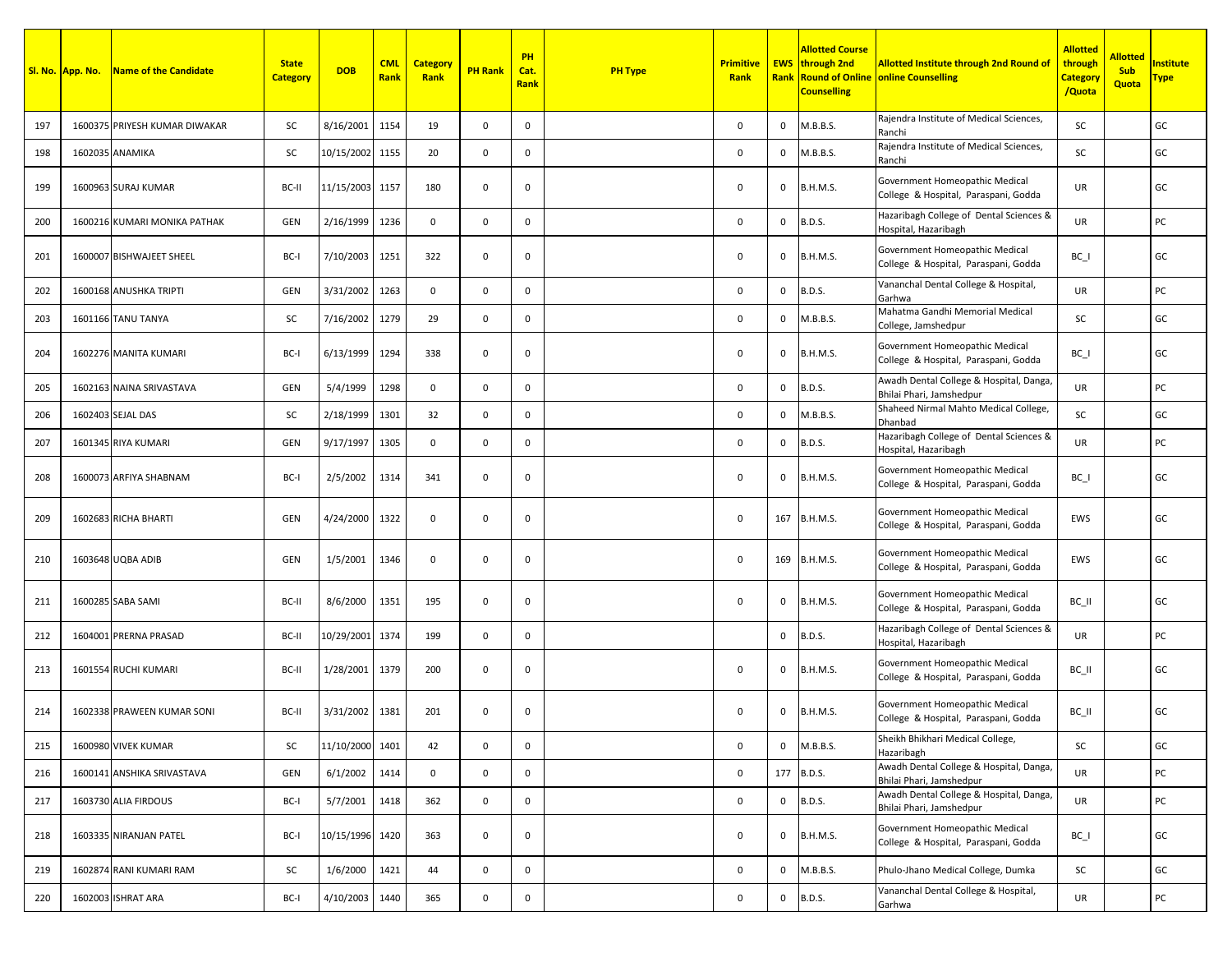|     | Sl. No. App. No. | Name of the Candidate         | <b>State</b><br><b>Category</b> | <b>DOB</b>      | <b>CML</b><br>Rank | <b>Category</b><br>Rank | <b>PH Rank</b> | PH<br>Cat.<br><b>Rank</b> | <b>PH Type</b> | <b>Primitive</b><br>Rank |              | Allotted Course<br><b>EWS</b> through 2nd<br><b>Counselling</b> | <b>Allotted Institute through 2nd Round of</b><br><b>Rank Round of Online online Counselling</b> | <b>Allotted</b><br>through<br><b>Category</b><br>/Quota | <b>Allotted</b><br><b>Sub</b><br>Quota | nstitute<br><u>iype</u> |
|-----|------------------|-------------------------------|---------------------------------|-----------------|--------------------|-------------------------|----------------|---------------------------|----------------|--------------------------|--------------|-----------------------------------------------------------------|--------------------------------------------------------------------------------------------------|---------------------------------------------------------|----------------------------------------|-------------------------|
| 197 |                  | 1600375 PRIYESH KUMAR DIWAKAR | SC                              | 8/16/2001       | 1154               | 19                      | $\mathbf 0$    | $\mathbf 0$               |                | $\Omega$                 | 0            | M.B.B.S.                                                        | Rajendra Institute of Medical Sciences,<br>Ranchi                                                | <b>SC</b>                                               |                                        | GC                      |
| 198 |                  | 1602035 ANAMIKA               | SC                              | 10/15/2002      | 1155               | 20                      | $\mathbf 0$    | $\mathbf{0}$              |                | $\Omega$                 | $\mathbf 0$  | M.B.B.S.                                                        | Rajendra Institute of Medical Sciences,<br>Ranchi                                                | <b>SC</b>                                               |                                        | GC                      |
| 199 |                  | 1600963 SURAJ KUMAR           | BC-II                           | 11/15/2003 1157 |                    | 180                     | $\mathbf 0$    | $^{\circ}$                |                | 0                        | $\mathbf{0}$ | <b>B.H.M.S.</b>                                                 | Government Homeopathic Medical<br>College & Hospital, Paraspani, Godda                           | <b>UR</b>                                               |                                        | GC                      |
| 200 |                  | 1600216 KUMARI MONIKA PATHAK  | <b>GEN</b>                      | 2/16/1999       | 1236               | $\mathbf 0$             | $\mathsf{O}$   | 0                         |                | $\mathsf 0$              | 0            | <b>B.D.S.</b>                                                   | Hazaribagh College of Dental Sciences &<br>Hospital, Hazaribagh                                  | UR                                                      |                                        | PC                      |
| 201 |                  | 1600007 BISHWAJEET SHEEL      | BC-I                            | 7/10/2003       | 1251               | 322                     | 0              | 0                         |                | $\mathbf 0$              | 0            | <b>B.H.M.S.</b>                                                 | Government Homeopathic Medical<br>College & Hospital, Paraspani, Godda                           | BC I                                                    |                                        | GC                      |
| 202 |                  | 1600168 ANUSHKA TRIPTI        | GEN                             | 3/31/2002       | 1263               | $\mathbf 0$             | $\mathbf 0$    | $\mathbf 0$               |                | $\Omega$                 | 0            | <b>B.D.S.</b>                                                   | Vananchal Dental College & Hospital,<br>Garhwa                                                   | <b>UR</b>                                               |                                        | PC                      |
| 203 |                  | 1601166 TANU TANYA            | SC                              | 7/16/2002       | 1279               | 29                      | $\mathbf{0}$   | $\mathbf 0$               |                | $\mathbf 0$              | $\mathbf{0}$ | M.B.B.S.                                                        | Mahatma Gandhi Memorial Medical<br>College, Jamshedpur                                           | <b>SC</b>                                               |                                        | GC                      |
| 204 |                  | 1602276 MANITA KUMARI         | BC-I                            | 6/13/1999       | 1294               | 338                     | 0              | 0                         |                | 0                        | $\mathbf{0}$ | <b>B.H.M.S.</b>                                                 | Government Homeopathic Medical<br>College & Hospital, Paraspani, Godda                           | BC I                                                    |                                        | GC                      |
| 205 |                  | 1602163 NAINA SRIVASTAVA      | GEN                             | 5/4/1999        | 1298               | $\mathbf 0$             | 0              | 0                         |                | 0                        | $\mathbf 0$  | <b>B.D.S.</b>                                                   | Awadh Dental College & Hospital, Danga,<br>Bhilai Phari, Jamshedpur                              | UR                                                      |                                        | PC                      |
| 206 |                  | 1602403 SEJAL DAS             | SC                              | 2/18/1999       | 1301               | 32                      | $\mathbf 0$    | $\mathbf 0$               |                | $\Omega$                 | 0            | M.B.B.S.                                                        | Shaheed Nirmal Mahto Medical College,<br>Dhanbad                                                 | <b>SC</b>                                               |                                        | GC                      |
| 207 |                  | 1601345 RIYA KUMARI           | GEN                             | 9/17/1997       | 1305               | 0                       | $\mathbf 0$    | $\mathbf 0$               |                | $\Omega$                 | 0            | <b>B.D.S.</b>                                                   | Hazaribagh College of Dental Sciences &<br>Hospital, Hazaribagh                                  | <b>UR</b>                                               |                                        | PC                      |
| 208 |                  | 1600073 ARFIYA SHABNAM        | BC-I                            | 2/5/2002        | 1314               | 341                     | $\mathbf 0$    | $^{\circ}$                |                | $\mathbf 0$              | 0            | <b>B.H.M.S.</b>                                                 | Government Homeopathic Medical<br>College & Hospital, Paraspani, Godda                           | BC I                                                    |                                        | GC                      |
| 209 |                  | 1602683 RICHA BHARTI          | GEN                             | 4/24/2000       | 1322               | $\mathbf 0$             | 0              | 0                         |                | 0                        |              | 167 B.H.M.S.                                                    | Government Homeopathic Medical<br>College & Hospital, Paraspani, Godda                           | EWS                                                     |                                        | GC                      |
| 210 |                  | 1603648 UQBA ADIB             | GEN                             | 1/5/2001        | 1346               | $\mathbf 0$             | $\mathbf 0$    | $\mathbf{0}$              |                | 0                        |              | 169 B.H.M.S.                                                    | Government Homeopathic Medical<br>College & Hospital, Paraspani, Godda                           | EWS                                                     |                                        | GC                      |
| 211 |                  | 1600285 SABA SAMI             | BC-II                           | 8/6/2000        | 1351               | 195                     | $\mathbf 0$    | $\mathbf 0$               |                | $\Omega$                 | 0            | <b>B.H.M.S.</b>                                                 | Government Homeopathic Medical<br>College & Hospital, Paraspani, Godda                           | BC II                                                   |                                        | GC                      |
| 212 |                  | 1604001 PRERNA PRASAD         | BC-II                           | 10/29/2001      | 1374               | 199                     | $\mathbf 0$    | $\mathbf 0$               |                |                          | 0            | <b>B.D.S.</b>                                                   | Hazaribagh College of Dental Sciences &<br>Hospital, Hazaribagh                                  | <b>UR</b>                                               |                                        | PC                      |
| 213 |                  | 1601554 RUCHI KUMARI          | BC-II                           | 1/28/2001       | 1379               | 200                     | $\mathbf 0$    | 0                         |                | 0                        | $\mathbf{0}$ | <b>B.H.M.S.</b>                                                 | Government Homeopathic Medical<br>College & Hospital, Paraspani, Godda                           | BC II                                                   |                                        | GC                      |
| 214 |                  | 1602338 PRAWEEN KUMAR SONI    | BC-II                           | 3/31/2002       | 1381               | 201                     | 0              | $^{\circ}$                |                | $\Omega$                 | 0            | <b>B.H.M.S.</b>                                                 | Government Homeopathic Medical<br>College & Hospital, Paraspani, Godda                           | BC II                                                   |                                        | GC                      |
| 215 |                  | 1600980 VIVEK KUMAR           | SC                              | 11/10/2000      | 1401               | 42                      | $\mathbf 0$    | $\mathbf 0$               |                | 0                        | 0            | M.B.B.S.                                                        | Sheikh Bhikhari Medical College,<br>Hazaribagh                                                   | SC                                                      |                                        | GC                      |
| 216 |                  | 1600141 ANSHIKA SRIVASTAVA    | GEN                             | 6/1/2002        | 1414               | $\mathsf{O}$            | $\mathbf 0$    | $\mathsf{o}$              |                | $\mathsf{O}\xspace$      |              | 177 B.D.S.                                                      | Awadh Dental College & Hospital, Danga,<br>Bhilai Phari, Jamshedpur                              | UR                                                      |                                        | PC                      |
| 217 |                  | 1603730 ALIA FIRDOUS          | BC-I                            | 5/7/2001        | 1418               | 362                     | $\mathbf 0$    | $\mathsf{o}$              |                | $\mathsf 0$              | 0            | <b>B.D.S.</b>                                                   | Awadh Dental College & Hospital, Danga,<br>Bhilai Phari, Jamshedpur                              | UR                                                      |                                        | PC                      |
| 218 |                  | 1603335 NIRANJAN PATEL        | BC-I                            | 10/15/1996 1420 |                    | 363                     | $\mathbf 0$    | $\mathbf 0$               |                | 0                        | $\mathbf{0}$ | B.H.M.S.                                                        | Government Homeopathic Medical<br>College & Hospital, Paraspani, Godda                           | $BC_$                                                   |                                        | GC                      |
| 219 |                  | 1602874 RANI KUMARI RAM       | SC                              | 1/6/2000        | 1421               | 44                      | $\mathbf 0$    | $\mathsf{o}$              |                | 0                        |              | 0 M.B.B.S.                                                      | Phulo-Jhano Medical College, Dumka                                                               | SC                                                      |                                        | GC                      |
| 220 |                  | 1602003 ISHRAT ARA            | BC-I                            | 4/10/2003 1440  |                    | 365                     | $\mathbf 0$    | $\mathbf 0$               |                | 0                        | 0            | <b>B.D.S.</b>                                                   | Vananchal Dental College & Hospital,<br>Garhwa                                                   | UR                                                      |                                        | PC                      |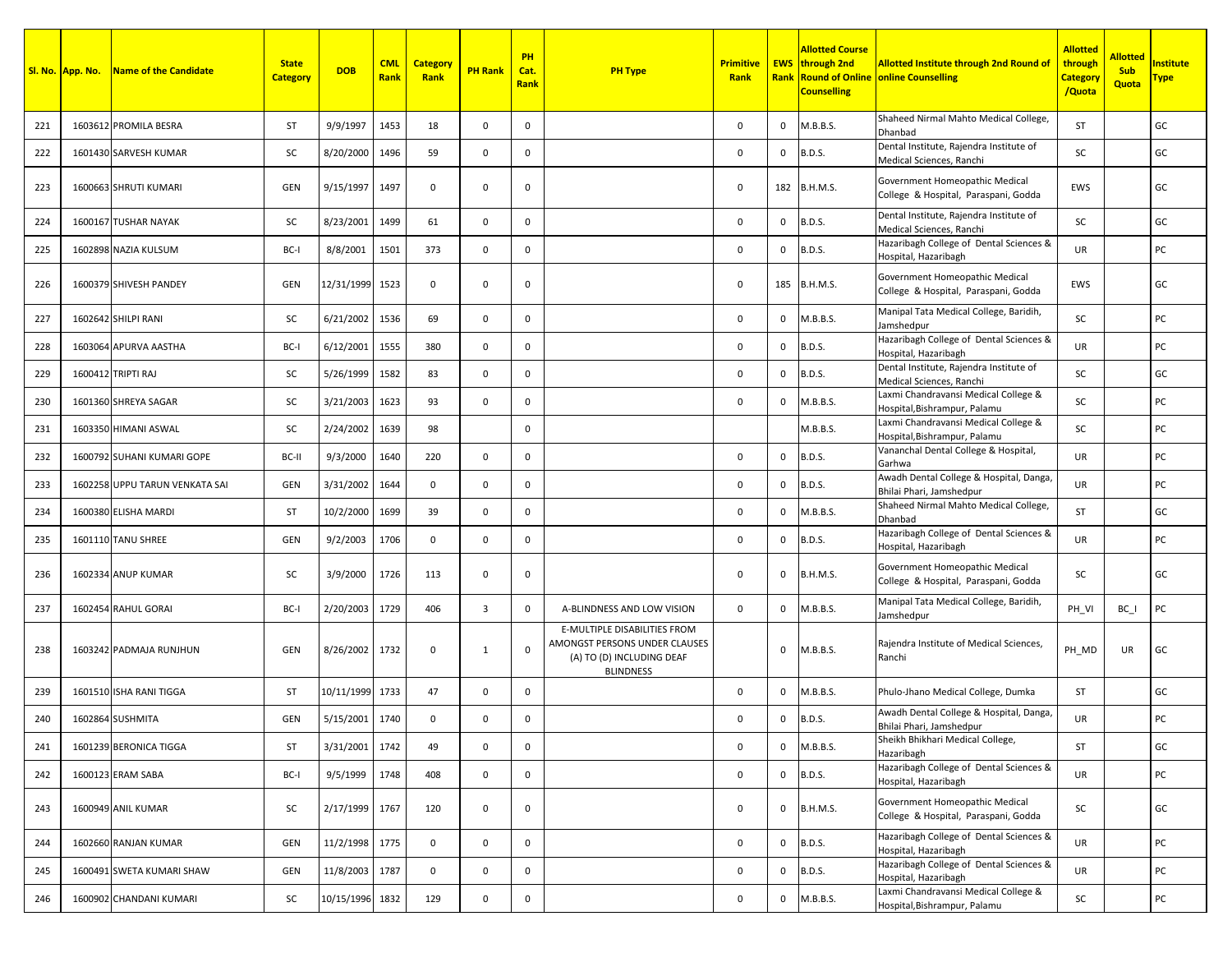|     | Sl. No. App. No. | Name of the Candidate          | <b>State</b><br><b>Category</b> | <b>DOB</b>      | <b>CML</b><br>Rank | <b>Category</b><br>Rank | <b>PH Rank</b> | PH<br>Cat.<br><b>Rank</b> | <b>PH Type</b>                                                                                                 | <b>Primitive</b><br>Rank |              | Allotted Course<br><b>EWS</b> through 2nd<br><b>Counselling</b> | <b>Allotted Institute through 2nd Round of</b><br><b>Rank Round of Online online Counselling</b> | <b>Allotted</b><br>through<br>Category<br>/Quota | <b>Allotted</b><br><b>Sub</b><br>Quota | <b>nstitute</b><br><u> Fype</u> |
|-----|------------------|--------------------------------|---------------------------------|-----------------|--------------------|-------------------------|----------------|---------------------------|----------------------------------------------------------------------------------------------------------------|--------------------------|--------------|-----------------------------------------------------------------|--------------------------------------------------------------------------------------------------|--------------------------------------------------|----------------------------------------|---------------------------------|
| 221 |                  | 1603612 PROMILA BESRA          | <b>ST</b>                       | 9/9/1997        | 1453               | 18                      | $\mathbf 0$    | $^{\circ}$                |                                                                                                                | $\Omega$                 | 0            | M.B.B.S.                                                        | Shaheed Nirmal Mahto Medical College,<br>Dhanbad                                                 | <b>ST</b>                                        |                                        | GC                              |
| 222 |                  | 1601430 SARVESH KUMAR          | SC                              | 8/20/2000       | 1496               | 59                      | $\mathbf 0$    | $\mathbf 0$               |                                                                                                                | $\Omega$                 | 0            | <b>B.D.S.</b>                                                   | Dental Institute, Rajendra Institute of<br>Medical Sciences, Ranchi                              | <b>SC</b>                                        |                                        | GC                              |
| 223 |                  | 1600663 SHRUTI KUMARI          | <b>GEN</b>                      | 9/15/1997       | 1497               | $\mathbf 0$             | 0              | 0                         |                                                                                                                | 0                        |              | 182 B.H.M.S.                                                    | Government Homeopathic Medical<br>College & Hospital, Paraspani, Godda                           | EWS                                              |                                        | GC                              |
| 224 |                  | 1600167 TUSHAR NAYAK           | SC                              | 8/23/2001       | 1499               | 61                      | 0              | $\mathbf{0}$              |                                                                                                                | 0                        | 0            | <b>B.D.S.</b>                                                   | Dental Institute, Rajendra Institute of<br>Medical Sciences, Ranchi                              | SC                                               |                                        | GC                              |
| 225 |                  | 1602898 NAZIA KULSUM           | BC-I                            | 8/8/2001        | 1501               | 373                     | 0              | $\mathbf 0$               |                                                                                                                | $\mathbf 0$              | 0            | <b>B.D.S.</b>                                                   | Hazaribagh College of Dental Sciences &<br>Hospital, Hazaribagh                                  | <b>UR</b>                                        |                                        | PC                              |
| 226 |                  | 1600379 SHIVESH PANDEY         | GEN                             | 12/31/1999      | 1523               | 0                       | $\mathbf 0$    | $^{\circ}$                |                                                                                                                | 0                        |              | 185 B.H.M.S.                                                    | Government Homeopathic Medical<br>College & Hospital, Paraspani, Godda                           | EWS                                              |                                        | GC                              |
| 227 |                  | 1602642 SHILPI RANI            | SC                              | 6/21/2002       | 1536               | 69                      | $\mathbf 0$    | 0                         |                                                                                                                | 0                        | $\mathbf 0$  | M.B.B.S.                                                        | Manipal Tata Medical College, Baridih,<br>Jamshedpur                                             | SC                                               |                                        | PC                              |
| 228 |                  | 1603064 APURVA AASTHA          | BC-I                            | 6/12/2001       | 1555               | 380                     | $\mathbf 0$    | 0                         |                                                                                                                | $\mathbf 0$              | 0            | <b>B.D.S.</b>                                                   | Hazaribagh College of Dental Sciences &<br>Hospital, Hazaribagh                                  | <b>UR</b>                                        |                                        | PC                              |
| 229 |                  | 1600412 TRIPTI RAJ             | SC                              | 5/26/1999       | 1582               | 83                      | 0              | $\mathbf 0$               |                                                                                                                | $\mathbf 0$              | 0            | <b>B.D.S.</b>                                                   | Dental Institute, Rajendra Institute of<br>Medical Sciences, Ranchi                              | <b>SC</b>                                        |                                        | GC                              |
| 230 |                  | 1601360 SHREYA SAGAR           | SC                              | 3/21/2003       | 1623               | 93                      | $\mathbf 0$    | $\mathbf 0$               |                                                                                                                | $\mathbf 0$              | 0            | M.B.B.S.                                                        | Laxmi Chandravansi Medical College &<br>Hospital, Bishrampur, Palamu                             | SC                                               |                                        | PC                              |
| 231 |                  | 1603350 HIMANI ASWAL           | SC                              | 2/24/2002       | 1639               | 98                      |                | $\mathbf 0$               |                                                                                                                |                          |              | M.B.B.S.                                                        | Laxmi Chandravansi Medical College &<br>Hospital, Bishrampur, Palamu                             | SC                                               |                                        | PC                              |
| 232 |                  | 1600792 SUHANI KUMARI GOPE     | BC-II                           | 9/3/2000        | 1640               | 220                     | $\mathbf 0$    | 0                         |                                                                                                                | 0                        | 0            | <b>B.D.S.</b>                                                   | Vananchal Dental College & Hospital,<br>Garhwa                                                   | <b>UR</b>                                        |                                        | PC                              |
| 233 |                  | 1602258 UPPU TARUN VENKATA SAI | <b>GEN</b>                      | 3/31/2002       | 1644               | $\mathbf{0}$            | $\mathbf 0$    | $\mathbf 0$               |                                                                                                                | $\mathbf 0$              | 0            | <b>B.D.S.</b>                                                   | Awadh Dental College & Hospital, Danga,<br>Bhilai Phari, Jamshedpur                              | <b>UR</b>                                        |                                        | PC                              |
| 234 |                  | 1600380 ELISHA MARDI           | <b>ST</b>                       | 10/2/2000       | 1699               | 39                      | $\mathbf 0$    | 0                         |                                                                                                                | $\mathsf 0$              | 0            | M.B.B.S.                                                        | Shaheed Nirmal Mahto Medical College,<br>Dhanbad                                                 | <b>ST</b>                                        |                                        | GC                              |
| 235 |                  | 1601110 TANU SHREE             | <b>GEN</b>                      | 9/2/2003        | 1706               | $\mathbf 0$             | 0              | $\mathbf 0$               |                                                                                                                | $\mathbf 0$              | 0            | <b>B.D.S.</b>                                                   | Hazaribagh College of Dental Sciences &<br>Hospital, Hazaribagh                                  | UR                                               |                                        | PC                              |
| 236 |                  | 1602334 ANUP KUMAR             | SC                              | 3/9/2000        | 1726               | 113                     | 0              | 0                         |                                                                                                                | $\mathbf 0$              | 0            | <b>B.H.M.S.</b>                                                 | Government Homeopathic Medical<br>College & Hospital, Paraspani, Godda                           | SC                                               |                                        | GC                              |
| 237 |                  | 1602454 RAHUL GORAI            | BC-I                            | 2/20/2003       | 1729               | 406                     | $\overline{3}$ | 0                         | A-BLINDNESS AND LOW VISION                                                                                     | $\Omega$                 | $\mathbf 0$  | M.B.B.S.                                                        | Manipal Tata Medical College, Baridih,<br>Jamshedpur                                             | PH VI                                            | $BC_$                                  | PC                              |
| 238 |                  | 1603242 PADMAJA RUNJHUN        | <b>GEN</b>                      | 8/26/2002       | 1732               | 0                       | 1              | $^{\circ}$                | E-MULTIPLE DISABILITIES FROM<br>AMONGST PERSONS UNDER CLAUSES<br>(A) TO (D) INCLUDING DEAF<br><b>BLINDNESS</b> |                          | 0            | M.B.B.S.                                                        | Rajendra Institute of Medical Sciences,<br>Ranchi                                                | PH MD                                            | UR                                     | GC                              |
| 239 |                  | 1601510 ISHA RANI TIGGA        | <b>ST</b>                       | 10/11/1999      | 1733               | 47                      | 0              | $\mathbf{0}$              |                                                                                                                | $\mathbf 0$              | 0            | M.B.B.S.                                                        | Phulo-Jhano Medical College, Dumka                                                               | ST                                               |                                        | GC                              |
| 240 |                  | 1602864 SUSHMITA               | <b>GEN</b>                      | 5/15/2001       | 1740               | 0                       | 0              | $\mathbf 0$               |                                                                                                                | $\mathbf 0$              | 0            | <b>B.D.S.</b>                                                   | Awadh Dental College & Hospital, Danga,<br>Bhilai Phari, Jamshedpur                              | UR                                               |                                        | PC                              |
| 241 |                  | 1601239 BERONICA TIGGA         | ST                              | 3/31/2001       | 1742               | 49                      | $\mathsf{O}$   | $\mathbf{0}$              |                                                                                                                | 0                        | 0            | M.B.B.S.                                                        | Sheikh Bhikhari Medical College,<br>Hazaribagh                                                   | ST                                               |                                        | GC                              |
| 242 |                  | 1600123 ERAM SABA              | BC-I                            | 9/5/1999        | 1748               | 408                     | $\mathbf 0$    | $\mathbf 0$               |                                                                                                                | 0                        | 0            | <b>B.D.S.</b>                                                   | Hazaribagh College of Dental Sciences &<br>Hospital, Hazaribagh                                  | UR                                               |                                        | PC                              |
| 243 |                  | 1600949 ANIL KUMAR             | SC                              | 2/17/1999       | 1767               | 120                     | $\mathbf 0$    | $\mathbf 0$               |                                                                                                                | 0                        | $\mathbf 0$  | <b>B.H.M.S.</b>                                                 | Government Homeopathic Medical<br>College & Hospital, Paraspani, Godda                           | SC                                               |                                        | GC                              |
| 244 |                  | 1602660 RANJAN KUMAR           | <b>GEN</b>                      | 11/2/1998       | 1775               | $\mathsf{O}$            | $\mathbf{0}$   | $\mathbf{0}$              |                                                                                                                | $\mathsf 0$              | $\mathbf{0}$ | <b>B.D.S.</b>                                                   | Hazaribagh College of Dental Sciences &<br>Hospital, Hazaribagh                                  | UR                                               |                                        | PC                              |
| 245 |                  | 1600491 SWETA KUMARI SHAW      | GEN                             | 11/8/2003       | 1787               | $\mathsf{O}$            | $\mathbf 0$    | $\mathbf 0$               |                                                                                                                | 0                        | 0            | <b>B.D.S.</b>                                                   | Hazaribagh College of Dental Sciences &<br>Hospital, Hazaribagh                                  | UR                                               |                                        | PC                              |
| 246 |                  | 1600902 CHANDANI KUMARI        | SC                              | 10/15/1996 1832 |                    | 129                     | $\mathbf{0}$   | $\mathbf 0$               |                                                                                                                | 0                        | 0            | M.B.B.S.                                                        | Laxmi Chandravansi Medical College &<br>Hospital, Bishrampur, Palamu                             | SC                                               |                                        | PC                              |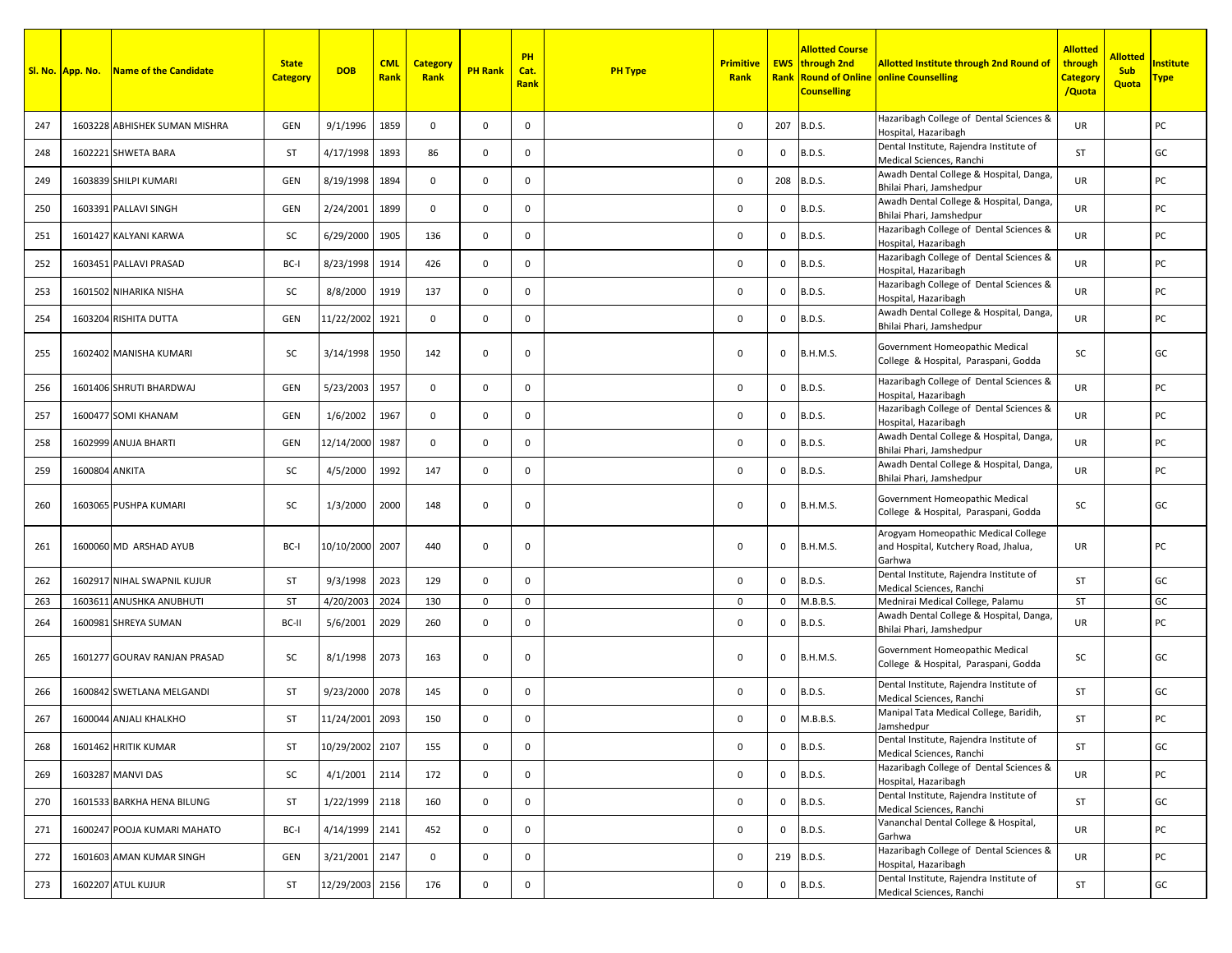|     | Sl. No. App. No. | Name of the Candidate         | <b>State</b><br><b>Category</b> | <b>DOB</b>      | <b>CML</b><br>Rank | <b>Category</b><br>Rank | <b>PH Rank</b> | PH<br>Cat.<br><b>Rank</b> | <b>PH Type</b> | <b>Primitive</b><br>Rank |              | Allotted Course<br><b>EWS</b> through 2nd<br><b>Counselling</b> | <b>Allotted Institute through 2nd Round of</b><br><b>Rank Round of Online online Counselling</b>   | <mark>Allotted</mark><br>through<br><mark>Category</mark><br>/Quota | <b>Allotted</b><br><b>Sub</b><br>Quota | nstitute<br><u> Fype</u> |
|-----|------------------|-------------------------------|---------------------------------|-----------------|--------------------|-------------------------|----------------|---------------------------|----------------|--------------------------|--------------|-----------------------------------------------------------------|----------------------------------------------------------------------------------------------------|---------------------------------------------------------------------|----------------------------------------|--------------------------|
| 247 |                  | 1603228 ABHISHEK SUMAN MISHRA | <b>GEN</b>                      | 9/1/1996        | 1859               | 0                       | $\mathbf 0$    | 0                         |                | $\Omega$                 |              | 207 B.D.S.                                                      | Hazaribagh College of Dental Sciences &<br>Hospital, Hazaribagh                                    | <b>UR</b>                                                           |                                        | PC                       |
| 248 |                  | 1602221 SHWETA BARA           | <b>ST</b>                       | 4/17/1998       | 1893               | 86                      | $\mathbf 0$    | $\mathbf 0$               |                | $\Omega$                 | 0            | <b>B.D.S.</b>                                                   | Dental Institute, Rajendra Institute of                                                            | <b>ST</b>                                                           |                                        | GC                       |
| 249 |                  | 1603839 SHILPI KUMARI         | <b>GEN</b>                      | 8/19/1998       | 1894               | $\mathbf 0$             | $\mathbf 0$    | $^{\circ}$                |                | $\mathbf 0$              |              | 208 B.D.S.                                                      | Medical Sciences, Ranchi<br>Awadh Dental College & Hospital, Danga,                                | <b>UR</b>                                                           |                                        | PC                       |
|     |                  |                               |                                 |                 |                    |                         |                |                           |                |                          |              |                                                                 | Bhilai Phari, Jamshedpur<br>Awadh Dental College & Hospital, Danga,                                |                                                                     |                                        |                          |
| 250 |                  | 1603391 PALLAVI SINGH         | <b>GEN</b>                      | 2/24/2001       | 1899               | $\mathbf 0$             | $\mathbf 0$    | 0                         |                | $\mathbf 0$              | 0            | <b>B.D.S.</b>                                                   | Bhilai Phari, Jamshedpur<br>Hazaribagh College of Dental Sciences &                                | UR                                                                  |                                        | PC                       |
| 251 |                  | 1601427 KALYANI KARWA         | SC                              | 6/29/2000       | 1905               | 136                     | $\mathbf 0$    | $\mathbf 0$               |                | $\Omega$                 | 0            | <b>B.D.S.</b>                                                   | Hospital, Hazaribagh<br>Hazaribagh College of Dental Sciences &                                    | <b>UR</b>                                                           |                                        | PC                       |
| 252 |                  | 1603451 PALLAVI PRASAD        | BC-I                            | 8/23/1998       | 1914               | 426                     | $\mathbf{0}$   | $^{\circ}$                |                | $\mathbf 0$              | $\mathbf{0}$ | <b>B.D.S.</b>                                                   | Hospital, Hazaribagh                                                                               | <b>UR</b>                                                           |                                        | PC                       |
| 253 |                  | 1601502 NIHARIKA NISHA        | SC                              | 8/8/2000        | 1919               | 137                     | $\mathbf 0$    | $\mathbf 0$               |                | $\mathbf 0$              | 0            | <b>B.D.S.</b>                                                   | Hazaribagh College of Dental Sciences &<br>Hospital, Hazaribagh                                    | <b>UR</b>                                                           |                                        | PC                       |
| 254 |                  | 1603204 RISHITA DUTTA         | <b>GEN</b>                      | 11/22/2002      | 1921               | $\mathbf 0$             | $\mathbf{0}$   | $^{\circ}$                |                | $\mathbf 0$              | $\mathbf{0}$ | <b>B.D.S.</b>                                                   | Awadh Dental College & Hospital, Danga,<br>Bhilai Phari, Jamshedpur                                | <b>UR</b>                                                           |                                        | PC                       |
| 255 |                  | 1602402 MANISHA KUMARI        | SC                              | 3/14/1998       | 1950               | 142                     | 0              | 0                         |                | 0                        | $\mathbf{0}$ | <b>B.H.M.S.</b>                                                 | Government Homeopathic Medical<br>College & Hospital, Paraspani, Godda                             | SC                                                                  |                                        | GC                       |
| 256 |                  | 1601406 SHRUTI BHARDWAJ       | <b>GEN</b>                      | 5/23/2003       | 1957               | 0                       | 0              | $\mathbf 0$               |                | $\mathbf 0$              | $\mathbf 0$  | <b>B.D.S.</b>                                                   | Hazaribagh College of Dental Sciences &<br>Hospital, Hazaribagh                                    | <b>UR</b>                                                           |                                        | PC                       |
| 257 |                  | 1600477 SOMI KHANAM           | <b>GEN</b>                      | 1/6/2002        | 1967               | $\mathbf 0$             | 0              | $\mathbf{0}$              |                | $\Omega$                 | $\mathbf 0$  | <b>B.D.S.</b>                                                   | Hazaribagh College of Dental Sciences &<br>Hospital, Hazaribagh                                    | <b>UR</b>                                                           |                                        | PC                       |
| 258 |                  | 1602999 ANUJA BHARTI          | <b>GEN</b>                      | 12/14/2000      | 1987               | 0                       | $\mathbf 0$    | $\mathbf 0$               |                | $\Omega$                 | 0            | <b>B.D.S.</b>                                                   | Awadh Dental College & Hospital, Danga,<br>Bhilai Phari, Jamshedpur                                | <b>UR</b>                                                           |                                        | PC                       |
| 259 | 1600804 ANKITA   |                               | SC                              | 4/5/2000        | 1992               | 147                     | $^{\circ}$     | $\mathbf 0$               |                | $\Omega$                 | 0            | <b>B.D.S.</b>                                                   | Awadh Dental College & Hospital, Danga                                                             | <b>UR</b>                                                           |                                        | PC                       |
| 260 |                  | 1603065 PUSHPA KUMARI         | SC                              | 1/3/2000        | 2000               | 148                     | $\mathbf 0$    | 0                         |                | 0                        | $\mathbf{0}$ | <b>B.H.M.S.</b>                                                 | Bhilai Phari, Jamshedpur<br>Government Homeopathic Medical<br>College & Hospital, Paraspani, Godda | SC                                                                  |                                        | GC                       |
| 261 |                  | 1600060 MD ARSHAD AYUB        | BC-I                            | 10/10/2000 2007 |                    | 440                     | 0              | $\mathbf{0}$              |                | $\mathbf 0$              | 0            | <b>B.H.M.S.</b>                                                 | Arogyam Homeopathic Medical College<br>and Hospital, Kutchery Road, Jhalua,<br>Garhwa              | UR                                                                  |                                        | PC                       |
| 262 |                  | 1602917 NIHAL SWAPNIL KUJUR   | ST                              | 9/3/1998        | 2023               | 129                     | $\mathbf 0$    | $\mathbf 0$               |                | $\Omega$                 | 0            | <b>B.D.S.</b>                                                   | Dental Institute, Rajendra Institute of<br>Medical Sciences, Ranchi                                | <b>ST</b>                                                           |                                        | GC                       |
| 263 |                  | 1603611 ANUSHKA ANUBHUTI      | <b>ST</b>                       | 4/20/2003       | 2024               | 130                     | $\mathbf 0$    | 0                         |                | $\mathbf 0$              | 0            | M.B.B.S.                                                        | Mednirai Medical College, Palamu                                                                   | <b>ST</b>                                                           |                                        | GC                       |
| 264 |                  | 1600981 SHREYA SUMAN          | BC-II                           | 5/6/2001        | 2029               | 260                     | $\mathbf 0$    | $\mathbf 0$               |                | $\Omega$                 | 0            | <b>B.D.S.</b>                                                   | Awadh Dental College & Hospital, Danga,<br>Bhilai Phari, Jamshedpur                                | <b>UR</b>                                                           |                                        | PC                       |
| 265 |                  | 1601277 GOURAV RANJAN PRASAD  | SC                              | 8/1/1998        | 2073               | 163                     | $\mathbf 0$    | $\mathbf 0$               |                | 0                        | $\mathbf{0}$ | <b>B.H.M.S.</b>                                                 | Government Homeopathic Medical<br>College & Hospital, Paraspani, Godda                             | SC                                                                  |                                        | GC                       |
| 266 |                  | 1600842 SWETLANA MELGANDI     | <b>ST</b>                       | 9/23/2000       | 2078               | 145                     | 0              | $\mathbf 0$               |                | $\mathbf 0$              | 0            | <b>B.D.S.</b>                                                   | Dental Institute, Rajendra Institute of<br>Medical Sciences, Ranchi                                | ST                                                                  |                                        | GC                       |
| 267 |                  | 1600044 ANJALI KHALKHO        | <b>ST</b>                       | 11/24/2001      | 2093               | 150                     | 0              | $\mathbf 0$               |                | $\mathbf 0$              | 0            | M.B.B.S.                                                        | Manipal Tata Medical College, Baridih,<br>Jamshedpur                                               | ST                                                                  |                                        | PC                       |
| 268 |                  | 1601462 HRITIK KUMAR          | ST                              | 10/29/2002      | 2107               | 155                     | $\mathbf 0$    | $\mathbf 0$               |                | 0                        | 0            | <b>B.D.S.</b>                                                   | Dental Institute, Rajendra Institute of<br>Medical Sciences, Ranchi                                | ST                                                                  |                                        | GC                       |
| 269 |                  | 1603287 MANVI DAS             | SC                              | 4/1/2001        | 2114               | 172                     | $\mathbf 0$    | $\mathbf 0$               |                | $\mathsf{O}\xspace$      | 0            | <b>B.D.S.</b>                                                   | Hazaribagh College of Dental Sciences &<br>Hospital, Hazaribagh                                    | UR                                                                  |                                        | PC                       |
| 270 |                  | 1601533 BARKHA HENA BILUNG    | ST                              | 1/22/1999       | 2118               | 160                     | $\mathbf 0$    | $\mathbf 0$               |                | 0                        | 0            | <b>B.D.S.</b>                                                   | Dental Institute, Rajendra Institute of<br>Medical Sciences, Ranchi                                | ST                                                                  |                                        | GC                       |
| 271 |                  | 1600247 POOJA KUMARI MAHATO   | BC-I                            | 4/14/1999       | 2141               | 452                     | $\mathbf 0$    | $\mathbf 0$               |                | $\mathsf 0$              | 0            | <b>B.D.S.</b>                                                   | Vananchal Dental College & Hospital,<br>Garhwa                                                     | UR                                                                  |                                        | PC                       |
| 272 |                  | 1601603 AMAN KUMAR SINGH      | GEN                             | 3/21/2001       | 2147               | $\mathbf 0$             | $\mathbf 0$    | $\mathbf 0$               |                | $\mathsf 0$              |              | 219 B.D.S.                                                      | Hazaribagh College of Dental Sciences &<br>Hospital, Hazaribagh                                    | UR                                                                  |                                        | PC                       |
| 273 |                  | 1602207 ATUL KUJUR            | ST                              | 12/29/2003 2156 |                    | 176                     | $\mathbf 0$    | $\mathbf 0$               |                | 0                        | 0            | <b>B.D.S.</b>                                                   | Dental Institute, Rajendra Institute of<br>Medical Sciences, Ranchi                                | ST                                                                  |                                        | GC                       |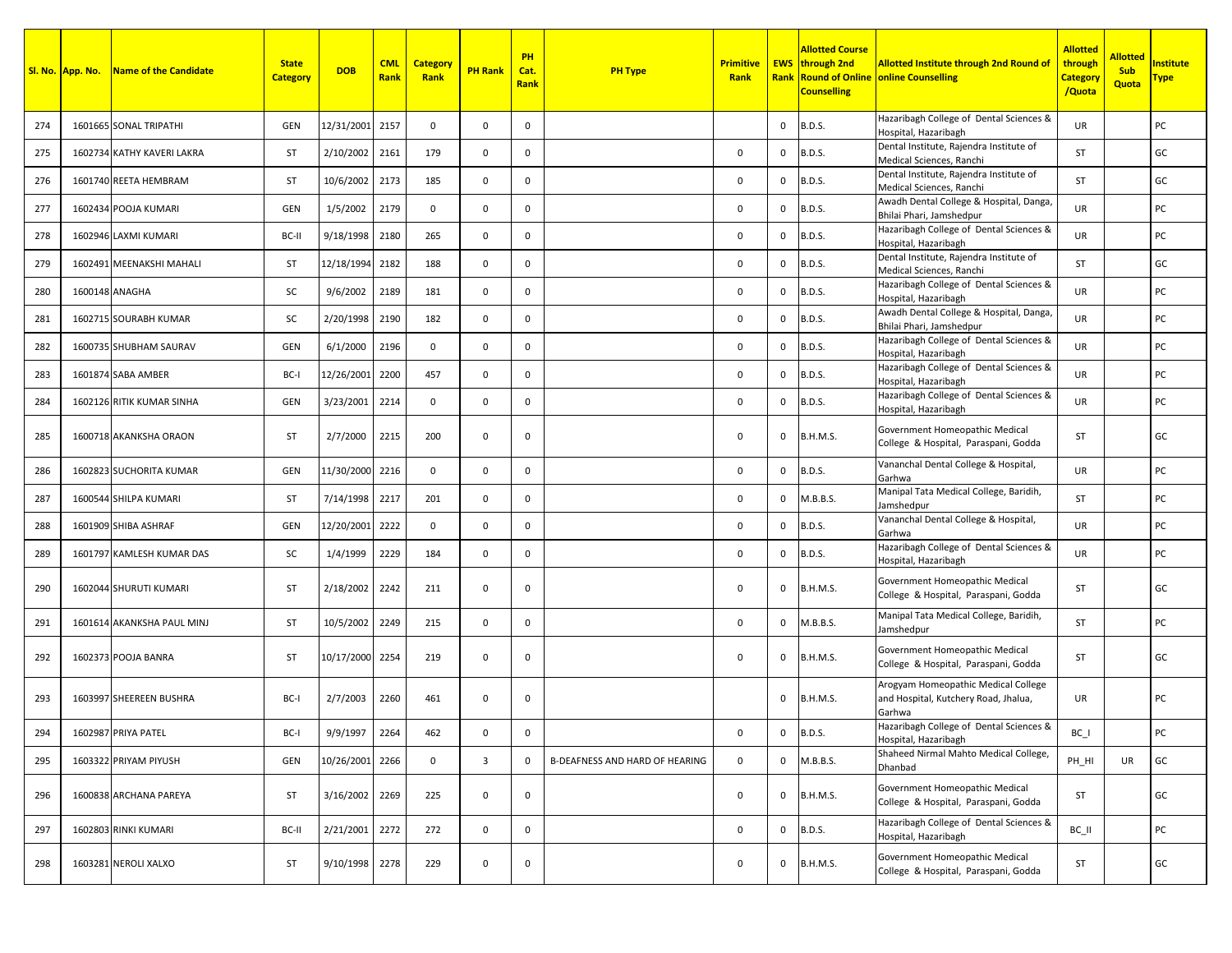|     | Sl. No. App. No. | Name of the Candidate      | <b>State</b><br><b>Category</b> | <b>DOB</b>    | <b>CML</b><br>Rank | <b>Category</b><br>Rank | <b>PH Rank</b>          | PH<br>Cat.<br>Rank | <b>PH Type</b>                 | <b>Primitive</b><br>Rank |              | <b>Allotted Course</b><br><b>EWS</b> through 2nd<br><b>Counselling</b> | <b>Allotted Institute through 2nd Round of</b><br><b>Rank Round of Online online Counselling</b> | <b>Allotted</b><br>through<br><b>Category</b><br>/Quota | <b>Allotted</b><br><b>Sub</b><br>Quota | nstitute<br><mark>Type</mark> |
|-----|------------------|----------------------------|---------------------------------|---------------|--------------------|-------------------------|-------------------------|--------------------|--------------------------------|--------------------------|--------------|------------------------------------------------------------------------|--------------------------------------------------------------------------------------------------|---------------------------------------------------------|----------------------------------------|-------------------------------|
| 274 |                  | 1601665 SONAL TRIPATHI     | GEN                             | 12/31/2001    | 2157               | $\mathbf{0}$            | $\mathbf 0$             | 0                  |                                |                          | 0            | <b>B.D.S.</b>                                                          | Hazaribagh College of Dental Sciences &<br>Hospital, Hazaribagh                                  | UR                                                      |                                        | PC                            |
| 275 |                  | 1602734 KATHY KAVERI LAKRA | <b>ST</b>                       | 2/10/2002     | 2161               | 179                     | $\mathbf{0}$            | $\mathbf 0$        |                                | 0                        | 0            | <b>B.D.S.</b>                                                          | Dental Institute, Rajendra Institute of<br>Medical Sciences, Ranchi                              | <b>ST</b>                                               |                                        | GC                            |
| 276 |                  | 1601740 REETA HEMBRAM      | <b>ST</b>                       | 10/6/2002     | 2173               | 185                     | $\mathbf 0$             | $\mathbf 0$        |                                | 0                        | 0            | <b>B.D.S.</b>                                                          | Dental Institute, Rajendra Institute of<br>Medical Sciences, Ranchi                              | <b>ST</b>                                               |                                        | GC                            |
| 277 |                  | 1602434 POOJA KUMARI       | GEN                             | 1/5/2002      | 2179               | $\mathbf 0$             | $\mathbf 0$             | 0                  |                                | $\mathsf 0$              | $\mathbf{0}$ | <b>B.D.S.</b>                                                          | Awadh Dental College & Hospital, Danga,<br>Bhilai Phari, Jamshedpur                              | UR                                                      |                                        | PC                            |
| 278 |                  | 1602946 LAXMI KUMARI       | BC-II                           | 9/18/1998     | 2180               | 265                     | 0                       | $\mathbf{0}$       |                                | 0                        | 0            | <b>B.D.S.</b>                                                          | Hazaribagh College of Dental Sciences &<br>Hospital, Hazaribagh                                  | UR                                                      |                                        | PC                            |
| 279 |                  | 1602491 MEENAKSHI MAHALI   | <b>ST</b>                       | 12/18/1994    | 2182               | 188                     | 0                       | $\mathbf{0}$       |                                | 0                        | 0            | <b>B.D.S.</b>                                                          | Dental Institute, Rajendra Institute of<br>Medical Sciences, Ranchi                              | <b>ST</b>                                               |                                        | GC                            |
| 280 |                  | 1600148 ANAGHA             | SC                              | 9/6/2002      | 2189               | 181                     | 0                       | $\mathbf 0$        |                                | 0                        | 0            | <b>B.D.S.</b>                                                          | Hazaribagh College of Dental Sciences &<br>Hospital, Hazaribagh                                  | UR                                                      |                                        | PC                            |
| 281 |                  | 1602715 SOURABH KUMAR      | SC                              | 2/20/1998     | 2190               | 182                     | $\mathbf 0$             | 0                  |                                | 0                        | 0            | <b>B.D.S.</b>                                                          | Awadh Dental College & Hospital, Danga<br>Bhilai Phari, Jamshedpur                               | <b>UR</b>                                               |                                        | PC                            |
| 282 |                  | 1600735 SHUBHAM SAURAV     | GEN                             | 6/1/2000      | 2196               | $\mathbf 0$             | $\mathbf 0$             | $\mathbf 0$        |                                | 0                        | 0            | <b>B.D.S.</b>                                                          | Hazaribagh College of Dental Sciences &<br>Hospital, Hazaribagh                                  | UR                                                      |                                        | PC                            |
| 283 |                  | 1601874 SABA AMBER         | BC-I                            | 12/26/2001    | 2200               | 457                     | 0                       | $\mathbf 0$        |                                | 0                        | 0            | <b>B.D.S.</b>                                                          | Hazaribagh College of Dental Sciences &<br>Hospital, Hazaribagh                                  | UR                                                      |                                        | PC                            |
| 284 |                  | 1602126 RITIK KUMAR SINHA  | GEN                             | 3/23/2001     | 2214               | $\mathbf 0$             | $\mathbf 0$             | $\mathbf 0$        |                                | 0                        | 0            | <b>B.D.S.</b>                                                          | Hazaribagh College of Dental Sciences &<br>Hospital, Hazaribagh                                  | UR                                                      |                                        | PC                            |
| 285 |                  | 1600718 AKANKSHA ORAON     | <b>ST</b>                       | 2/7/2000      | 2215               | 200                     | 0                       | $\mathbf{0}$       |                                | 0                        | $\mathbf{0}$ | <b>B.H.M.S.</b>                                                        | Government Homeopathic Medical<br>College & Hospital, Paraspani, Godda                           | <b>ST</b>                                               |                                        | GC                            |
| 286 |                  | 1602823 SUCHORITA KUMAR    | GEN                             | 11/30/2000    | 2216               | $\mathbf 0$             | $\mathbf 0$             | $\mathbf 0$        |                                | 0                        | 0            | <b>B.D.S.</b>                                                          | Vananchal Dental College & Hospital,<br>Garhwa                                                   | UR                                                      |                                        | PC                            |
| 287 |                  | 1600544 SHILPA KUMARI      | <b>ST</b>                       | 7/14/1998     | 2217               | 201                     | $\mathbf 0$             | 0                  |                                | 0                        | 0            | M.B.B.S.                                                               | Manipal Tata Medical College, Baridih,<br>Jamshedpur                                             | ST                                                      |                                        | PC                            |
| 288 |                  | 1601909 SHIBA ASHRAF       | GEN                             | 12/20/2001    | 2222               | $\mathbf 0$             | $\mathbf 0$             | $\mathbf 0$        |                                | $\mathsf 0$              | 0            | <b>B.D.S.</b>                                                          | Vananchal Dental College & Hospital,<br>Garhwa                                                   | UR                                                      |                                        | PC                            |
| 289 |                  | 1601797 KAMLESH KUMAR DAS  | SC                              | 1/4/1999      | 2229               | 184                     | $\mathbf 0$             | $\mathbf 0$        |                                | 0                        | 0            | <b>B.D.S.</b>                                                          | Hazaribagh College of Dental Sciences &<br>Hospital, Hazaribagh                                  | UR                                                      |                                        | PC                            |
| 290 |                  | 1602044 SHURUTI KUMARI     | <b>ST</b>                       | 2/18/2002     | 2242               | 211                     | 0                       | 0                  |                                | 0                        | 0            | <b>B.H.M.S.</b>                                                        | Government Homeopathic Medical<br>College & Hospital, Paraspani, Godda                           | <b>ST</b>                                               |                                        | GC                            |
| 291 |                  | 1601614 AKANKSHA PAUL MINJ | <b>ST</b>                       | 10/5/2002     | 2249               | 215                     | 0                       | $\mathbf 0$        |                                | 0                        | 0            | M.B.B.S.                                                               | Manipal Tata Medical College, Baridih,<br>Jamshedpur                                             | <b>ST</b>                                               |                                        | РC                            |
| 292 |                  | 1602373 POOJA BANRA        | ST                              | 10/17/2000    | 2254               | 219                     | $\mathbf 0$             | 0                  |                                | 0                        | $\mathbf{0}$ | <b>B.H.M.S.</b>                                                        | Government Homeopathic Medical<br>College & Hospital, Paraspani, Godda                           | <b>ST</b>                                               |                                        | GC                            |
| 293 |                  | 1603997 SHEEREEN BUSHRA    | BC-I                            | 2/7/2003      | 2260               | 461                     | 0                       | $\mathbf 0$        |                                |                          | $\mathbf{0}$ | <b>B.H.M.S.</b>                                                        | Arogyam Homeopathic Medical College<br>and Hospital, Kutchery Road, Jhalua,<br>Garhwa            | UR                                                      |                                        | PC                            |
| 294 |                  | 1602987 PRIYA PATEL        | BC-I                            | 9/9/1997 2264 |                    | 462                     | 0                       | $\mathbf 0$        |                                | 0                        |              | 0 B.D.S.                                                               | Hazaribagh College of Dental Sciences &<br>Hospital, Hazaribagh                                  | $BC_$                                                   |                                        | PC                            |
| 295 |                  | 1603322 PRIYAM PIYUSH      | GEN                             | 10/26/2001    | 2266               | $\mathbf 0$             | $\overline{\mathbf{3}}$ | $\mathbf 0$        | B-DEAFNESS AND HARD OF HEARING | $\Omega$                 |              | 0 M.B.B.S.                                                             | Shaheed Nirmal Mahto Medical College,<br>Dhanbad                                                 | PH HI                                                   | UR                                     | GC                            |
| 296 |                  | 1600838 ARCHANA PAREYA     | ST                              | 3/16/2002     | 2269               | 225                     | 0                       | $\mathbf 0$        |                                | $\mathbf 0$              | 0            | <b>B.H.M.S.</b>                                                        | Government Homeopathic Medical<br>College & Hospital, Paraspani, Godda                           | ST                                                      |                                        | GC                            |
| 297 |                  | 1602803 RINKI KUMARI       | BC-II                           | 2/21/2001     | 2272               | 272                     | $\mathbf 0$             | $\mathbf 0$        |                                | $\mathbf 0$              | 0            | <b>B.D.S.</b>                                                          | Hazaribagh College of Dental Sciences &<br>Hospital, Hazaribagh                                  | $BC$ $II$                                               |                                        | PC                            |
| 298 |                  | 1603281 NEROLI XALXO       | ST                              | 9/10/1998     | 2278               | 229                     | 0                       | $\mathbf 0$        |                                | 0                        | $\mathbf 0$  | B.H.M.S.                                                               | Government Homeopathic Medical<br>College & Hospital, Paraspani, Godda                           | <b>ST</b>                                               |                                        | GC                            |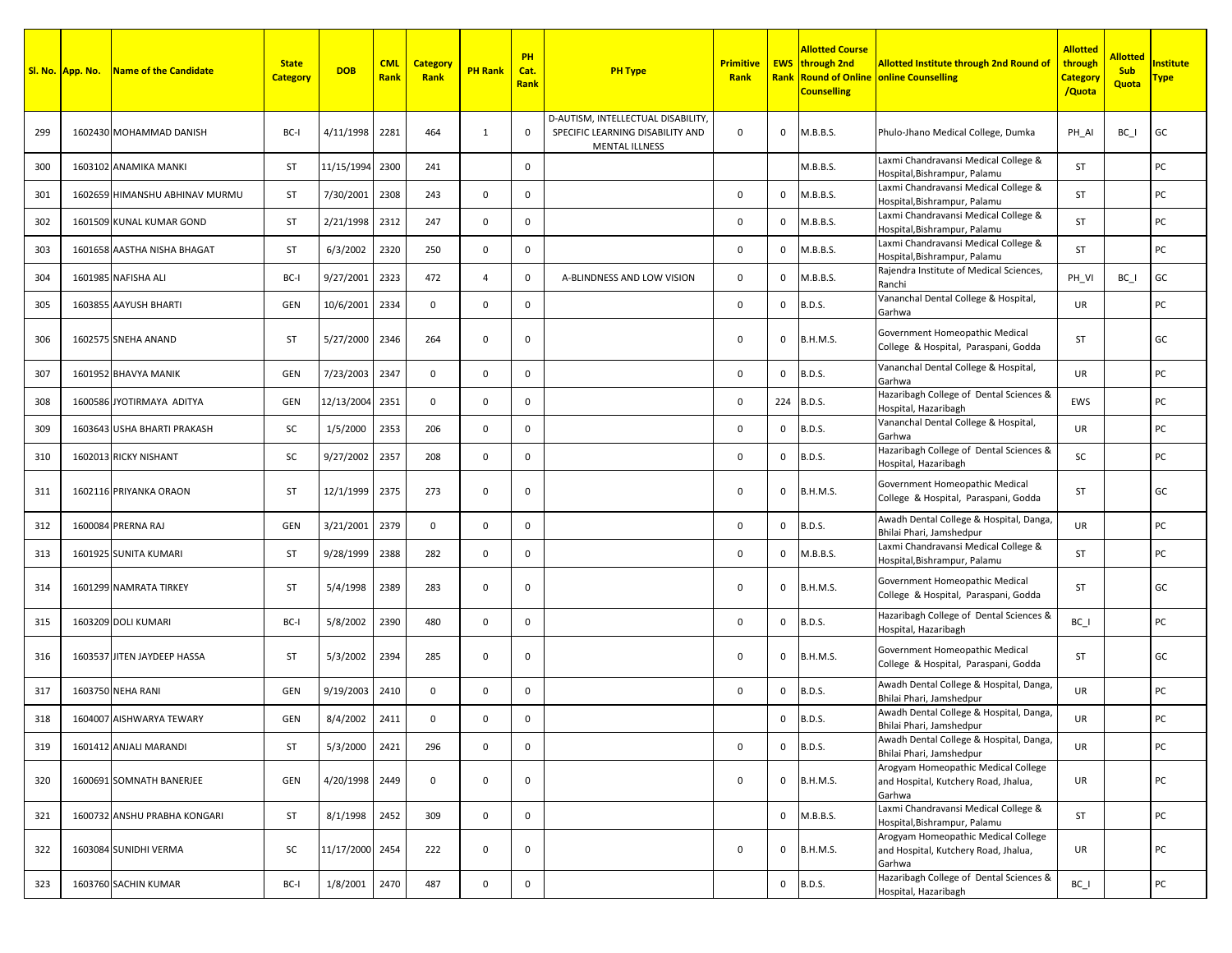|     | Sl. No. App. No. | <b>Name of the Candidate</b>   | <b>State</b><br><b>Category</b> | <b>DOB</b>      | <b>CML</b><br>Rank | <b>Category</b><br>Rank | <b>PH Rank</b> | PH<br>Cat.<br>Rank | <b>PH Type</b>                                                                                 | <b>Primitive</b><br>Rank |              | <b>Allotted Course</b><br><b>EWS</b> through 2nd<br><b>Counselling</b> | <b>Allotted Institute through 2nd Round of</b><br><b>Rank Round of Online online Counselling</b> | <b>Allotted</b><br>through<br><b>Category</b><br>/Quota | <b>Allotted</b><br><b>Sub</b><br><b>Quota</b> | <b>Institute</b><br>Type |
|-----|------------------|--------------------------------|---------------------------------|-----------------|--------------------|-------------------------|----------------|--------------------|------------------------------------------------------------------------------------------------|--------------------------|--------------|------------------------------------------------------------------------|--------------------------------------------------------------------------------------------------|---------------------------------------------------------|-----------------------------------------------|--------------------------|
| 299 |                  | 1602430 MOHAMMAD DANISH        | BC-I                            | 4/11/1998       | 2281               | 464                     | $\mathbf{1}$   | 0                  | D-AUTISM, INTELLECTUAL DISABILITY<br>SPECIFIC LEARNING DISABILITY AND<br><b>MENTAL ILLNESS</b> | 0                        | $\mathbf 0$  | M.B.B.S.                                                               | Phulo-Jhano Medical College, Dumka                                                               | PH AI                                                   | BC I                                          | GC                       |
| 300 |                  | 1603102 ANAMIKA MANKI          | ST                              | 11/15/1994      | 2300               | 241                     |                | $\mathbf 0$        |                                                                                                |                          |              | M.B.B.S.                                                               | Laxmi Chandravansi Medical College &<br>Hospital, Bishrampur, Palamu                             | <b>ST</b>                                               |                                               | PC                       |
| 301 |                  | 1602659 HIMANSHU ABHINAV MURMU | ST                              | 7/30/2001       | 2308               | 243                     | $\mathbf 0$    | $\mathbf 0$        |                                                                                                | 0                        | $\mathbf{0}$ | M.B.B.S.                                                               | Laxmi Chandravansi Medical College &<br>Hospital, Bishrampur, Palamu                             | <b>ST</b>                                               |                                               | PC                       |
| 302 |                  | 1601509 KUNAL KUMAR GOND       | ST                              | 2/21/1998       | 2312               | 247                     | $\mathbf 0$    | $\mathbf 0$        |                                                                                                | 0                        | $\mathbf 0$  | M.B.B.S.                                                               | Laxmi Chandravansi Medical College &<br>Hospital, Bishrampur, Palamu                             | <b>ST</b>                                               |                                               | PC                       |
| 303 |                  | 1601658 AASTHA NISHA BHAGAT    | ST                              | 6/3/2002        | 2320               | 250                     | $\mathbf 0$    | $\mathbf 0$        |                                                                                                | 0                        | $\mathbf{0}$ | M.B.B.S.                                                               | Laxmi Chandravansi Medical College &<br>Hospital, Bishrampur, Palamu                             | ST                                                      |                                               | PC                       |
| 304 |                  | 1601985 NAFISHA ALI            | BC-I                            | 9/27/2001       | 2323               | 472                     | $\overline{4}$ | $\mathbf 0$        | A-BLINDNESS AND LOW VISION                                                                     | 0                        | $\mathbf 0$  | M.B.B.S.                                                               | Rajendra Institute of Medical Sciences,<br>Ranchi                                                | PH VI                                                   | BC I                                          | GC                       |
| 305 |                  | 1603855 AAYUSH BHARTI          | GEN                             | 10/6/2001       | 2334               | $\mathbf 0$             | $\mathbf 0$    | $\mathbf 0$        |                                                                                                | 0                        | $\mathbf 0$  | <b>B.D.S.</b>                                                          | Vananchal Dental College & Hospital,<br>Garhwa                                                   | UR                                                      |                                               | PC                       |
| 306 |                  | 1602575 SNEHA ANAND            | ST                              | 5/27/2000       | 2346               | 264                     | $\mathbf 0$    | $\mathbf 0$        |                                                                                                | 0                        | $\mathbf 0$  | <b>B.H.M.S.</b>                                                        | Government Homeopathic Medical<br>College & Hospital, Paraspani, Godda                           | ST                                                      |                                               | GC                       |
| 307 |                  | 1601952 BHAVYA MANIK           | GEN                             | 7/23/2003       | 2347               | $\mathbf{0}$            | $\mathbf 0$    | $\mathbf 0$        |                                                                                                | 0                        | $\mathbf{0}$ | <b>B.D.S.</b>                                                          | Vananchal Dental College & Hospital,<br>Garhwa                                                   | <b>UR</b>                                               |                                               | PC                       |
| 308 |                  | 1600586 JYOTIRMAYA ADITYA      | GEN                             | 12/13/2004      | 2351               | $\mathbf{0}$            | $\mathbf 0$    | $\mathbf 0$        |                                                                                                | 0                        |              | 224 B.D.S.                                                             | Hazaribagh College of Dental Sciences &<br>Hospital, Hazaribagh                                  | EWS                                                     |                                               | PC                       |
| 309 |                  | 1603643 USHA BHARTI PRAKASH    | SC                              | 1/5/2000        | 2353               | 206                     | $\mathbf 0$    | $\mathbf 0$        |                                                                                                | 0                        | $\mathbf 0$  | <b>B.D.S.</b>                                                          | Vananchal Dental College & Hospital,<br>Garhwa                                                   | UR                                                      |                                               | PC                       |
| 310 |                  | 1602013 RICKY NISHANT          | SC                              | 9/27/2002       | 2357               | 208                     | $\mathbf 0$    | 0                  |                                                                                                | 0                        | $\mathbf 0$  | <b>B.D.S.</b>                                                          | Hazaribagh College of Dental Sciences &<br>Hospital, Hazaribagh                                  | SC                                                      |                                               | PC                       |
| 311 |                  | 1602116 PRIYANKA ORAON         | ST                              | 12/1/1999       | 2375               | 273                     | $\mathbf 0$    | 0                  |                                                                                                | 0                        | $\mathbf 0$  | <b>B.H.M.S.</b>                                                        | Government Homeopathic Medical<br>College & Hospital, Paraspani, Godda                           | <b>ST</b>                                               |                                               | GC                       |
| 312 |                  | 1600084 PRERNA RAJ             | GEN                             | 3/21/2001       | 2379               | $\mathbf{0}$            | $\mathbf 0$    | $\mathbf 0$        |                                                                                                | $\mathbf 0$              | $\mathbf{0}$ | <b>B.D.S.</b>                                                          | Awadh Dental College & Hospital, Danga,<br>Bhilai Phari, Jamshedpur                              | <b>UR</b>                                               |                                               | PC                       |
| 313 |                  | 1601925 SUNITA KUMARI          | ST                              | 9/28/1999       | 2388               | 282                     | $\mathbf 0$    | $\mathbf 0$        |                                                                                                | 0                        | $\mathbf 0$  | M.B.B.S.                                                               | Laxmi Chandravansi Medical College &<br>Hospital, Bishrampur, Palamu                             | <b>ST</b>                                               |                                               | PC                       |
| 314 |                  | 1601299 NAMRATA TIRKEY         | ST                              | 5/4/1998        | 2389               | 283                     | $\mathbf 0$    | $\mathbf 0$        |                                                                                                | 0                        | $\mathbf 0$  | <b>B.H.M.S.</b>                                                        | Government Homeopathic Medical<br>College & Hospital, Paraspani, Godda                           | <b>ST</b>                                               |                                               | GC                       |
| 315 |                  | 1603209 DOLI KUMARI            | BC-I                            | 5/8/2002        | 2390               | 480                     | $\mathbf 0$    | 0                  |                                                                                                | 0                        | $\mathbf 0$  | <b>B.D.S.</b>                                                          | Hazaribagh College of Dental Sciences &<br>Hospital, Hazaribagh                                  | $BC_$                                                   |                                               | PC                       |
| 316 |                  | 1603537 JITEN JAYDEEP HASSA    | ST                              | 5/3/2002        | 2394               | 285                     | $\mathbf 0$    | $\mathbf 0$        |                                                                                                | 0                        | $\mathbf 0$  | <b>B.H.M.S.</b>                                                        | Government Homeopathic Medical<br>College & Hospital, Paraspani, Godda                           | <b>ST</b>                                               |                                               | GC                       |
| 317 |                  | 1603750 NEHA RANI              | GEN                             | 9/19/2003       | 2410               | $\mathbf 0$             | $\mathbf 0$    | $\mathbf 0$        |                                                                                                | $\mathbf 0$              | $\mathbf 0$  | <b>B.D.S.</b>                                                          | Awadh Dental College & Hospital, Danga,<br>Bhilai Phari, Jamshedpur                              | <b>UR</b>                                               |                                               | PC                       |
| 318 |                  | 1604007 AISHWARYA TEWARY       | GEN                             | 8/4/2002        | 2411               | 0                       | $\mathbf 0$    | 0                  |                                                                                                |                          | 0            | <b>B.D.S.</b>                                                          | Awadh Dental College & Hospital, Danga,<br>Bhilai Phari, Jamshedpur                              | UR                                                      |                                               | PC                       |
| 319 |                  | 1601412 ANJALI MARANDI         | ST                              | 5/3/2000        | 2421               | 296                     | $\mathbf 0$    | $\mathbf 0$        |                                                                                                | $\mathsf 0$              | $\mathbf 0$  | <b>B.D.S.</b>                                                          | Awadh Dental College & Hospital, Danga,<br>Bhilai Phari, Jamshedpur                              | UR                                                      |                                               | PC                       |
| 320 |                  | 1600691 SOMNATH BANERJEE       | GEN                             | 4/20/1998       | 2449               | $\mathbf 0$             | $\mathbf 0$    | $\mathbf 0$        |                                                                                                | 0                        | $\mathbf 0$  | <b>B.H.M.S.</b>                                                        | Arogyam Homeopathic Medical College<br>and Hospital, Kutchery Road, Jhalua,<br>Garhwa            | UR                                                      |                                               | PC                       |
| 321 |                  | 1600732 ANSHU PRABHA KONGARI   | ST                              | 8/1/1998        | 2452               | 309                     | $\mathbf 0$    | $\mathbf 0$        |                                                                                                |                          |              | 0 M.B.B.S.                                                             | Laxmi Chandravansi Medical College &<br>Hospital, Bishrampur, Palamu                             | ST                                                      |                                               | PC                       |
| 322 |                  | 1603084 SUNIDHI VERMA          | SC                              | 11/17/2000 2454 |                    | 222                     | $\mathbf 0$    | 0                  |                                                                                                | 0                        | $\mathbf 0$  | <b>B.H.M.S.</b>                                                        | Arogyam Homeopathic Medical College<br>and Hospital, Kutchery Road, Jhalua,<br>Garhwa            | UR                                                      |                                               | PC                       |
| 323 |                  | 1603760 SACHIN KUMAR           | BC-I                            | 1/8/2001        | 2470               | 487                     | $\mathbf 0$    | $\mathsf{O}$       |                                                                                                |                          |              | $0$ B.D.S.                                                             | Hazaribagh College of Dental Sciences &<br>Hospital, Hazaribagh                                  | $BC_$                                                   |                                               | PC                       |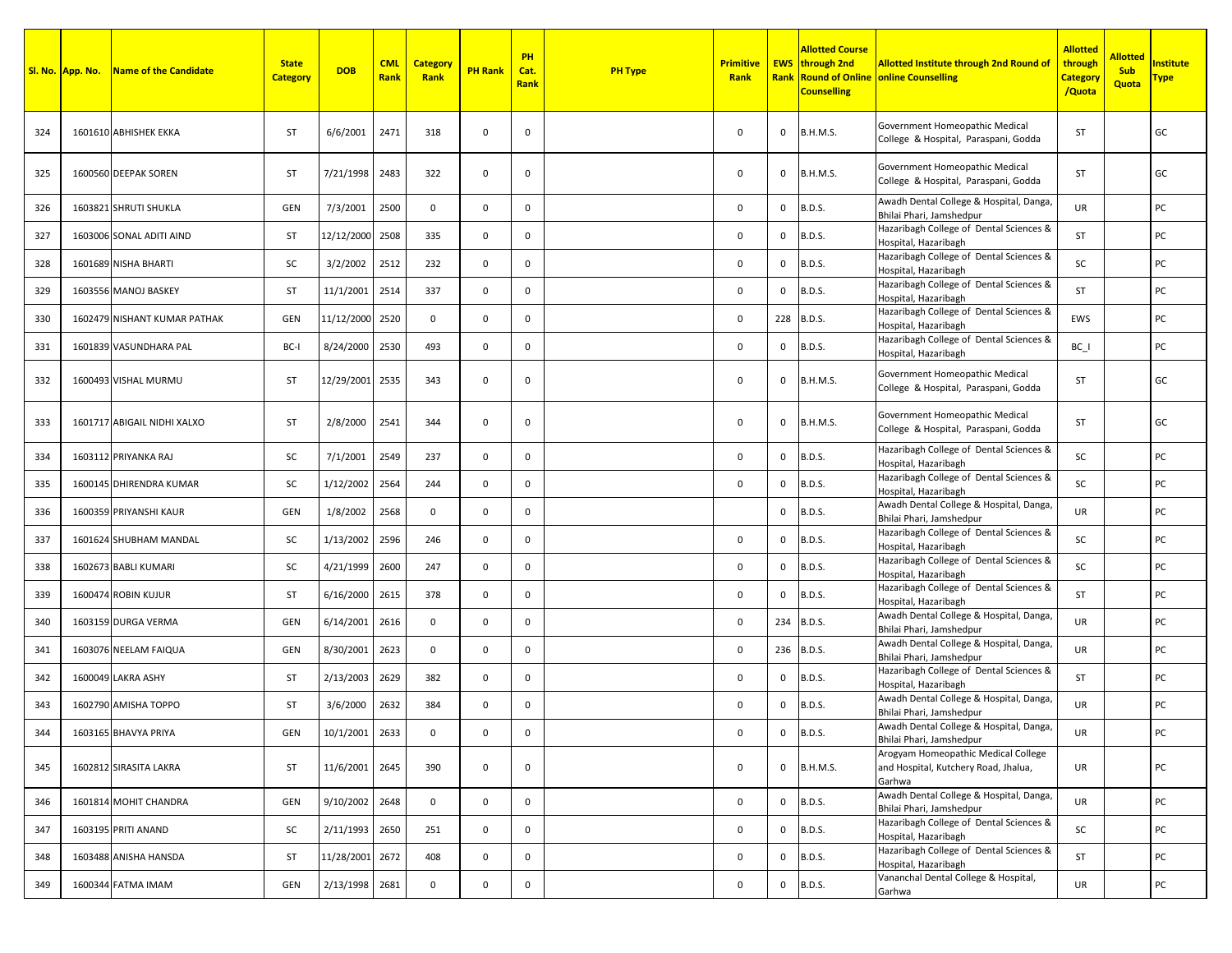|     | Sl. No. App. No. | Name of the Candidate        | <b>State</b><br><b>Category</b> | <b>DOB</b>      | <b>CML</b><br>Rank | <b>Category</b><br>Rank | <b>PH Rank</b> | <b>PH</b><br>Cat.<br>Rank | <b>PH Type</b> | <b>Primitive</b><br>Rank |              | <b>Allotted Course</b><br><b>EWS</b> through 2nd<br><b>Counselling</b> | <b>Allotted Institute through 2nd Round of</b><br><b>Rank Round of Online online Counselling</b> | <b>Allotted</b><br>through<br><mark>Category</mark><br>/Quota | <b>Allotted</b><br><b>Sub</b><br>Quota | nstitute<br><u> Гуре</u> |
|-----|------------------|------------------------------|---------------------------------|-----------------|--------------------|-------------------------|----------------|---------------------------|----------------|--------------------------|--------------|------------------------------------------------------------------------|--------------------------------------------------------------------------------------------------|---------------------------------------------------------------|----------------------------------------|--------------------------|
| 324 |                  | 1601610 ABHISHEK EKKA        | <b>ST</b>                       | 6/6/2001        | 2471               | 318                     | 0              | 0                         |                | $\mathbf 0$              | 0            | <b>B.H.M.S.</b>                                                        | Government Homeopathic Medical<br>College & Hospital, Paraspani, Godda                           | ST                                                            |                                        | GC                       |
| 325 |                  | 1600560 DEEPAK SOREN         | ST                              | 7/21/1998       | 2483               | 322                     | $\mathsf{O}$   | $\mathbf 0$               |                | $\mathbf 0$              | 0            | <b>B.H.M.S.</b>                                                        | Government Homeopathic Medical<br>College & Hospital, Paraspani, Godda                           | ST                                                            |                                        | GC                       |
| 326 |                  | 1603821 SHRUTI SHUKLA        | <b>GEN</b>                      | 7/3/2001        | 2500               | $\mathbf 0$             | 0              | $\mathbf 0$               |                | 0                        | 0            | <b>B.D.S.</b>                                                          | Awadh Dental College & Hospital, Danga<br>Bhilai Phari, Jamshedpur                               | UR                                                            |                                        | PC                       |
| 327 |                  | 1603006 SONAL ADITI AIND     | <b>ST</b>                       | 12/12/2000      | 2508               | 335                     | 0              | $\mathbf 0$               |                | 0                        | 0            | <b>B.D.S.</b>                                                          | Hazaribagh College of Dental Sciences &<br>Hospital, Hazaribagh                                  | ST                                                            |                                        | PC                       |
| 328 |                  | 1601689 NISHA BHARTI         | SC                              | 3/2/2002        | 2512               | 232                     | 0              | 0                         |                | 0                        | 0            | <b>B.D.S.</b>                                                          | Hazaribagh College of Dental Sciences &<br>Hospital, Hazaribagh                                  | SC                                                            |                                        | PC                       |
| 329 |                  | 1603556 MANOJ BASKEY         | ST                              | 11/1/2001       | 2514               | 337                     | 0              | 0                         |                | 0                        | 0            | <b>B.D.S.</b>                                                          | Hazaribagh College of Dental Sciences &<br>Hospital, Hazaribagh                                  | ST                                                            |                                        | PC                       |
| 330 |                  | 1602479 NISHANT KUMAR PATHAK | <b>GEN</b>                      | 11/12/2000      | 2520               | $\mathbf 0$             | 0              | $\mathbf 0$               |                | 0                        | 228          | <b>B.D.S.</b>                                                          | Hazaribagh College of Dental Sciences &<br>Hospital, Hazaribagh                                  | EWS                                                           |                                        | PC                       |
| 331 |                  | 1601839 VASUNDHARA PAL       | BC-I                            | 8/24/2000       | 2530               | 493                     | 0              | $\mathbf 0$               |                | 0                        | 0            | <b>B.D.S.</b>                                                          | Hazaribagh College of Dental Sciences &<br>Hospital, Hazaribagh                                  | $BC_$                                                         |                                        | PC                       |
| 332 |                  | 1600493 VISHAL MURMU         | <b>ST</b>                       | 12/29/2001      | 2535               | 343                     | $\mathbf 0$    | $\mathbf 0$               |                | 0                        | 0            | B.H.M.S.                                                               | Government Homeopathic Medical<br>College & Hospital, Paraspani, Godda                           | ST                                                            |                                        | GC                       |
| 333 |                  | 1601717 ABIGAIL NIDHI XALXO  | <b>ST</b>                       | 2/8/2000        | 2541               | 344                     | 0              | 0                         |                | $\mathbf 0$              | 0            | <b>B.H.M.S.</b>                                                        | Government Homeopathic Medical<br>College & Hospital, Paraspani, Godda                           | ST                                                            |                                        | GC                       |
| 334 |                  | 1603112 PRIYANKA RAJ         | SC                              | 7/1/2001        | 2549               | 237                     | 0              | 0                         |                | 0                        | 0            | <b>B.D.S.</b>                                                          | Hazaribagh College of Dental Sciences &<br>Hospital, Hazaribagh                                  | SC                                                            |                                        | PC                       |
| 335 |                  | 1600145 DHIRENDRA KUMAR      | SC                              | 1/12/2002       | 2564               | 244                     | $\mathbf 0$    | $\mathbf 0$               |                | 0                        | 0            | <b>B.D.S.</b>                                                          | Hazaribagh College of Dental Sciences &<br>Hospital, Hazaribagh                                  | SC                                                            |                                        | PC                       |
| 336 |                  | 1600359 PRIYANSHI KAUR       | GEN                             | 1/8/2002        | 2568               | $\mathbf 0$             | 0              | $\mathbf 0$               |                |                          | 0            | <b>B.D.S.</b>                                                          | Awadh Dental College & Hospital, Danga<br>Bhilai Phari, Jamshedpur                               | UR                                                            |                                        | PC                       |
| 337 |                  | 1601624 SHUBHAM MANDAL       | SC                              | 1/13/2002       | 2596               | 246                     | 0              | $\mathbf 0$               |                | 0                        | 0            | <b>B.D.S.</b>                                                          | Hazaribagh College of Dental Sciences &<br>Hospital, Hazaribagh                                  | SC                                                            |                                        | PC                       |
| 338 |                  | 1602673 BABLI KUMARI         | SC                              | 4/21/1999       | 2600               | 247                     | 0              | $\mathbf 0$               |                | 0                        | $\Omega$     | B.D.S.                                                                 | Hazaribagh College of Dental Sciences &<br>Hospital, Hazaribagh                                  | SC                                                            |                                        | PC                       |
| 339 |                  | 1600474 ROBIN KUJUR          | <b>ST</b>                       | 6/16/2000       | 2615               | 378                     | 0              | 0                         |                | $\mathbf 0$              | $\Omega$     | B.D.S.                                                                 | Hazaribagh College of Dental Sciences &<br>Hospital, Hazaribagh                                  | ST                                                            |                                        | PC                       |
| 340 |                  | 1603159 DURGA VERMA          | GEN                             | 6/14/2001       | 2616               | $\mathbf 0$             | $\mathbf 0$    | $\mathbf 0$               |                | 0                        | 234          | <b>B.D.S.</b>                                                          | Awadh Dental College & Hospital, Danga<br>Bhilai Phari, Jamshedpur                               | UR                                                            |                                        | PC                       |
| 341 |                  | 1603076 NEELAM FAIQUA        | <b>GEN</b>                      | 8/30/2001       | 2623               | $\mathbf 0$             | 0              | $\mathbf 0$               |                | 0                        | 236          | <b>B.D.S.</b>                                                          | Awadh Dental College & Hospital, Danga,<br>Bhilai Phari, Jamshedpur                              | UR                                                            |                                        | PC                       |
| 342 |                  | 1600049 LAKRA ASHY           | <b>ST</b>                       | 2/13/2003       | 2629               | 382                     | 0              | $\mathbf 0$               |                | $\mathbf 0$              | 0            | <b>B.D.S.</b>                                                          | Hazaribagh College of Dental Sciences &<br>Hospital, Hazaribagh                                  | ST                                                            |                                        | PC                       |
| 343 |                  | 1602790 AMISHA TOPPO         | ST                              | 3/6/2000        | 2632               | 384                     | 0              | $\mathbf 0$               |                | $\mathbf 0$              | 0            | <b>B.D.S.</b>                                                          | Awadh Dental College & Hospital, Danga,<br>Bhilai Phari, Jamshedpur                              | UR                                                            |                                        | PC                       |
| 344 |                  | 1603165 BHAVYA PRIYA         | GEN                             | 10/1/2001 2633  |                    | $\mathbf{0}$            | $\mathbf 0$    | 0                         |                | 0                        | 0            | <b>B.D.S.</b>                                                          | Awadh Dental College & Hospital, Danga,<br>Bhilai Phari, Jamshedpur                              | UR                                                            |                                        | PC                       |
| 345 |                  | 1602812 SIRASITA LAKRA       | ST                              | 11/6/2001 2645  |                    | 390                     | $\mathbf 0$    | $\mathbf 0$               |                | $\mathsf 0$              | $\mathbf{0}$ | B.H.M.S.                                                               | Arogyam Homeopathic Medical College<br>and Hospital, Kutchery Road, Jhalua,<br>Garhwa            | UR                                                            |                                        | PC                       |
| 346 |                  | 1601814 MOHIT CHANDRA        | GEN                             | 9/10/2002 2648  |                    | $\mathbf{0}$            | $\mathbf 0$    | $\mathbf 0$               |                | $\mathsf 0$              | 0            | <b>B.D.S.</b>                                                          | Awadh Dental College & Hospital, Danga,<br>Bhilai Phari, Jamshedpur                              | UR                                                            |                                        | PC                       |
| 347 |                  | 1603195 PRITI ANAND          | SC                              | 2/11/1993       | 2650               | 251                     | $\mathbf 0$    | $\mathbf 0$               |                | $\mathsf 0$              | 0            | <b>B.D.S.</b>                                                          | Hazaribagh College of Dental Sciences &<br>Hospital, Hazaribagh                                  | SC                                                            |                                        | PC                       |
| 348 |                  | 1603488 ANISHA HANSDA        | ST                              | 11/28/2001 2672 |                    | 408                     | $\mathbf 0$    | $\mathbf 0$               |                | 0                        | 0            | <b>B.D.S.</b>                                                          | Hazaribagh College of Dental Sciences &<br>Hospital, Hazaribagh                                  | ST                                                            |                                        | PC                       |
| 349 |                  | 1600344 FATMA IMAM           | GEN                             | 2/13/1998 2681  |                    | $\mathbf 0$             | $\mathbf 0$    | $\mathbf 0$               |                | 0                        | 0            | <b>B.D.S.</b>                                                          | Vananchal Dental College & Hospital,<br>Garhwa                                                   | UR                                                            |                                        | PC                       |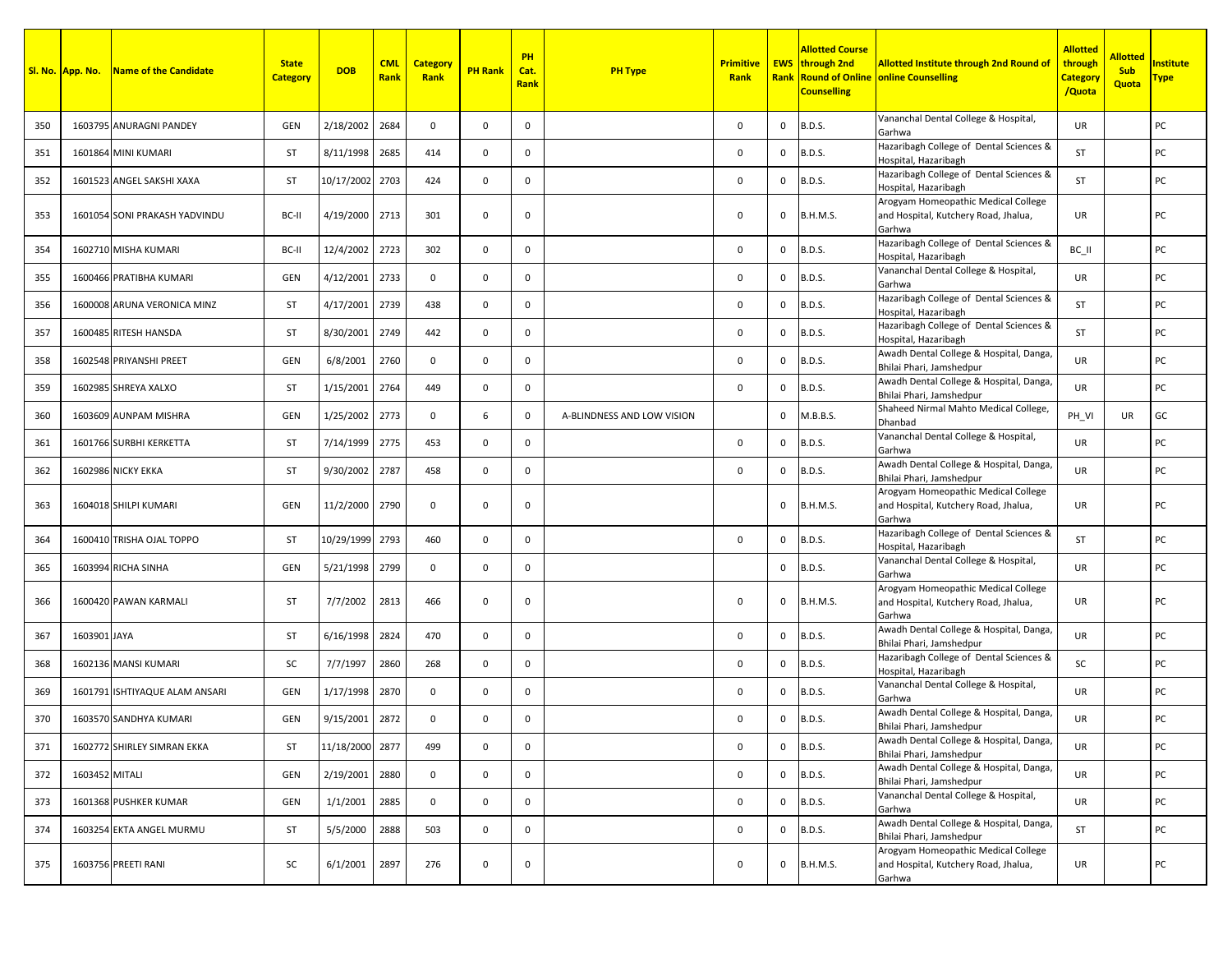|     | Sl. No. App. No. | <b>Name of the Candidate</b>   | <b>State</b><br><b>Category</b> | <b>DOB</b>      | <b>CML</b><br><b>Rank</b> | <b>Category</b><br>Rank | <b>PH Rank</b> | PH<br>Cat.<br>Rank | <b>PH Type</b>             | <b>Primitive</b><br>Rank |          | Allotted Course<br><b>EWS</b> through 2nd<br><b>Counselling</b> | <b>Allotted Institute through 2nd Round of</b><br><b>Rank Round of Online online Counselling</b> | <b>Allotted</b><br>through<br><mark>Category</mark><br>/Quota | <b>Allotted</b><br><b>Sub</b><br>Quota | nstitute<br><u> Fype</u> |
|-----|------------------|--------------------------------|---------------------------------|-----------------|---------------------------|-------------------------|----------------|--------------------|----------------------------|--------------------------|----------|-----------------------------------------------------------------|--------------------------------------------------------------------------------------------------|---------------------------------------------------------------|----------------------------------------|--------------------------|
| 350 |                  | 1603795 ANURAGNI PANDEY        | GEN                             | 2/18/2002       | 2684                      | $\mathbf{0}$            | $\mathbf 0$    | 0                  |                            | $\mathbf 0$              | 0        | <b>B.D.S.</b>                                                   | Vananchal Dental College & Hospital,<br>Garhwa                                                   | UR.                                                           |                                        | PC                       |
| 351 |                  | 1601864 MINI KUMARI            | <b>ST</b>                       | 8/11/1998       | 2685                      | 414                     | $\mathbf 0$    | $\mathbf 0$        |                            | $\mathbf 0$              | 0        | <b>B.D.S.</b>                                                   | Hazaribagh College of Dental Sciences &<br>Hospital, Hazaribagh                                  | <b>ST</b>                                                     |                                        | PC                       |
| 352 |                  | 1601523 ANGEL SAKSHI XAXA      | <b>ST</b>                       | 10/17/2002 2703 |                           | 424                     | $\mathbf 0$    | 0                  |                            | 0                        | 0        | <b>B.D.S.</b>                                                   | Hazaribagh College of Dental Sciences &<br>Hospital, Hazaribagh                                  | ST                                                            |                                        | PC                       |
| 353 |                  | 1601054 SONI PRAKASH YADVINDU  | BC-II                           | 4/19/2000       | 2713                      | 301                     | 0              | 0                  |                            | 0                        | 0        | <b>B.H.M.S.</b>                                                 | Arogyam Homeopathic Medical College<br>and Hospital, Kutchery Road, Jhalua,<br>Garhwa            | UR                                                            |                                        | PC                       |
| 354 |                  | 1602710 MISHA KUMARI           | BC-II                           | 12/4/2002       | 2723                      | 302                     | $\mathbf 0$    | $\mathbf 0$        |                            | $\mathbf 0$              | $\Omega$ | <b>B.D.S.</b>                                                   | Hazaribagh College of Dental Sciences &<br>Hospital, Hazaribagh                                  | BC_II                                                         |                                        | PC                       |
| 355 |                  | 1600466 PRATIBHA KUMARI        | GEN                             | 4/12/2001       | 2733                      | $\mathbf 0$             | 0              | $\mathbf 0$        |                            | 0                        | 0        | <b>B.D.S.</b>                                                   | Vananchal Dental College & Hospital,<br>Garhwa                                                   | UR                                                            |                                        | PC                       |
| 356 |                  | 1600008 ARUNA VERONICA MINZ    | ST                              | 4/17/2001       | 2739                      | 438                     | $\mathbf 0$    | $\mathbf 0$        |                            | $\mathbf 0$              | $\Omega$ | <b>B.D.S.</b>                                                   | Hazaribagh College of Dental Sciences &<br>Hospital, Hazaribagh                                  | ST                                                            |                                        | PC                       |
| 357 |                  | 1600485 RITESH HANSDA          | <b>ST</b>                       | 8/30/2001       | 2749                      | 442                     | $\mathbf 0$    | $\mathbf 0$        |                            | 0                        | 0        | <b>B.D.S.</b>                                                   | Hazaribagh College of Dental Sciences &<br>Hospital, Hazaribagh                                  | <b>ST</b>                                                     |                                        | PC                       |
| 358 |                  | 1602548 PRIYANSHI PREET        | GEN                             | 6/8/2001        | 2760                      | 0                       | $\mathbf 0$    | $\mathbf 0$        |                            | $\mathbf 0$              | 0        | <b>B.D.S.</b>                                                   | Awadh Dental College & Hospital, Danga,<br>Bhilai Phari, Jamshedpur                              | <b>UR</b>                                                     |                                        | PC                       |
| 359 |                  | 1602985 SHREYA XALXO           | ST                              | 1/15/2001       | 2764                      | 449                     | $\mathbf 0$    | $\mathbf 0$        |                            | $\mathbf 0$              | 0        | <b>B.D.S.</b>                                                   | Awadh Dental College & Hospital, Danga,<br>Bhilai Phari, Jamshedpur                              | UR                                                            |                                        | PC                       |
| 360 |                  | 1603609 AUNPAM MISHRA          | GEN                             | 1/25/2002       | 2773                      | 0                       | 6              | $\mathbf 0$        | A-BLINDNESS AND LOW VISION |                          | 0        | M.B.B.S.                                                        | Shaheed Nirmal Mahto Medical College,<br>Dhanbad                                                 | PH VI                                                         | UR                                     | GC                       |
| 361 |                  | 1601766 SURBHI KERKETTA        | ST                              | 7/14/1999       | 2775                      | 453                     | $\mathbf 0$    | $\mathbf 0$        |                            | 0                        | 0        | <b>B.D.S.</b>                                                   | Vananchal Dental College & Hospital,<br>Garhwa                                                   | UR                                                            |                                        | PC                       |
| 362 |                  | <b>1602986 NICKY EKKA</b>      | <b>ST</b>                       | 9/30/2002       | 2787                      | 458                     | $\mathbf 0$    | 0                  |                            | $\mathbf 0$              | 0        | <b>B.D.S.</b>                                                   | Awadh Dental College & Hospital, Danga<br>Bhilai Phari, Jamshedpur                               | <b>UR</b>                                                     |                                        | PC                       |
| 363 |                  | 1604018 SHILPI KUMARI          | GEN                             | 11/2/2000       | 2790                      | 0                       | 0              | $\overline{0}$     |                            |                          | 0        | <b>B.H.M.S.</b>                                                 | Arogyam Homeopathic Medical College<br>and Hospital, Kutchery Road, Jhalua,<br>Garhwa            | UR                                                            |                                        | PC                       |
| 364 |                  | 1600410 TRISHA OJAL TOPPO      | ST                              | 10/29/1999 2793 |                           | 460                     | 0              | $\mathbf 0$        |                            | 0                        | 0        | <b>B.D.S.</b>                                                   | Hazaribagh College of Dental Sciences &<br>Hospital, Hazaribagh                                  | ST                                                            |                                        | PC                       |
| 365 |                  | 1603994 RICHA SINHA            | GEN                             | 5/21/1998       | 2799                      | $\mathbf 0$             | 0              | 0                  |                            |                          | $\Omega$ | <b>B.D.S.</b>                                                   | Vananchal Dental College & Hospital,<br>Garhwa                                                   | UR                                                            |                                        | PC                       |
| 366 |                  | 1600420 PAWAN KARMALI          | ST                              | 7/7/2002        | 2813                      | 466                     | $\mathbf 0$    | $\mathbf 0$        |                            | $\Omega$                 | 0        | <b>B.H.M.S.</b>                                                 | Arogyam Homeopathic Medical College<br>and Hospital, Kutchery Road, Jhalua,<br>Garhwa            | UR                                                            |                                        | PC                       |
| 367 | 1603901 JAYA     |                                | ST                              | 6/16/1998       | 2824                      | 470                     | $\mathbf 0$    | 0                  |                            | 0                        | 0        | <b>B.D.S.</b>                                                   | Awadh Dental College & Hospital, Danga,<br>Bhilai Phari, Jamshedpur                              | <b>UR</b>                                                     |                                        | PC                       |
| 368 |                  | 1602136 MANSI KUMARI           | SC                              | 7/7/1997        | 2860                      | 268                     | $\mathbf 0$    | 0                  |                            | 0                        | 0        | <b>B.D.S.</b>                                                   | Hazaribagh College of Dental Sciences &<br>Hospital, Hazaribagh                                  | SC                                                            |                                        | PC                       |
| 369 |                  | 1601791 ISHTIYAQUE ALAM ANSARI | GEN                             | 1/17/1998       | 2870                      | 0                       | 0              | 0                  |                            | $\mathbf 0$              | 0        | <b>B.D.S.</b>                                                   | Vananchal Dental College & Hospital,<br>Garhwa                                                   | UR                                                            |                                        | PC                       |
| 370 |                  | 1603570 SANDHYA KUMARI         | GEN                             | 9/15/2001       | 2872                      | 0                       | $\mathbf 0$    | 0                  |                            | $\Omega$                 | 0        | <b>B.D.S.</b>                                                   | Awadh Dental College & Hospital, Danga,<br>Bhilai Phari, Jamshedpur                              | UR                                                            |                                        | PC                       |
| 371 |                  | 1602772 SHIRLEY SIMRAN EKKA    | <b>ST</b>                       | 11/18/2000 2877 |                           | 499                     | $\mathsf 0$    | $\mathbf 0$        |                            | 0                        | 0        | <b>B.D.S.</b>                                                   | Awadh Dental College & Hospital, Danga,<br>Bhilai Phari, Jamshedpur                              | UR                                                            |                                        | PC                       |
| 372 | 1603452 MITALI   |                                | GEN                             | 2/19/2001       | 2880                      | $\mathbf 0$             | $\mathbf 0$    | $\mathbf 0$        |                            | $\mathbf 0$              | 0        | <b>B.D.S.</b>                                                   | Awadh Dental College & Hospital, Danga,<br>Bhilai Phari, Jamshedpur                              | UR                                                            |                                        | PC                       |
| 373 |                  | 1601368 PUSHKER KUMAR          | GEN                             | 1/1/2001        | 2885                      | $\mathbf 0$             | $\mathbf 0$    | $\mathsf 0$        |                            | $\mathsf 0$              | 0        | <b>B.D.S.</b>                                                   | Vananchal Dental College & Hospital,<br>Garhwa                                                   | UR                                                            |                                        | PC                       |
| 374 |                  | 1603254 EKTA ANGEL MURMU       | ST                              | 5/5/2000        | 2888                      | 503                     | $\mathbf{0}$   | $\mathsf{O}$       |                            | $\mathsf 0$              | 0        | <b>B.D.S.</b>                                                   | Awadh Dental College & Hospital, Danga,<br>Bhilai Phari, Jamshedpur                              | ST                                                            |                                        | PC                       |
| 375 |                  | 1603756 PREETI RANI            | SC                              | 6/1/2001        | 2897                      | 276                     | 0              | $\mathbf 0$        |                            | 0                        | 0        | <b>B.H.M.S.</b>                                                 | Arogyam Homeopathic Medical College<br>and Hospital, Kutchery Road, Jhalua,<br>Garhwa            | UR                                                            |                                        | PC                       |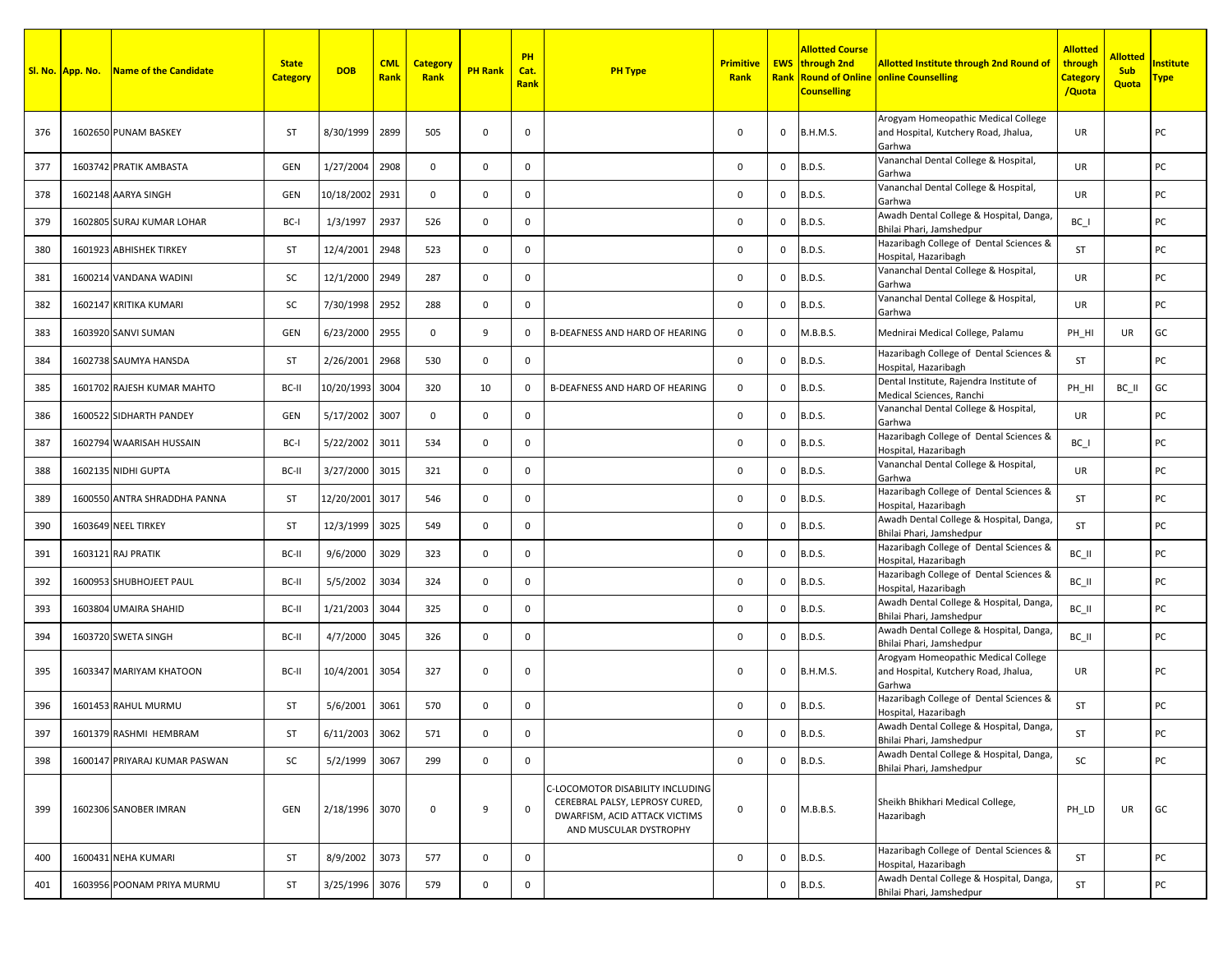|     | Sl. No. App. No. | <b>Name of the Candidate</b>  | <b>State</b><br><b>Category</b> | <b>DOB</b>     | <b>CML</b><br>Rank | <b>Category</b><br>Rank | <b>PH Rank</b> | PH<br>Cat.<br><b>Rank</b> | <b>PH Type</b>                                                                                                                | <b>Primitive</b><br>Rank |              | <b>Allotted Course</b><br><b>EWS</b> through 2nd<br><b>Counselling</b> | <b>Allotted Institute through 2nd Round of</b><br><b>Rank Round of Online online Counselling</b> | <b>Allotted</b><br>through<br>Category<br>/Quota | <b>Allotted</b><br><b>Sub</b><br>Quota | nstitute<br><u> Fype</u> |
|-----|------------------|-------------------------------|---------------------------------|----------------|--------------------|-------------------------|----------------|---------------------------|-------------------------------------------------------------------------------------------------------------------------------|--------------------------|--------------|------------------------------------------------------------------------|--------------------------------------------------------------------------------------------------|--------------------------------------------------|----------------------------------------|--------------------------|
| 376 |                  | 1602650 PUNAM BASKEY          | <b>ST</b>                       | 8/30/1999      | 2899               | 505                     | $\mathbf 0$    | 0                         |                                                                                                                               | 0                        | 0            | <b>B.H.M.S.</b>                                                        | Arogyam Homeopathic Medical College<br>and Hospital, Kutchery Road, Jhalua,<br>Garhwa            | UR                                               |                                        | PC                       |
| 377 |                  | 1603742 PRATIK AMBASTA        | GEN                             | 1/27/2004      | 2908               | $\mathbf 0$             | $\mathbf 0$    | 0                         |                                                                                                                               | 0                        | 0            | <b>B.D.S.</b>                                                          | Vananchal Dental College & Hospital,<br>Garhwa                                                   | UR                                               |                                        | РC                       |
| 378 |                  | 1602148 AARYA SINGH           | GEN                             | 10/18/2002     | 2931               | $\mathbf 0$             | $\mathbf 0$    | 0                         |                                                                                                                               | 0                        | $\mathbf{0}$ | <b>B.D.S.</b>                                                          | Vananchal Dental College & Hospital,<br>Garhwa                                                   | UR                                               |                                        | РC                       |
| 379 |                  | 1602805 SURAJ KUMAR LOHAR     | BC-I                            | 1/3/1997       | 2937               | 526                     | $\mathbf 0$    | 0                         |                                                                                                                               | 0                        | 0            | <b>B.D.S.</b>                                                          | Awadh Dental College & Hospital, Danga<br>Bhilai Phari, Jamshedpur                               | $BC_$                                            |                                        | РC                       |
| 380 |                  | 1601923 ABHISHEK TIRKEY       | <b>ST</b>                       | 12/4/2001      | 2948               | 523                     | $\mathbf 0$    | $\mathbf 0$               |                                                                                                                               | 0                        | 0            | <b>B.D.S.</b>                                                          | Hazaribagh College of Dental Sciences &<br>Hospital, Hazaribagh                                  | <b>ST</b>                                        |                                        | РC                       |
| 381 |                  | 1600214 VANDANA WADINI        | SC                              | 12/1/2000      | 2949               | 287                     | $\mathbf 0$    | 0                         |                                                                                                                               | 0                        | 0            | <b>B.D.S.</b>                                                          | Vananchal Dental College & Hospital,<br>Garhwa                                                   | UR                                               |                                        | РC                       |
| 382 |                  | 1602147 KRITIKA KUMARI        | SC                              | 7/30/1998      | 2952               | 288                     | $\mathbf 0$    | $\mathbf 0$               |                                                                                                                               | 0                        | $\mathbf{0}$ | <b>B.D.S.</b>                                                          | Vananchal Dental College & Hospital,<br>Garhwa                                                   | UR                                               |                                        | РC                       |
| 383 |                  | 1603920 SANVI SUMAN           | <b>GEN</b>                      | 6/23/2000      | 2955               | $\overline{0}$          | 9              | 0                         | B-DEAFNESS AND HARD OF HEARING                                                                                                | 0                        | $\mathbf{0}$ | M.B.B.S.                                                               | Mednirai Medical College, Palamu                                                                 | PH HI                                            | UR                                     | GC                       |
| 384 |                  | 1602738 SAUMYA HANSDA         | <b>ST</b>                       | 2/26/2001      | 2968               | 530                     | $\mathbf 0$    | $\mathbf 0$               |                                                                                                                               | 0                        | $\mathbf{0}$ | <b>B.D.S.</b>                                                          | Hazaribagh College of Dental Sciences &<br>Hospital, Hazaribagh                                  | <b>ST</b>                                        |                                        | PC                       |
| 385 |                  | 1601702 RAJESH KUMAR MAHTO    | BC-II                           | 10/20/1993     | 3004               | 320                     | 10             | 0                         | B-DEAFNESS AND HARD OF HEARING                                                                                                | 0                        | $\mathbf{0}$ | <b>B.D.S.</b>                                                          | Dental Institute, Rajendra Institute of<br>Medical Sciences, Ranchi                              | PH_HI                                            | BC_II                                  | GC                       |
| 386 |                  | 1600522 SIDHARTH PANDEY       | <b>GEN</b>                      | 5/17/2002      | 3007               | $\mathbf{0}$            | $\mathbf 0$    | $\mathbf 0$               |                                                                                                                               | 0                        | $\mathbf{0}$ | <b>B.D.S.</b>                                                          | Vananchal Dental College & Hospital,<br>Garhwa                                                   | UR                                               |                                        | PC                       |
| 387 |                  | 1602794 WAARISAH HUSSAIN      | BC-I                            | 5/22/2002      | 3011               | 534                     | $^{\circ}$     | 0                         |                                                                                                                               | 0                        | $\mathbf{0}$ | <b>B.D.S.</b>                                                          | Hazaribagh College of Dental Sciences &<br>Hospital, Hazaribagh                                  | BC I                                             |                                        | РC                       |
| 388 |                  | 1602135 NIDHI GUPTA           | BC-II                           | 3/27/2000      | 3015               | 321                     | $\mathbf 0$    | 0                         |                                                                                                                               | 0                        | 0            | <b>B.D.S.</b>                                                          | Vananchal Dental College & Hospital,<br>Garhwa                                                   | UR                                               |                                        | РC                       |
| 389 |                  | 1600550 ANTRA SHRADDHA PANNA  | <b>ST</b>                       | 12/20/2001     | 3017               | 546                     | $^{\circ}$     | 0                         |                                                                                                                               | 0                        | 0            | <b>B.D.S.</b>                                                          | Hazaribagh College of Dental Sciences &<br>Hospital, Hazaribagh                                  | <b>ST</b>                                        |                                        | PC                       |
| 390 |                  | 1603649 NEEL TIRKEY           | <b>ST</b>                       | 12/3/1999      | 3025               | 549                     | $\mathbf 0$    | $\mathbf 0$               |                                                                                                                               | 0                        | $\mathbf{0}$ | <b>B.D.S.</b>                                                          | Awadh Dental College & Hospital, Danga<br>Bhilai Phari, Jamshedpur                               | <b>ST</b>                                        |                                        | PC                       |
| 391 |                  | 1603121 RAJ PRATIK            | BC-II                           | 9/6/2000       | 3029               | 323                     | $\mathbf 0$    | $\mathbf 0$               |                                                                                                                               | 0                        | $\Omega$     | <b>B.D.S.</b>                                                          | Hazaribagh College of Dental Sciences &<br>Hospital, Hazaribagh                                  | BC II                                            |                                        | PC                       |
| 392 |                  | 1600953 SHUBHOJEET PAUL       | BC-II                           | 5/5/2002       | 3034               | 324                     | $\mathbf 0$    | 0                         |                                                                                                                               | 0                        | 0            | <b>B.D.S.</b>                                                          | Hazaribagh College of Dental Sciences &<br>Hospital, Hazaribagh                                  | BC_II                                            |                                        | PC                       |
| 393 |                  | 1603804 UMAIRA SHAHID         | BC-II                           | 1/21/2003      | 3044               | 325                     | $\mathbf 0$    | 0                         |                                                                                                                               | $\mathbf 0$              | $\mathbf{0}$ | <b>B.D.S.</b>                                                          | Awadh Dental College & Hospital, Danga<br>Bhilai Phari, Jamshedpur                               | BC_II                                            |                                        | РC                       |
| 394 |                  | 1603720 SWETA SINGH           | BC-II                           | 4/7/2000       | 3045               | 326                     | $\mathbf{0}$   | 0                         |                                                                                                                               | 0                        | $\mathbf{0}$ | <b>B.D.S.</b>                                                          | Awadh Dental College & Hospital, Danga<br>Bhilai Phari, Jamshedpur                               | BC_II                                            |                                        | PC                       |
| 395 |                  | 1603347 MARIYAM KHATOON       | BC-II                           | 10/4/2001      | 3054               | 327                     | $\mathbf 0$    | 0                         |                                                                                                                               | 0                        | $\mathbf{0}$ | <b>B.H.M.S.</b>                                                        | Arogyam Homeopathic Medical College<br>and Hospital, Kutchery Road, Jhalua,<br>Garhwa            | UR                                               |                                        | РC                       |
| 396 |                  | 1601453 RAHUL MURMU           | <b>ST</b>                       | 5/6/2001       | 3061               | 570                     | $\mathbf 0$    | 0                         |                                                                                                                               | 0                        | $\mathbf 0$  | <b>B.D.S.</b>                                                          | Hazaribagh College of Dental Sciences &<br>Hospital, Hazaribagh                                  | <b>ST</b>                                        |                                        | PC                       |
| 397 |                  | 1601379 RASHMI HEMBRAM        | ST                              | 6/11/2003 3062 |                    | 571                     | $\mathbf 0$    | 0                         |                                                                                                                               | 0                        |              | 0 B.D.S.                                                               | Awadh Dental College & Hospital, Danga,<br>Bhilai Phari, Jamshedpur                              | ST                                               |                                        | PC                       |
| 398 |                  | 1600147 PRIYARAJ KUMAR PASWAN | SC                              | 5/2/1999       | 3067               | 299                     | $\mathbf 0$    | $\mathbf 0$               |                                                                                                                               | $\mathbf 0$              |              | $0$ B.D.S.                                                             | Awadh Dental College & Hospital, Danga,<br>Bhilai Phari, Jamshedpur                              | SC                                               |                                        | PC                       |
| 399 |                  | 1602306 SANOBER IMRAN         | GEN                             | 2/18/1996 3070 |                    | $\mathbf 0$             | 9              | 0                         | C-LOCOMOTOR DISABILITY INCLUDING<br>CEREBRAL PALSY, LEPROSY CURED,<br>DWARFISM, ACID ATTACK VICTIMS<br>AND MUSCULAR DYSTROPHY | $\mathsf 0$              | $\mathsf{O}$ | M.B.B.S.                                                               | Sheikh Bhikhari Medical College,<br>Hazaribagh                                                   | PH LD                                            | UR                                     | GC                       |
| 400 |                  | 1600431 NEHA KUMARI           | ST                              | 8/9/2002       | 3073               | 577                     | $\mathbf 0$    | $\mathsf{O}$              |                                                                                                                               | $\mathbf 0$              | 0            | <b>B.D.S.</b>                                                          | Hazaribagh College of Dental Sciences &<br>Hospital, Hazaribagh                                  | ST                                               |                                        | PC                       |
| 401 |                  | 1603956 POONAM PRIYA MURMU    | ST                              | 3/25/1996      | 3076               | 579                     | $\mathbf 0$    | $\mathbf 0$               |                                                                                                                               |                          | $\mathsf{O}$ | <b>B.D.S.</b>                                                          | Awadh Dental College & Hospital, Danga<br>Bhilai Phari, Jamshedpur                               | <b>ST</b>                                        |                                        | PC                       |